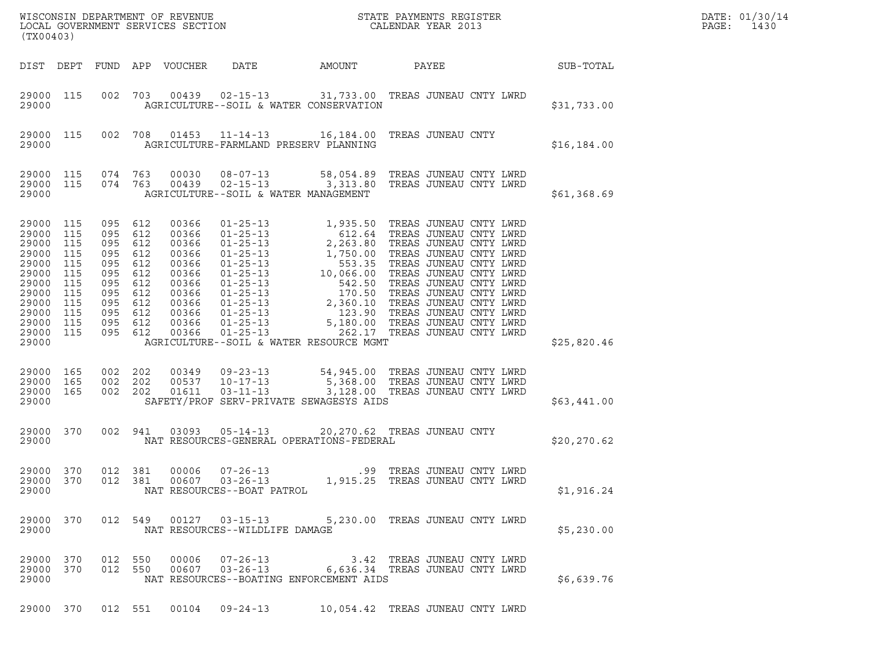| (TX00403)                                                                                                        |                                                                    |                                                                                                              |                                 |                                                                                                          | ${\tt WISCONSIM\ DEPARTMENT\ OF\ REVENUE}\hbox{\tt STATE\ PAYMENTS\ REGISTER\ LOCAL\ GOVERNMENT\ SERVICES\ SECTION\thinspace\ \bf 1013}$                                                                                                                      |        |                                                               |                            | DATE: 01/30/14<br>PAGE:<br>1430 |
|------------------------------------------------------------------------------------------------------------------|--------------------------------------------------------------------|--------------------------------------------------------------------------------------------------------------|---------------------------------|----------------------------------------------------------------------------------------------------------|---------------------------------------------------------------------------------------------------------------------------------------------------------------------------------------------------------------------------------------------------------------|--------|---------------------------------------------------------------|----------------------------|---------------------------------|
|                                                                                                                  |                                                                    |                                                                                                              |                                 | DIST DEPT FUND APP VOUCHER                                                                               | DATE                                                                                                                                                                                                                                                          | AMOUNT | PAYEE                                                         | SUB-TOTAL                  |                                 |
| 29000 115<br>29000                                                                                               |                                                                    |                                                                                                              |                                 |                                                                                                          | 002 703 00439 02-15-13 31,733.00 TREAS JUNEAU CNTY LWRD<br>AGRICULTURE--SOIL & WATER CONSERVATION                                                                                                                                                             |        |                                                               | \$31,733.00                |                                 |
| 29000 115<br>29000                                                                                               |                                                                    |                                                                                                              |                                 |                                                                                                          | 002 708 01453 11-14-13 16,184.00 TREAS JUNEAU CNTY<br>AGRICULTURE-FARMLAND PRESERV PLANNING                                                                                                                                                                   |        |                                                               | \$16, 184.00               |                                 |
| 29000 115<br>29000 115<br>29000                                                                                  |                                                                    | 074 763<br>074 763                                                                                           |                                 |                                                                                                          | AGRICULTURE--SOIL & WATER MANAGEMENT                                                                                                                                                                                                                          |        |                                                               | \$61,368.69                |                                 |
| 29000 115<br>29000<br>29000<br>29000<br>29000<br>29000<br>29000<br>29000<br>29000<br>29000<br>29000<br>29000 115 | 115<br>115<br>115<br>115<br>115<br>115<br>115<br>115<br>115<br>115 | 095<br>095 612<br>095<br>095 612<br>095<br>095 612<br>095<br>095 612<br>095<br>095 612<br>095 612<br>095 612 | 612<br>612<br>612<br>612<br>612 | 00366<br>00366<br>00366<br>00366<br>00366<br>00366<br>00366<br>00366<br>00366<br>00366<br>00366<br>00366 | 01-25-13<br>01-25-13<br>01-25-13<br>01-25-13<br>01-25-13<br>01-25-13<br>01-25-13<br>01-25-13<br>01-25-13<br>1, 750.00 TREAS JUNEAU CNTY LWRD<br>01-25-13<br>10, 066.00 TREAS JUNEAU CNTY LWRD<br>01-25-13<br>01-25-13<br>2, 360.10 TREAS JUNEAU CNTY LWRD<br> |        |                                                               |                            |                                 |
| 29000<br>29000 165<br>29000<br>29000 165<br>29000                                                                | 165                                                                | 002 202<br>002 202<br>002 202                                                                                |                                 |                                                                                                          | AGRICULTURE--SOIL & WATER RESOURCE MGMT<br>00349  09-23-13  54,945.00 TREAS JUNEAU CNTY LWRD<br>00537  10-17-13  5,368.00 TREAS JUNEAU CNTY LWRD<br>01611  03-11-13  3,128.00 TREAS JUNEAU CNTY LWRD<br>SAFETY/PROF SERV-PRIVATE SEWAGESYS AIDS               |        |                                                               | \$25,820.46<br>\$63,441.00 |                                 |
| 29000 370<br>29000                                                                                               |                                                                    |                                                                                                              | 002 941                         | 03093                                                                                                    | 05-14-13 20,270.62 TREAS JUNEAU CNTY<br>NAT RESOURCES-GENERAL OPERATIONS-FEDERAL                                                                                                                                                                              |        |                                                               | \$20,270.62                |                                 |
| 29000 370<br>29000 370<br>29000                                                                                  |                                                                    | 012 381                                                                                                      |                                 | 00006                                                                                                    | $07 - 26 - 13$<br>012 381 00607 03-26-13<br>NAT RESOURCES--BOAT PATROL                                                                                                                                                                                        |        | .99 TREAS JUNEAU CNTY LWRD<br>1,915.25 TREAS JUNEAU CNTY LWRD | \$1,916.24                 |                                 |
| 29000 370<br>29000                                                                                               |                                                                    |                                                                                                              |                                 |                                                                                                          | 012 549 00127 03-15-13<br>NAT RESOURCES--WILDLIFE DAMAGE                                                                                                                                                                                                      |        | 5,230.00 TREAS JUNEAU CNTY LWRD                               | \$5,230.00                 |                                 |
| 29000 370<br>29000 370<br>29000                                                                                  |                                                                    | 012 550<br>012 550                                                                                           |                                 | 00006                                                                                                    | 07-26-13 3.42 TREAS JUNEAU CNTY LWRD<br>00607  03-26-13   6,636.34   TREAS JUNEAU CNTY LWRD<br>NAT RESOURCES--BOATING ENFORCEMENT AIDS                                                                                                                        |        |                                                               | \$6,639.76                 |                                 |
| 29000 370                                                                                                        |                                                                    | 012 551                                                                                                      |                                 |                                                                                                          | $00104$ $09-24-13$                                                                                                                                                                                                                                            |        | 10,054.42 TREAS JUNEAU CNTY LWRD                              |                            |                                 |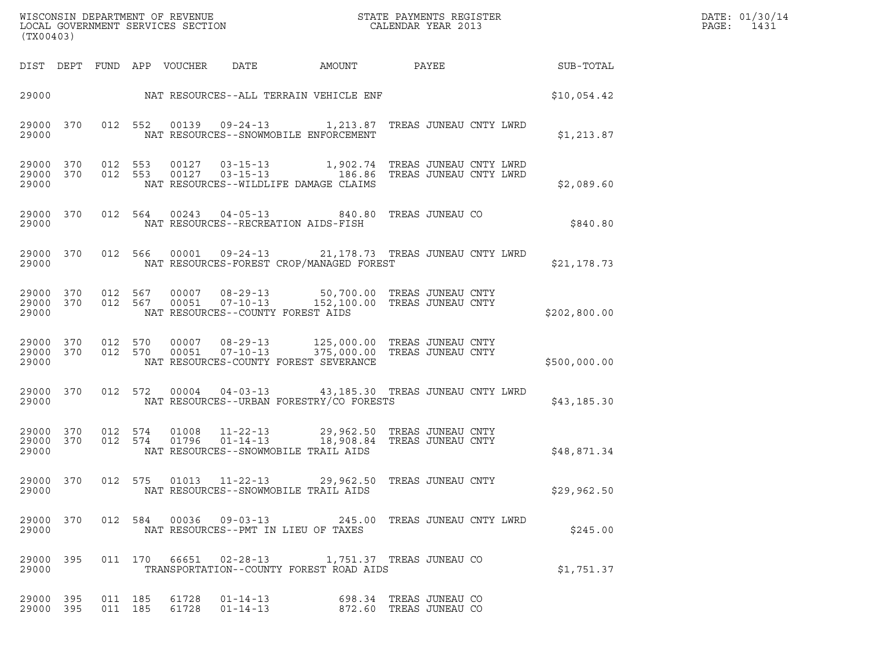|       | DATE: 01/30/ |
|-------|--------------|
| PAGE: | 1431         |

| (TX00403)                       |                   |         |                    |                            | WISCONSIN DEPARTMENT OF REVENUE<br>LOCAL GOVERNMENT SERVICES SECTION |                                                                                                      | STATE PAYMENTS REGISTER<br>CALENDAR YEAR 2013                                                        |              | DATE: 01/30/14<br>PAGE:<br>1431 |
|---------------------------------|-------------------|---------|--------------------|----------------------------|----------------------------------------------------------------------|------------------------------------------------------------------------------------------------------|------------------------------------------------------------------------------------------------------|--------------|---------------------------------|
|                                 |                   |         |                    | DIST DEPT FUND APP VOUCHER | DATE                                                                 | AMOUNT                                                                                               | PAYEE                                                                                                | SUB-TOTAL    |                                 |
| 29000                           |                   |         |                    |                            |                                                                      | NAT RESOURCES--ALL TERRAIN VEHICLE ENF                                                               |                                                                                                      | \$10,054.42  |                                 |
| 29000 370<br>29000              |                   |         | 012 552            |                            |                                                                      | NAT RESOURCES--SNOWMOBILE ENFORCEMENT                                                                | 00139  09-24-13  1,213.87  TREAS JUNEAU CNTY LWRD                                                    | \$1,213.87   |                                 |
| 29000 370<br>29000 370<br>29000 |                   | 012 553 | 012 553            |                            |                                                                      | NAT RESOURCES--WILDLIFE DAMAGE CLAIMS                                                                | 00127  03-15-13  1,902.74  TREAS JUNEAU CNTY LWRD<br>00127  03-15-13  186.86  TREAS JUNEAU CNTY LWRD | \$2,089.60   |                                 |
| 29000                           | 29000 370         |         |                    |                            |                                                                      | 012 564 00243 04-05-13 840.80 TREAS JUNEAU CO<br>NAT RESOURCES--RECREATION AIDS-FISH                 |                                                                                                      | \$840.80     |                                 |
| 29000                           | 29000 370         |         | 012 566            | 00001                      |                                                                      | NAT RESOURCES-FOREST CROP/MANAGED FOREST                                                             | 09-24-13 21,178.73 TREAS JUNEAU CNTY LWRD                                                            | \$21,178.73  |                                 |
| 29000 370<br>29000              | 29000 370 012 567 |         | 012 567            |                            | NAT RESOURCES--COUNTY FOREST AIDS                                    | 00007  08-29-13  50,700.00  TREAS JUNEAU CNTY<br>00051  07-10-13  152,100.00 TREAS JUNEAU CNTY       |                                                                                                      | \$202,800.00 |                                 |
| 29000 370<br>29000 370<br>29000 |                   |         | 012 570<br>012 570 | 00007<br>00051             | $08 - 29 - 13$<br>$07 - 10 - 13$                                     | NAT RESOURCES-COUNTY FOREST SEVERANCE                                                                | 125,000.00 TREAS JUNEAU CNTY<br>375,000.00 TREAS JUNEAU CNTY                                         | \$500,000.00 |                                 |
| 29000 370<br>29000              |                   |         |                    |                            | 012 572 00004 04-03-13                                               | NAT RESOURCES--URBAN FORESTRY/CO FORESTS                                                             | 43,185.30 TREAS JUNEAU CNTY LWRD                                                                     | \$43, 185.30 |                                 |
| 29000 370<br>29000 370<br>29000 |                   |         | 012 574<br>012 574 | 01008<br>01796             | $11 - 22 - 13$<br>$01 - 14 - 13$                                     | 29,962.50 TREAS JUNEAU CNTY<br>18,908.84 TREAS JUNEAU CNTY<br>NAT RESOURCES--SNOWMOBILE TRAIL AIDS   |                                                                                                      | \$48,871.34  |                                 |
| 29000                           |                   |         |                    |                            |                                                                      | 29000 370 012 575 01013 11-22-13 29,962.50 TREAS JUNEAU CNTY<br>NAT RESOURCES--SNOWMOBILE TRAIL AIDS |                                                                                                      | \$29,962.50  |                                 |
| 29000 370<br>29000              |                   |         |                    |                            |                                                                      | NAT RESOURCES--PMT IN LIEU OF TAXES                                                                  | 012 584 00036 09-03-13 245.00 TREAS JUNEAU CNTY LWRD                                                 | \$245.00     |                                 |
| 29000                           | 29000 395         |         |                    |                            |                                                                      | 011  170  66651  02-28-13   1,751.37  TREAS JUNEAU CO<br>TRANSPORTATION--COUNTY FOREST ROAD AIDS     |                                                                                                      | \$1,751.37   |                                 |
| 29000 395<br>29000 395          |                   |         | 011 185<br>011 185 | 61728                      | 61728   01-14-13                                                     | 01-14-13 698.34 TREAS JUNEAU CO                                                                      | 872.60   TREAS JUNEAU CO                                                                             |              |                                 |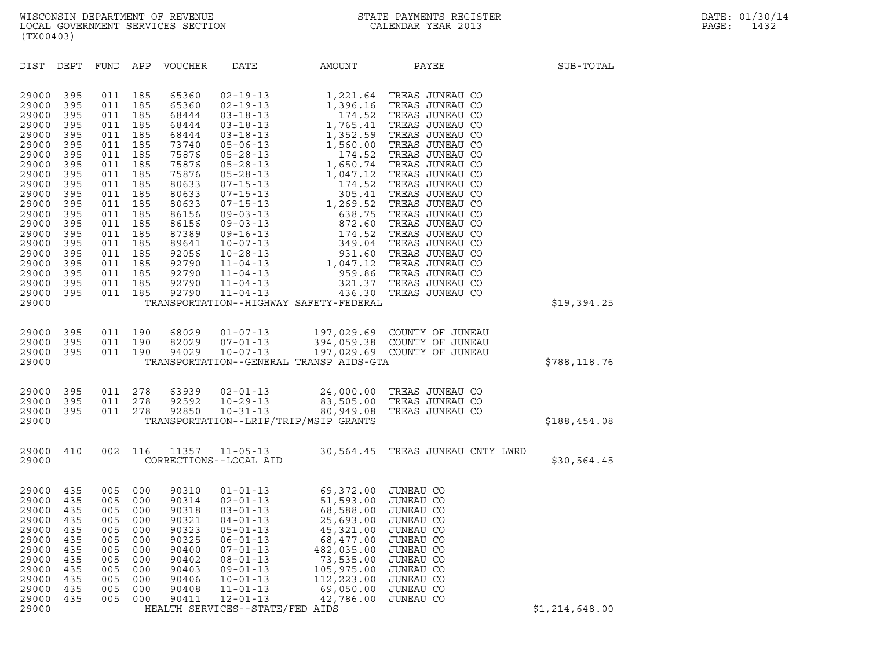DIST DEPT FUND APP VOUCHER DATE AMOUNT PAYEE SUB-TOTAL 29000 395 011 185 65360 02-19-13 1,221.64 TREAS JUNEAU CO 29000 395 011 185 65360 02-19-13 1,221.64 TREAS JUNEAU CO<br>29000 395 011 185 65360 02-19-13 1,396.16 TREAS JUNEAU CO<br>29000 395 011 185 68444 03-18-13 174.52 TREAS JUNEAU CO 29000 395 011 185 65360 02-19-13 1,221.64 TREAS JUNEAU CO<br>29000 395 011 185 65360 02-19-13 1,396.16 TREAS JUNEAU CO<br>29000 395 011 185 68444 03-18-13 174.52 TREAS JUNEAU CO<br>29000 395 011 185 68444 03-18-13 29000 395 011 185 65360 02-19-13 1,221.64 TREAS JUNEAU CO<br>29000 395 011 185 65360 02-19-13 1,396.16 TREAS JUNEAU CO<br>29000 395 011 185 68444 03-18-13 1765.41 TREAS JUNEAU CO<br>29000 395 011 185 68444 03-18-13 1,352.59 TREAS J 29000 395 011 185 65360 02-19-13 1,396.16 TREAS JUNEAU CO<br>29000 395 011 185 68444 03-18-13 174.52 TREAS JUNEAU CO<br>29000 395 011 185 68444 03-18-13 1,352.59 TREAS JUNEAU CO<br>29000 395 011 185 73740 05-06-13 1,560.00 TREAS JU 29000 395 011 185 68444 03-18-13 174.52 TREAS JUNEAU CO<br>29000 395 011 185 68444 03-18-13 1,765.41 TREAS JUNEAU CO<br>29000 395 011 185 68444 03-18-13 1,352.59 TREAS JUNEAU CO<br>29000 395 011 185 73740 05-06-13 1,560.00 TREAS JU 29000 395 011 185 68444 03-18-13 1,765.41 TREAS JUNEAU CO<br>29000 395 011 185 68444 03-18-13 1,352.59 TREAS JUNEAU CO<br>29000 395 011 185 73740 05-06-13 1,560.00 TREAS JUNEAU CO<br>29000 395 011 185 75876 05-28-13 1,650.74 TREAS 29000 395 011 185 68444 03-18-13 1,352.59 TREAS JUNEAU CO<br>29000 395 011 185 73740 05-06-13 1,560.00 TREAS JUNEAU CO<br>29000 395 011 185 75876 05-28-13 1,560.74 TREAS JUNEAU CO<br>29000 395 011 185 75876 05-28-13 1,647.12 TREAS 29000 395 011 185 73740 05-06-13 1,560.00 TREAS JUNEAU CO<br>29000 395 011 185 75876 05-28-13 174.52 TREAS JUNEAU CO<br>29000 395 011 185 75876 05-28-13 1,650.74 TREAS JUNEAU CO<br>29000 395 011 185 80633 07-15-13 174.52 TREAS JUNE 29000 395 011 185 75876 05-28-13 174.52 TREAS JUNEAU CO<br>29000 395 011 185 75876 05-28-13 1,650.74 TREAS JUNEAU CO<br>29000 395 011 185 75876 05-28-13 1,047.12 TREAS JUNEAU CO<br>29000 395 011 185 80633 07-15-13 174.52 TREAS JUNE 29000 395 011 185 75876 05-28-13 1,650.74 TREAS JUNEAU CO<br>29000 395 011 185 75876 05-28-13 1,047.12 TREAS JUNEAU CO<br>29000 395 011 185 80633 07-15-13 174.52 TREAS JUNEAU CO<br>29000 395 011 185 80633 07-15-13 105.41 TREAS JUNE 29000 395 011 185 75876 05-28-13 1,047.12 TREAS JUNEAU CO<br>29000 395 011 185 80633 07-15-13 174.52 TREAS JUNEAU CO<br>29000 395 011 185 80633 07-15-13 3 105.41 TREAS JUNEAU CO<br>29000 395 011 185 86156 09-03-13 638.75 TREAS JUNE 29000 395 011 185 80633 07-15-13 174.52 TREAS JUNEAU CO<br>29000 395 011 185 80633 07-15-13 305.41 TREAS JUNEAU CO<br>29000 395 011 185 80633 07-15-13 1,269.52 TREAS JUNEAU CO<br>29000 395 011 185 86156 09-03-13 638.75 TREAS JUNEAU 29000 395 011 185 80633 07-15-13 305.41 TREAS JUNEAU CO<br>29000 395 011 185 80633 07-15-13 1,269.52 TREAS JUNEAU CO<br>29000 395 011 185 86156 09-03-13 638.75 TREAS JUNEAU CO<br>29000 395 011 185 87389 09-16-13 174.52 TREAS JUNEAU 29000 395 011 185 80633 07-15-13 1,269.52 TREAS JUNEAU CO<br>29000 395 011 185 86156 09-03-13 638.75 TREAS JUNEAU CO<br>29000 395 011 185 86156 09-03-13 8738 8736 TREAS JUNEAU CO<br>29000 395 011 185 89641 10-07-13 349.04 TREAS JUN 29000 395 011 185 86156 09-03-13 638.75 TREAS JUNEAU CO<br>29000 395 011 185 86156 09-03-13 872.60 TREAS JUNEAU CO<br>29000 395 011 185 8789 09-16-13 1744.52 TREAS JUNEAU CO<br>29000 395 011 185 92056 10-28-13 931.60 TREAS JUNEAU C 29000 395 011 185 86156 09-03-13 872.60 TREAS JUNEAU CO<br>29000 395 011 185 87389 09-16-13 174.52 TREAS JUNEAU CO<br>29000 395 011 185 92056 10-28-13 349.04 TREAS JUNEAU CO<br>29000 395 011 185 92790 11-04-13 1,047.12 TREAS JUNEAU 29000 395 011 185 87389 09-16-13 174.52 TREAS JUNEAU CO<br>29000 395 011 185 89641 10-07-13 349.04 TREAS JUNEAU CO<br>29000 395 011 185 92790 11-04-13 1,047.12 TREAS JUNEAU CO<br>29000 395 011 185 92790 11-04-13 1,047.12 TREAS JUNE 29000 395 011 185 89641 10-07-13 349.04 TREAS JUNEAU CO<br>29000 395 011 185 92056 10-28-13 349.04 TREAS JUNEAU CO<br>29000 395 011 185 92790 11-04-13 1,047.12 TREAS JUNEAU CO<br>29000 395 011 185 92790 11-04-13 321.37 TREAS JUNEAU 29000 395 011 185 92056 10-28-13 931.60 TREAS JUNEAU CO<br>29000 395 011 185 92790 11-04-13 1,047.12 TREAS JUNEAU CO<br>29000 395 011 185 92790 11-04-13 959.86 TREAS JUNEAU CO<br>29000 395 011 185 92790 11-04-13 321 29000 395 011 185 92790 11-04-13 1,047.12 TREAS JUNEAU CO<br>29000 395 011 185 92790 11-04-13 959.86 TREAS JUNEAU CO<br>29000 395 011 185 92790 11-04-13 321.37 TREAS JUNEAU CO<br>29000 395 011 185 92790 11-04-13 436.30 TREAS JUNEAU <sup>29000</sup> TRANSPORTATION--HIGHWAY SAFETY-FEDERAL \$19,394.25 29000 395 011 190 68029 01-07-13 197,029.69 COUNTY OF JUNEAU 29000 395 011 190 68029 01-07-13 197,029.69 COUNTY OF JUNEAU<br>29000 395 011 190 82029 07-01-13 394,059.38 COUNTY OF JUNEAU<br>29000 395 011 190 94029 10-07-13 197,029.69 COUNTY OF JUNEAU 29000 395 011 190 68029 01-07-13 197,029.69 COUNTY. OF JUNEAU<br>29000 395 011 190 82029 07-01-13 394,059.38 COUNTY. OF JUNEAU<br>29000 395 011 190 94029 10-07-13 197,029.69 COUNTY. OF JUNEAU 29000 395 011 190 68029 01-07-13 197,029.69 COUNTY. OF JUNEAU<br>29000 395 011 190 82029 07-01-13 394,059.38 COUNTY. OF JUNEAU<br>29000 395 011 190 94029 10-07-13 197,029.69 COUNTY. OF JUNEAU \$788,118.76<br>29000 29000 395 011 278 63939 02-01-13 24,000.00 TREAS JUNEAU CO 29000 395 011 278 63939 02-01-13 24,000.00 TREAS JUNEAU CO<br>29000 395 011 278 92592 10-29-13 83,505.00 TREAS JUNEAU CO<br>29000 395 011 278 92850 10-31-13 80,949.08 TREAS JUNEAU CO 29000 395 011 278 63939 02-01-13 24,000.00 TREAS JUNEAU CO<br>29000 395 011 278 92592 10-29-13 83,505.00 TREAS JUNEAU CO<br>29000 395 011 278 92850 10-31-13 80,949.08 TREAS JUNEAU CO<br>29000 TRANSPORTATION--LRIP/TRIP/MSIP GRANTS <sup>29000</sup> TRANSPORTATION--LRIP/TRIP/MSIP GRANTS \$188,454.08 29000 410 002 116 11357 11-05-13 30,564.45 TREAS JUNEAU CNTY LWRD <sup>29000</sup> CORRECTIONS--LOCAL AID \$30,564.45 29000 435 005 000 90310 01-01-13 69,372.00 JUNEAU CO 29000 435 005 000 90310 01-01-13 69,372.00 JUNEAU CO<br>29000 435 005 000 90314 02-01-13 51,593.00 JUNEAU CO<br>29000 435 005 000 90318 03-01-13 68.588.00 JUNEAU CO 29000 435 005 000 90318 03-01-13 68,588.00 JUNEAU CO 29000 435 005 000 90310 01-01-13 69,372.00 JUNEAU CO<br>29000 435 005 000 90314 02-01-13 51,593.00 JUNEAU CO<br>29000 435 005 000 90318 03-01-13 68,588.00 JUNEAU CO<br>29000 435 005 000 90321 04-01-13 25,693.00 JUNEAU CO<br>29000 435 29000 435 005 000 90314 02-01-13 51,593.00 JUNEAU CO<br>29000 435 005 000 90318 03-01-13 68,588.00 JUNEAU CO<br>29000 435 005 000 90321 04-01-13 25,693.00 JUNEAU CO<br>29000 435 005 000 90323 05-01-13 45,321.00 JUNEAU CO<br>29000 435 29000 435 005 000 90318 03-01-13 68,588.00 JUNEAU CO<br>29000 435 005 000 90321 04-01-13 25,693.00 JUNEAU CO<br>29000 435 005 000 90323 05-01-13 45,321.00 JUNEAU CO<br>29000 435 005 000 90400 07-01-13 482,035.00 JUNEAU CO

29000 435 005 000 90321 04-01-13 25,693.00 JUNEAU CO<br>29000 435 005 000 90323 05-01-13 45,321.00 JUNEAU CO<br>29000 435 005 000 90325 06-01-13 68,477.00 JUNEAU CO<br>29000 435 005 000 90400 07-01-13 482,035.00 JUNEAU CO<br>29000 435 29000 435 005 000 90323 05-01-13 45,321.00 JUNEAU CO<br>29000 435 005 000 90325 06-01-13 68,477.00 JUNEAU CO<br>29000 435 005 000 90402 07-01-13 482,035.00 JUNEAU CO<br>29000 435 005 000 90402 08-01-13 73,535.00 JUNEAU CO<br>29000 435 29000 435 005 000 90325 06-01-13 68,477.00 JUNEAU CO<br>29000 435 005 000 90400 07-01-13 482,035.00 JUNEAU CO<br>29000 435 005 000 90402 08-01-13 105,975.00 JUNEAU CO<br>29000 435 005 000 90403 09-01-13 105,975.00 JUNEAU CO<br>29000 4 29000 435 005 000 90400 07-01-13 482,035.00 JUNEAU CO<br>29000 435 005 000 90402 08-01-13 73,535.00 JUNEAU CO<br>29000 435 005 000 90406 10-01-13 112,223.00 JUNEAU CO<br>29000 435 005 000 90406 10-01-13 112,223.00 JUNEAU CO<br>29000 4 29000 435 005 000 90402 08-01-13 73,535.00 JUNEAU CO<br>29000 435 005 000 90403 09-01-13 105,975.00 JUNEAU CO<br>29000 435 005 000 90406 10-01-13 112,223.00 JUNEAU CO<br>29000 435 005 000 90411 12-01-13 42,786.00 JUNEAU CO 29000 435 005 000 90403 09-01-13 105,975.00 JUNEAU CO<br>29000 435 005 000 90406 10-01-13 112,223.00 JUNEAU CO<br>29000 435 005 000 90408 11-01-13 69,050.00 JUNEAU CO<br>29000 435 005 000 90411 12-01-13 42,786.00 JUNEAU CO<br>29000 HE

29000 435 005 000 90406 10-01-13 112,223.00 JUNEAU CO<br>29000 435 005 000 90408 11-01-13 69,050.00 JUNEAU CO<br>29000 435 005 000 90411 12-01-13 42,786.00 JUNEAU CO<br>29000 HEALTH SERVICES--STATE/FED AIDS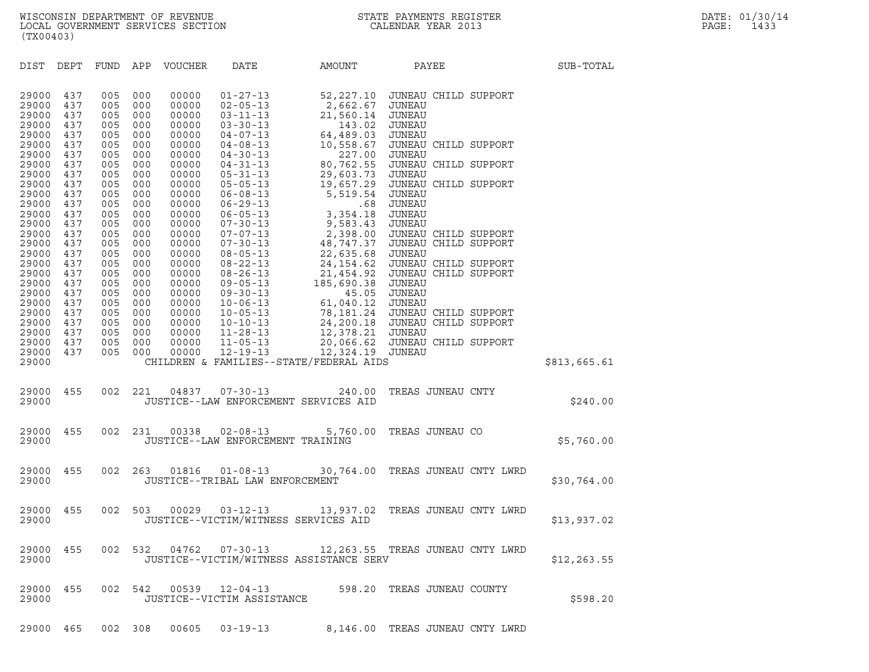| (TX00403)                        |                          |                          |                          |                                  |                                                                      |                                                                                 |                                                                             |              |
|----------------------------------|--------------------------|--------------------------|--------------------------|----------------------------------|----------------------------------------------------------------------|---------------------------------------------------------------------------------|-----------------------------------------------------------------------------|--------------|
| DIST                             | DEPT                     | FUND APP                 |                          | VOUCHER                          | DATE                                                                 | AMOUNT                                                                          | PAYEE                                                                       | SUB-TOTAL    |
| 29000<br>29000<br>29000<br>29000 | 437<br>437<br>437<br>437 | 005<br>005<br>005<br>005 | 000<br>000<br>000<br>000 | 00000<br>00000<br>00000<br>00000 | $01 - 27 - 13$<br>$02 - 05 - 13$<br>$03 - 11 - 13$<br>$03 - 30 - 13$ | 52,227.10<br>2,662.67<br>21,560.14<br>143.02                                    | JUNEAU CHILD SUPPORT<br>JUNEAU<br>JUNEAU<br>JUNEAU                          |              |
| 29000<br>29000<br>29000          | 437<br>437<br>437        | 005<br>005<br>005        | 000<br>000<br>000        | 00000<br>00000<br>00000          | $04 - 07 - 13$<br>$04 - 08 - 13$<br>$04 - 30 - 13$                   | 64,489.03<br>10,558.67<br>227.00                                                | JUNEAU<br>JUNEAU CHILD SUPPORT<br>JUNEAU                                    |              |
| 29000<br>29000<br>29000          | 437<br>437<br>437        | 005<br>005<br>005        | 000<br>000<br>000        | 00000<br>00000<br>00000          | $04 - 31 - 13$<br>$05 - 31 - 13$<br>$05 - 05 - 13$                   | 80,762.55<br>29,603.73<br>19,657.29                                             | JUNEAU CHILD SUPPORT<br>JUNEAU<br>JUNEAU CHILD SUPPORT                      |              |
| 29000<br>29000<br>29000<br>29000 | 437<br>437<br>437<br>437 | 005<br>005<br>005<br>005 | 000<br>000<br>000<br>000 | 00000<br>00000<br>00000<br>00000 | $06 - 08 - 13$<br>$06 - 29 - 13$<br>$06 - 05 - 13$<br>$07 - 30 - 13$ | 5,519.54<br>.68<br>3,354.18<br>9,583.43                                         | JUNEAU<br>JUNEAU<br>JUNEAU<br>JUNEAU                                        |              |
| 29000<br>29000<br>29000          | 437<br>437<br>437        | 005<br>005<br>005        | 000<br>000<br>000        | 00000<br>00000<br>00000          | $07 - 07 - 13$<br>$07 - 30 - 13$<br>$08 - 05 - 13$                   | 48,747.37<br>22,635.68                                                          | 2,398.00 JUNEAU CHILD SUPPORT<br>JUNEAU CHILD SUPPORT<br>JUNEAU             |              |
| 29000<br>29000<br>29000<br>29000 | 437<br>437<br>437<br>437 | 005<br>005<br>005<br>005 | 000<br>000<br>000<br>000 | 00000<br>00000<br>00000<br>00000 | $08 - 22 - 13$<br>$08 - 26 - 13$<br>$09 - 05 - 13$<br>$09 - 30 - 13$ | 24,154.62<br>185,690.38<br>45.05                                                | JUNEAU CHILD SUPPORT<br>21,454.92 JUNEAU CHILD SUPPORT<br>JUNEAU<br>JUNEAU  |              |
| 29000<br>29000<br>29000          | 437<br>437<br>437        | 005<br>005<br>005        | 000<br>000<br>000        | 00000<br>00000<br>00000          | $10 - 06 - 13$<br>$10 - 05 - 13$<br>$10 - 10 - 13$                   | 61,040.12                                                                       | JUNEAU<br>78,181.24 JUNEAU CHILD SUPPORT<br>24, 200.18 JUNEAU CHILD SUPPORT |              |
| 29000<br>29000<br>29000<br>29000 | 437<br>437<br>437        | 005<br>005<br>005        | 000<br>000<br>000        | 00000<br>00000<br>00000          | $11 - 28 - 13$<br>$11 - 05 - 13$<br>12-19-13                         | 12,378.21 JUNEAU<br>12,324.19 JUNEAU<br>CHILDREN & FAMILIES--STATE/FEDERAL AIDS | 20,066.62 JUNEAU CHILD SUPPORT                                              | \$813,665.61 |
| 29000<br>29000                   | 455                      | 002                      | 221                      | 04837                            | $07 - 30 - 13$                                                       | 240.00<br>JUSTICE--LAW ENFORCEMENT SERVICES AID                                 | TREAS JUNEAU CNTY                                                           | \$240.00     |
| 29000<br>29000                   | 455                      | 002                      | 231                      | 00338                            | $02 - 08 - 13$<br>JUSTICE--LAW ENFORCEMENT TRAINING                  | 5,760.00                                                                        | TREAS JUNEAU CO                                                             | \$5,760.00   |
| 29000<br>29000                   | 455                      | 002                      | 263                      | 01816                            | $01 - 08 - 13$<br>JUSTICE--TRIBAL LAW ENFORCEMENT                    | 30,764.00                                                                       | TREAS JUNEAU CNTY LWRD                                                      | \$30,764.00  |
| 29000<br>29000                   | 455                      | 002                      | 503                      | 00029                            | $03 - 12 - 13$                                                       | 13,937.02<br>JUSTICE--VICTIM/WITNESS SERVICES AID                               | TREAS JUNEAU CNTY LWRD                                                      | \$13,937.02  |
| 29000 455<br>29000               |                          |                          | 002 532                  | 04762                            | $07 - 30 - 13$                                                       | JUSTICE--VICTIM/WITNESS ASSISTANCE SERV                                         | 12,263.55 TREAS JUNEAU CNTY LWRD                                            | \$12, 263.55 |
| 29000<br>29000                   | 455                      |                          | 002 542                  | 00539                            | $12 - 04 - 13$<br>JUSTICE--VICTIM ASSISTANCE                         |                                                                                 | 598.20 TREAS JUNEAU COUNTY                                                  | \$598.20     |
| 29000 465                        |                          |                          | 002 308                  | 00605                            | $03 - 19 - 13$                                                       |                                                                                 | 8,146.00 TREAS JUNEAU CNTY LWRD                                             |              |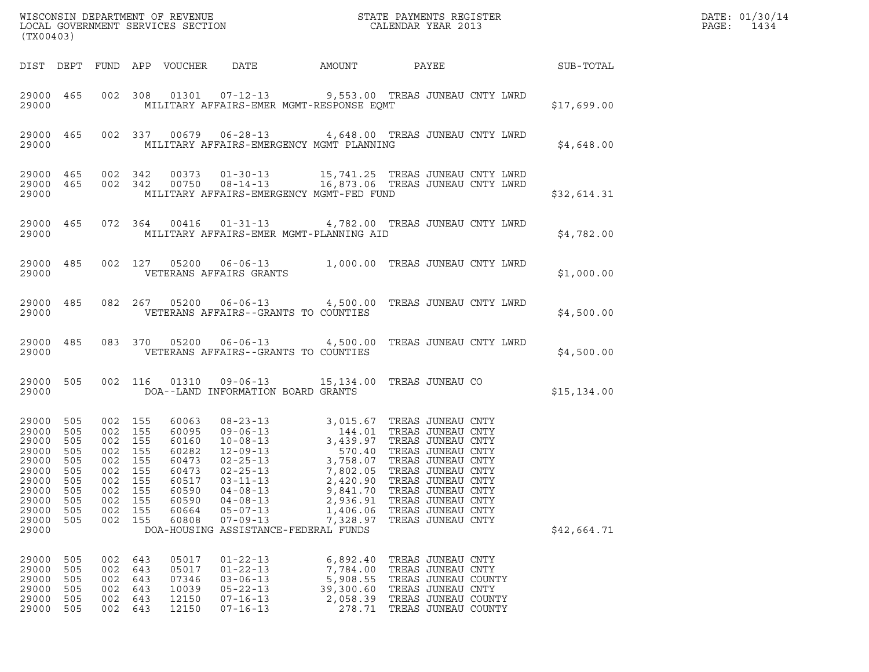| (TX00403)                                                                                                    |                                                                    |                                                                                                       |                                        |                                                                                                 |                                                                                                                                                  |                                                                     | WISCONSIN DEPARTMENT OF REVENUE<br>LOCAL GOVERNMENT SERVICES SECTION<br>CALENDAR YEAR 2013                                                                                                                                                                                                                             |              | DATE: 01/30/14<br>PAGE:<br>1434 |
|--------------------------------------------------------------------------------------------------------------|--------------------------------------------------------------------|-------------------------------------------------------------------------------------------------------|----------------------------------------|-------------------------------------------------------------------------------------------------|--------------------------------------------------------------------------------------------------------------------------------------------------|---------------------------------------------------------------------|------------------------------------------------------------------------------------------------------------------------------------------------------------------------------------------------------------------------------------------------------------------------------------------------------------------------|--------------|---------------------------------|
|                                                                                                              |                                                                    |                                                                                                       |                                        |                                                                                                 |                                                                                                                                                  |                                                                     |                                                                                                                                                                                                                                                                                                                        |              |                                 |
| 29000                                                                                                        |                                                                    |                                                                                                       |                                        |                                                                                                 | MILITARY AFFAIRS-EMER MGMT-RESPONSE EQMT                                                                                                         |                                                                     | 29000 465 002 308 01301 07-12-13 9,553.00 TREAS JUNEAU CNTY LWRD                                                                                                                                                                                                                                                       | \$17,699.00  |                                 |
| 29000                                                                                                        |                                                                    |                                                                                                       |                                        |                                                                                                 | MILITARY AFFAIRS-EMERGENCY MGMT PLANNING                                                                                                         |                                                                     | 29000 465 002 337 00679 06-28-13 4,648.00 TREAS JUNEAU CNTY LWRD                                                                                                                                                                                                                                                       | \$4,648.00   |                                 |
| 29000                                                                                                        |                                                                    |                                                                                                       |                                        |                                                                                                 | MILITARY AFFAIRS-EMERGENCY MGMT-FED FUND                                                                                                         |                                                                     | $\begin{array}{cccccccc} 29000& 465& 002& 342& 00373& 01-30-13& 15,741.25 & \text{TREAS JUNEAU CNTY LWRD} \\ 29000& 465& 002& 342& 00750& 08-14-13& 16,873.06 & \text{TREAS JUNEAU CNTY LWRD} \end{array}$                                                                                                             | \$32,614.31  |                                 |
| 29000                                                                                                        |                                                                    |                                                                                                       |                                        |                                                                                                 | MILITARY AFFAIRS-EMER MGMT-PLANNING AID                                                                                                          |                                                                     | 29000 465 072 364 00416 01-31-13 4,782.00 TREAS JUNEAU CNTY LWRD                                                                                                                                                                                                                                                       | \$4,782.00   |                                 |
|                                                                                                              |                                                                    |                                                                                                       |                                        |                                                                                                 | 29000 VETERANS AFFAIRS GRANTS                                                                                                                    |                                                                     | 29000 485 002 127 05200 06-06-13 1,000.00 TREAS JUNEAU CNTY LWRD                                                                                                                                                                                                                                                       | \$1,000.00   |                                 |
| 29000                                                                                                        |                                                                    |                                                                                                       |                                        |                                                                                                 | VETERANS AFFAIRS--GRANTS TO COUNTIES                                                                                                             |                                                                     | 29000 485 082 267 05200 06-06-13 4,500.00 TREAS JUNEAU CNTY LWRD                                                                                                                                                                                                                                                       | \$4,500.00   |                                 |
| 29000                                                                                                        |                                                                    |                                                                                                       |                                        |                                                                                                 | VETERANS AFFAIRS--GRANTS TO COUNTIES                                                                                                             |                                                                     | 29000 485 083 370 05200 06-06-13 4,500.00 TREAS JUNEAU CNTY LWRD                                                                                                                                                                                                                                                       | \$4,500.00   |                                 |
| 29000 505<br>29000                                                                                           |                                                                    |                                                                                                       |                                        |                                                                                                 | DOA--LAND INFORMATION BOARD GRANTS                                                                                                               |                                                                     | 002 116 01310 09-06-13 15,134.00 TREAS JUNEAU CO                                                                                                                                                                                                                                                                       | \$15, 134.00 |                                 |
| 29000<br>29000<br>29000<br>29000<br>29000<br>29000 505<br>29000<br>29000<br>29000<br>29000<br>29000<br>29000 | 505<br>505<br>505<br>505<br>505<br>505<br>505<br>505<br>505<br>505 | 002 155<br>002 155<br>002 155<br>002 155<br>002 155<br>002 155<br>002<br>002<br>002<br>002<br>002 155 | 155<br>155<br>155<br>155               | 60063<br>60095<br>60160<br>60282<br>60473<br>60473<br>60517<br>60590<br>60590<br>60664<br>60808 | $02 - 25 - 13$<br>$03 - 11 - 13$<br>$04 - 08 - 13$<br>$04 - 08 - 13$<br>$05 - 07 - 13$<br>$07 - 09 - 13$<br>DOA-HOUSING ASSISTANCE-FEDERAL FUNDS | 2,420.90<br>9,841.70<br>2,936.91<br>1,406.06<br>7,328.97            | 08-23-13<br>09-06-13<br>144.01 TREAS JUNEAU CNTY<br>10-08-13<br>270.40 TREAS JUNEAU CNTY<br>22-25-13<br>27,802.05 TREAS JUNEAU CNTY<br>22-25-13<br>27,802.05 TREAS JUNEAU CNTY<br>27,802.05 TREAS JUNEAU CNTY<br>TREAS JUNEAU CNTY<br>TREAS JUNEAU CNTY<br>TREAS JUNEAU CNTY<br>TREAS JUNEAU CNTY<br>TREAS JUNEAU CNTY | \$42,664.71  |                                 |
| 29000<br>29000<br>29000<br>29000<br>29000<br>29000                                                           | 505<br>505<br>505<br>505<br>505<br>505                             | 002<br>002<br>002<br>002<br>002<br>002                                                                | 643<br>643<br>643<br>643<br>643<br>643 | 05017<br>05017<br>07346<br>10039<br>12150<br>12150                                              | $01 - 22 - 13$<br>$01 - 22 - 13$<br>$03 - 06 - 13$<br>$05 - 22 - 13$<br>$07 - 16 - 13$<br>$07 - 16 - 13$                                         | 6,892.40<br>7,784.00<br>5,908.55<br>39,300.60<br>2,058.39<br>278.71 | TREAS JUNEAU CNTY<br>TREAS JUNEAU CNTY<br>TREAS JUNEAU COUNTY<br>TREAS JUNEAU CNTY<br>TREAS JUNEAU COUNTY<br>TREAS JUNEAU COUNTY                                                                                                                                                                                       |              |                                 |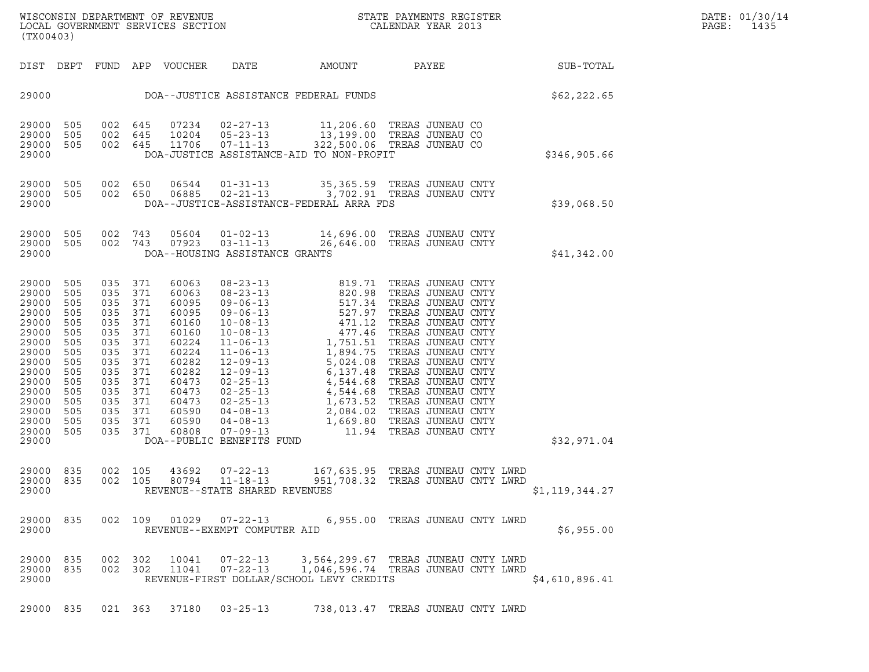WISCONSIN DEPARTMENT OF REVENUE<br>LOCAL GOVERNMENT SERVICES SECTION STATE PAYMENTS REGISTER SECONDER STATE PASS SERVICES SECTION WISCONSIN DEPARTMENT OF REVENUE<br>LOCAL GOVERNMENT SERVICES SECTION FOR THE STATE PAYMENTS REGISTER FOR THE PAGE: 1435<br>(TX00403) (TX00403)

| (TX00403)                                                                                                                                                                                                                                                             |                                                                                                                                                                                                                              |                                                                                                                                              |                                                                                                                                                                                                                                                                                                                           |                                                                                                                                                                               |                                                                                                                                                                                                                                                                                                                                              |                |
|-----------------------------------------------------------------------------------------------------------------------------------------------------------------------------------------------------------------------------------------------------------------------|------------------------------------------------------------------------------------------------------------------------------------------------------------------------------------------------------------------------------|----------------------------------------------------------------------------------------------------------------------------------------------|---------------------------------------------------------------------------------------------------------------------------------------------------------------------------------------------------------------------------------------------------------------------------------------------------------------------------|-------------------------------------------------------------------------------------------------------------------------------------------------------------------------------|----------------------------------------------------------------------------------------------------------------------------------------------------------------------------------------------------------------------------------------------------------------------------------------------------------------------------------------------|----------------|
| DIST<br>DEPT                                                                                                                                                                                                                                                          | FUND<br>APP                                                                                                                                                                                                                  | <b>VOUCHER</b>                                                                                                                               | DATE                                                                                                                                                                                                                                                                                                                      | AMOUNT                                                                                                                                                                        | PAYEE                                                                                                                                                                                                                                                                                                                                        | SUB-TOTAL      |
| 29000                                                                                                                                                                                                                                                                 |                                                                                                                                                                                                                              |                                                                                                                                              | DOA--JUSTICE ASSISTANCE FEDERAL FUNDS                                                                                                                                                                                                                                                                                     |                                                                                                                                                                               |                                                                                                                                                                                                                                                                                                                                              | \$62, 222.65   |
| 29000<br>505<br>29000<br>505<br>29000<br>505<br>29000                                                                                                                                                                                                                 | 645<br>002<br>002<br>645<br>002<br>645                                                                                                                                                                                       | 07234<br>10204<br>11706                                                                                                                      | $02 - 27 - 13$<br>$05 - 23 - 13$<br>$07 - 11 - 13$<br>DOA-JUSTICE ASSISTANCE-AID TO NON-PROFIT                                                                                                                                                                                                                            | 11,206.60<br>13,199.00<br>322,500.06                                                                                                                                          | TREAS JUNEAU CO<br>TREAS JUNEAU CO<br>TREAS JUNEAU CO                                                                                                                                                                                                                                                                                        | \$346,905.66   |
| 29000<br>505<br>29000<br>505<br>29000                                                                                                                                                                                                                                 | 002<br>650<br>002<br>650                                                                                                                                                                                                     | 06544<br>06885                                                                                                                               | $01 - 31 - 13$<br>$02 - 21 - 13$<br>DOA--JUSTICE-ASSISTANCE-FEDERAL ARRA FDS                                                                                                                                                                                                                                              | 35, 365.59<br>3,702.91                                                                                                                                                        | TREAS JUNEAU CNTY<br>TREAS JUNEAU CNTY                                                                                                                                                                                                                                                                                                       | \$39,068.50    |
| 29000<br>505<br>29000<br>505<br>29000                                                                                                                                                                                                                                 | 002<br>743<br>002<br>743                                                                                                                                                                                                     | 05604<br>07923                                                                                                                               | $01 - 02 - 13$<br>$03 - 11 - 13$<br>DOA--HOUSING ASSISTANCE GRANTS                                                                                                                                                                                                                                                        | 14,696.00<br>26,646.00                                                                                                                                                        | TREAS JUNEAU CNTY<br>TREAS JUNEAU CNTY                                                                                                                                                                                                                                                                                                       | \$41,342.00    |
| 29000<br>505<br>29000<br>505<br>29000<br>505<br>29000<br>505<br>29000<br>505<br>29000<br>505<br>29000<br>505<br>29000<br>505<br>29000<br>505<br>29000<br>505<br>29000<br>505<br>29000<br>505<br>29000<br>505<br>29000<br>505<br>29000<br>505<br>29000<br>505<br>29000 | 035<br>371<br>035<br>371<br>035<br>371<br>035<br>371<br>035<br>371<br>035<br>371<br>035<br>371<br>035<br>371<br>035<br>371<br>035<br>371<br>035<br>371<br>035<br>371<br>035<br>371<br>035<br>371<br>035<br>371<br>035<br>371 | 60063<br>60063<br>60095<br>60095<br>60160<br>60160<br>60224<br>60224<br>60282<br>60282<br>60473<br>60473<br>60473<br>60590<br>60590<br>60808 | $08 - 23 - 13$<br>$08 - 23 - 13$<br>$09 - 06 - 13$<br>$09 - 06 - 13$<br>$10 - 08 - 13$<br>$10 - 08 - 13$<br>$11 - 06 - 13$<br>$11 - 06 - 13$<br>$12 - 09 - 13$<br>$12 - 09 - 13$<br>$02 - 25 - 13$<br>$02 - 25 - 13$<br>$02 - 25 - 13$<br>$04 - 08 - 13$<br>$04 - 08 - 13$<br>$07 - 09 - 13$<br>DOA--PUBLIC BENEFITS FUND | 819.71<br>820.98<br>517.34<br>527.97<br>471.12<br>477.46<br>1,751.51<br>1,894.75<br>5,024.08<br>6,137.48<br>4,544.68<br>4,544.68<br>1,673.52<br>2,084.02<br>1,669.80<br>11.94 | TREAS JUNEAU CNTY<br>TREAS JUNEAU CNTY<br>TREAS JUNEAU CNTY<br>TREAS JUNEAU CNTY<br>TREAS JUNEAU CNTY<br>TREAS JUNEAU CNTY<br>TREAS JUNEAU CNTY<br>TREAS JUNEAU CNTY<br>TREAS JUNEAU CNTY<br>TREAS JUNEAU CNTY<br>TREAS JUNEAU CNTY<br>TREAS JUNEAU CNTY<br>TREAS JUNEAU CNTY<br>TREAS JUNEAU CNTY<br>TREAS JUNEAU CNTY<br>TREAS JUNEAU CNTY | \$32,971.04    |
| 29000<br>835<br>29000<br>835<br>29000                                                                                                                                                                                                                                 | 002<br>105<br>002<br>105                                                                                                                                                                                                     | 43692<br>80794                                                                                                                               | $07 - 22 - 13$<br>$11 - 18 - 13$<br>REVENUE--STATE SHARED REVENUES                                                                                                                                                                                                                                                        | 951,708.32                                                                                                                                                                    | 167,635.95 TREAS JUNEAU CNTY LWRD<br>TREAS JUNEAU CNTY LWRD                                                                                                                                                                                                                                                                                  | \$1,119,344.27 |
| 29000<br>835<br>29000                                                                                                                                                                                                                                                 | 109<br>002                                                                                                                                                                                                                   | 01029                                                                                                                                        | $07 - 22 - 13$<br>REVENUE--EXEMPT COMPUTER AID                                                                                                                                                                                                                                                                            | 6,955.00                                                                                                                                                                      | TREAS JUNEAU CNTY LWRD                                                                                                                                                                                                                                                                                                                       | \$6,955.00     |
| 29000<br>835<br>29000<br>835<br>29000                                                                                                                                                                                                                                 | 002<br>302<br>002<br>302                                                                                                                                                                                                     | 10041<br>11041                                                                                                                               | 07-22-13 3,564,299.67 TREAS JUNEAU CNTY LWRD<br>$07 - 22 - 13$<br>REVENUE-FIRST DOLLAR/SCHOOL LEVY CREDITS                                                                                                                                                                                                                |                                                                                                                                                                               | 1,046,596.74 TREAS JUNEAU CNTY LWRD                                                                                                                                                                                                                                                                                                          | \$4,610,896.41 |
| 835<br>29000                                                                                                                                                                                                                                                          | 021 363                                                                                                                                                                                                                      | 37180                                                                                                                                        | $03 - 25 - 13$                                                                                                                                                                                                                                                                                                            |                                                                                                                                                                               | 738,013.47 TREAS JUNEAU CNTY LWRD                                                                                                                                                                                                                                                                                                            |                |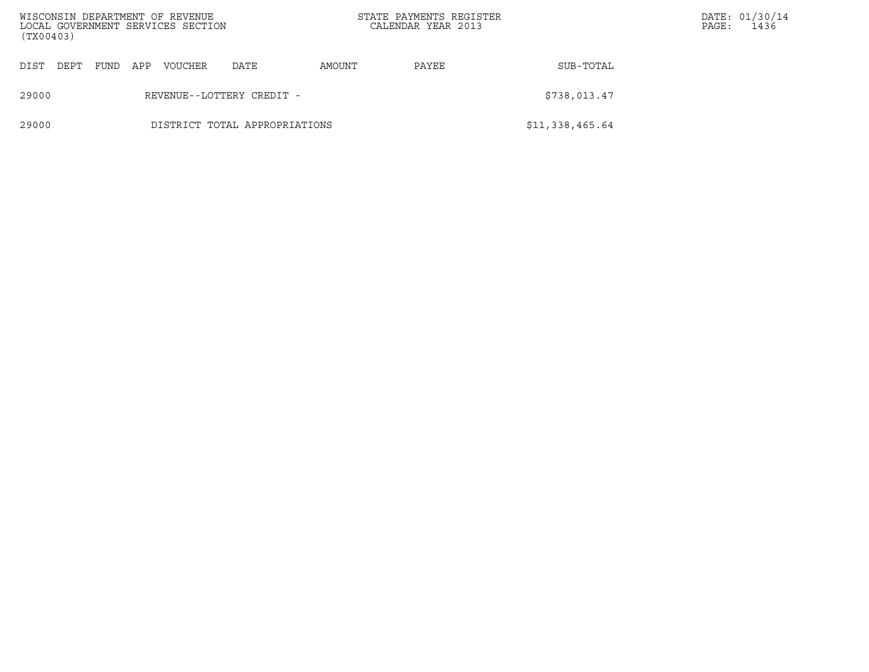| (TX00403) |      |      |     | WISCONSIN DEPARTMENT OF REVENUE<br>LOCAL GOVERNMENT SERVICES SECTION |                               |        | STATE PAYMENTS REGISTER<br>CALENDAR YEAR 2013 |                 | PAGE: | DATE: 01/30/14<br>1436 |
|-----------|------|------|-----|----------------------------------------------------------------------|-------------------------------|--------|-----------------------------------------------|-----------------|-------|------------------------|
| DIST      | DEPT | FUND | APP | VOUCHER                                                              | DATE                          | AMOUNT | SUB-TOTAL<br>PAYEE                            |                 |       |                        |
| 29000     |      |      |     |                                                                      | REVENUE--LOTTERY CREDIT -     |        |                                               | \$738,013.47    |       |                        |
| 29000     |      |      |     |                                                                      | DISTRICT TOTAL APPROPRIATIONS |        |                                               | \$11,338,465.64 |       |                        |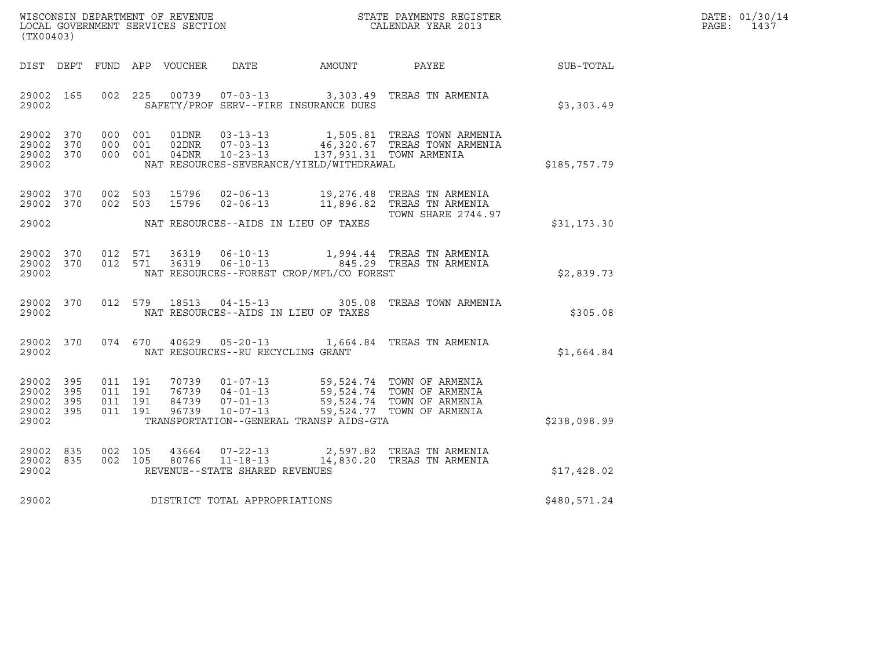| WISCONSIN DEPARTMENT OF REVENUE   | STATE PAYMENTS REGISTER | DATE: 01/30/14 |
|-----------------------------------|-------------------------|----------------|
| LOCAL GOVERNMENT SERVICES SECTION | CALENDAR YEAR 2013      | PAGE:<br>1437  |

| (TX00403)                                                 |  |  |  |  |                                     |                                            |                                                                                                                                                                                                              |              | DATE: 01/30/14<br>PAGE: 1437 |
|-----------------------------------------------------------|--|--|--|--|-------------------------------------|--------------------------------------------|--------------------------------------------------------------------------------------------------------------------------------------------------------------------------------------------------------------|--------------|------------------------------|
|                                                           |  |  |  |  |                                     |                                            | DIST DEPT FUND APP VOUCHER DATE AMOUNT PAYEE                                                                                                                                                                 | SUB-TOTAL    |                              |
| 29002 165<br>29002                                        |  |  |  |  |                                     | SAFETY/PROF SERV--FIRE INSURANCE DUES      | 002 225 00739 07-03-13 3,303.49 TREAS TN ARMENIA                                                                                                                                                             | \$3,303.49   |                              |
| 29002 370<br>29002 370<br>29002 370<br>29002              |  |  |  |  |                                     | NAT RESOURCES-SEVERANCE/YIELD/WITHDRAWAL   | 000 001 01DNR 03-13-13 1,505.81 TREAS TOWN ARMENIA<br>000 001 02DNR 07-03-13 46,320.67 TREAS TOWN ARMENIA<br>000 001 04DNR 10-23-13 137,931.31 TOWN ARMENIA                                                  | \$185,757.79 |                              |
| 29002 370<br>29002 370                                    |  |  |  |  |                                     | 29002 NAT RESOURCES--AIDS IN LIEU OF TAXES | 002 503 15796 02-06-13 19,276.48 TREAS TNARMENIA<br>002 503 15796 02-06-13 11,896.82 TREAS TNARMENIA<br><b>TOWN SHARE 2744.97</b>                                                                            | \$31,173.30  |                              |
| 29002 370<br>29002 370<br>29002                           |  |  |  |  |                                     | NAT RESOURCES--FOREST CROP/MFL/CO FOREST   | 012 571 36319 06-10-13 1,994.44 TREAS TN ARMENIA<br>012 571 36319 06-10-13 645.29 TREAS TN ARMENIA                                                                                                           | \$2,839.73   |                              |
| 29002                                                     |  |  |  |  |                                     | NAT RESOURCES--AIDS IN LIEU OF TAXES       | 29002 370 012 579 18513 04-15-13 305.08 TREAS TOWN ARMENIA                                                                                                                                                   | \$305.08     |                              |
| 29002                                                     |  |  |  |  | NAT RESOURCES--RU RECYCLING GRANT   |                                            | 29002 370 074 670 40629 05-20-13 1,664.84 TREAS TN ARMENIA                                                                                                                                                   | \$1,664.84   |                              |
| 29002 395<br>29002 395<br>29002 395<br>29002 395<br>29002 |  |  |  |  |                                     | TRANSPORTATION--GENERAL TRANSP AIDS-GTA    | 011 191 70739 01-07-13 59,524.74 TOWN OF ARMENIA<br>011 191 76739 04-01-13 59,524.74 TOWN OF ARMENIA<br>011 191 84739 07-01-13 59,524.74 TOWN OF ARMENIA<br>011 191 96739 10-07-13 59,524.77 TOWN OF ARMENIA | \$238,098.99 |                              |
| 29002 835<br>29002 835<br>29002                           |  |  |  |  | REVENUE--STATE SHARED REVENUES      |                                            | 002 105 43664 07-22-13 2,597.82 TREAS TNARMENIA<br>002 105 80766 11-18-13 14,830.20 TREAS TNARMENIA                                                                                                          | \$17,428.02  |                              |
|                                                           |  |  |  |  | 29002 DISTRICT TOTAL APPROPRIATIONS |                                            |                                                                                                                                                                                                              | \$480,571.24 |                              |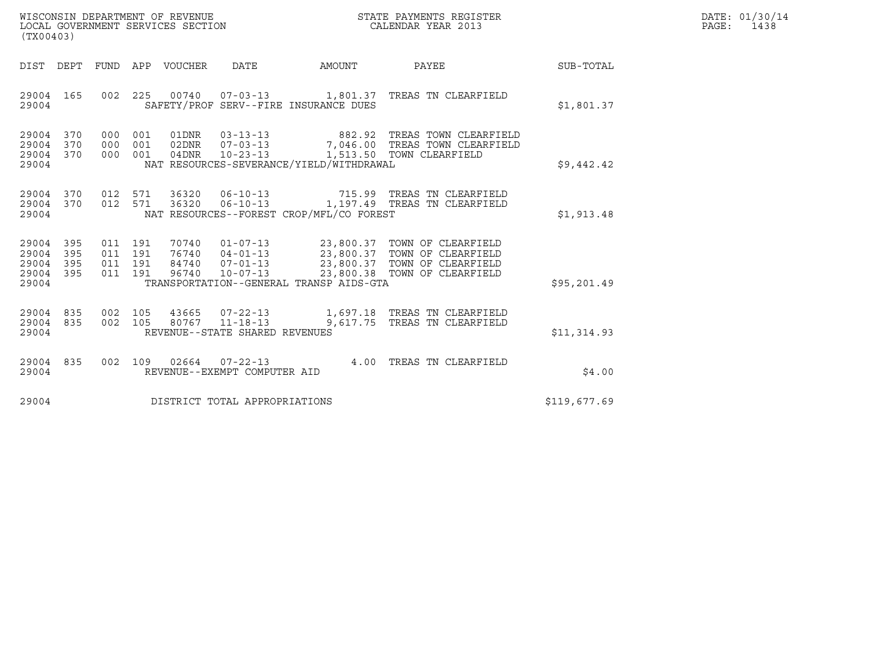| WISCONSIN DEPARTMENT OF REVENUE   | STATE PAYMENTS REGISTER | DATE: 01/30/14 |
|-----------------------------------|-------------------------|----------------|
| LOCAL GOVERNMENT SERVICES SECTION | CALENDAR YEAR 2013      | PAGE:<br>1438  |

| (TX00403)                                                             |                                                      |                                  |                                                                                                                 |                                                  |                                                                                      |              |
|-----------------------------------------------------------------------|------------------------------------------------------|----------------------------------|-----------------------------------------------------------------------------------------------------------------|--------------------------------------------------|--------------------------------------------------------------------------------------|--------------|
| <b>DIST</b><br>DEPT                                                   | <b>FUND</b><br>APP                                   | <b>VOUCHER</b>                   | <b>DATE</b>                                                                                                     | AMOUNT                                           | PAYEE                                                                                | SUB-TOTAL    |
| 29004<br>165<br>29004                                                 | 002<br>225                                           | 00740                            | $07 - 03 - 13$<br>SAFETY/PROF SERV--FIRE INSURANCE DUES                                                         |                                                  | 1,801.37 TREAS TN CLEARFIELD                                                         | \$1,801.37   |
| 370<br>29004<br>29004<br>370<br>29004<br>370<br>29004                 | 000<br>001<br>000<br>001<br>001<br>000               | 01DNR<br>02DNR<br>04DNR          | $03 - 13 - 13$<br>$07 - 03 - 13$<br>$10 - 23 - 13$<br>NAT RESOURCES-SEVERANCE/YIELD/WITHDRAWAL                  | 882.92                                           | TREAS TOWN CLEARFIELD<br>7,046.00 TREAS TOWN CLEARFIELD<br>1,513.50 TOWN CLEARFIELD  | \$9,442.42   |
| 29004<br>370<br>370<br>29004<br>29004                                 | 012<br>571<br>012<br>571                             | 36320<br>36320                   | $06 - 10 - 13$<br>$06 - 10 - 13$<br>NAT RESOURCES--FOREST CROP/MFL/CO FOREST                                    |                                                  | 715.99 TREAS TN CLEARFIELD<br>1,197.49 TREAS TN CLEARFIELD                           | \$1,913.48   |
| 29004<br>395<br>29004<br>395<br>29004<br>395<br>29004<br>395<br>29004 | 011<br>191<br>011<br>191<br>011<br>191<br>011<br>191 | 70740<br>76740<br>84740<br>96740 | $01 - 07 - 13$<br>$04 - 01 - 13$<br>$07 - 01 - 13$<br>$10 - 07 - 13$<br>TRANSPORTATION--GENERAL TRANSP AIDS-GTA | 23,800.37<br>23,800.37<br>23,800.37<br>23,800.38 | TOWN OF CLEARFIELD<br>TOWN OF CLEARFIELD<br>TOWN OF CLEARFIELD<br>TOWN OF CLEARFIELD | \$95,201.49  |
| 29004<br>835<br>29004<br>835<br>29004                                 | 002<br>105<br>002<br>105                             | 43665<br>80767                   | $07 - 22 - 13$<br>$11 - 18 - 13$<br>REVENUE--STATE SHARED REVENUES                                              | 9,617.75                                         | 1,697.18 TREAS TN CLEARFIELD<br>TREAS TN CLEARFIELD                                  | \$11,314.93  |
| 29004<br>835<br>29004                                                 | 002<br>109                                           | 02664                            | $07 - 22 - 13$<br>REVENUE--EXEMPT COMPUTER AID                                                                  | 4.00                                             | TREAS TN CLEARFIELD                                                                  | \$4.00       |
| 29004                                                                 |                                                      |                                  | DISTRICT TOTAL APPROPRIATIONS                                                                                   |                                                  |                                                                                      | \$119,677.69 |

(TX00403)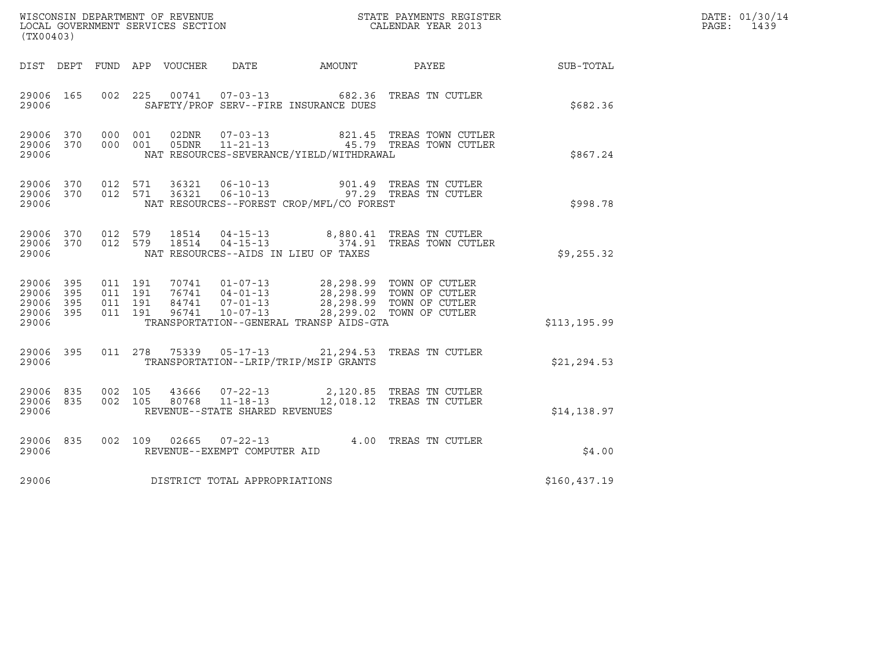|                                      |                             |                              |                    |                |                                                  |                                              |                                                                                                                                                                                                                                           |               | DATE: 01/30/14 |
|--------------------------------------|-----------------------------|------------------------------|--------------------|----------------|--------------------------------------------------|----------------------------------------------|-------------------------------------------------------------------------------------------------------------------------------------------------------------------------------------------------------------------------------------------|---------------|----------------|
| (TX00403)                            |                             |                              |                    |                |                                                  |                                              |                                                                                                                                                                                                                                           |               | PAGE: 1439     |
|                                      |                             |                              |                    |                |                                                  | DIST DEPT FUND APP VOUCHER DATE AMOUNT PAYEE |                                                                                                                                                                                                                                           | SUB-TOTAL     |                |
| 29006 165<br>29006                   |                             |                              |                    |                |                                                  | SAFETY/PROF SERV--FIRE INSURANCE DUES        | 002 225 00741 07-03-13 682.36 TREAS TN CUTLER                                                                                                                                                                                             | \$682.36      |                |
| 29006 370<br>29006                   |                             | 29006 370 000 001<br>000 001 |                    | 02DNR<br>05DNR |                                                  | NAT RESOURCES-SEVERANCE/YIELD/WITHDRAWAL     |                                                                                                                                                                                                                                           | \$867.24      |                |
| 29006 370<br>29006 370<br>29006      |                             |                              | 012 571<br>012 571 |                |                                                  | NAT RESOURCES--FOREST CROP/MFL/CO FOREST     | 36321   06-10-13   901.49   TREAS TN CUTLER<br>36321   06-10-13   97.29   TREAS TN CUTLER                                                                                                                                                 | \$998.78      |                |
| 29006 370<br>29006                   |                             | 29006 370 012 579            |                    |                |                                                  | NAT RESOURCES--AIDS IN LIEU OF TAXES         | 012 579 18514 04-15-13 8,880.41 TREAS TN CUTLER<br>012 579 18514 04-15-13 374.91 TREAS TOWN CUTLER                                                                                                                                        | \$9,255.32    |                |
| 29006 395<br>29006<br>29006<br>29006 | - 395<br>- 395<br>29006 395 | 011 191<br>011 191           | 011 191<br>011 191 |                |                                                  | TRANSPORTATION--GENERAL TRANSP AIDS-GTA      | $\begin{tabular}{cccc} 70741 & 01-07-13 & 28,298.99 & TOWN OF CUTLER \\ 76741 & 04-01-13 & 28,298.99 & TOWN OF CUTLER \\ 84741 & 07-01-13 & 28,298.99 & TOWN OF CUTLER \\ 96741 & 10-07-13 & 28,299.02 & TOWN OF CUTLER \\ \end{tabular}$ | \$113, 195.99 |                |
| 29006 395<br>29006                   |                             |                              |                    |                |                                                  | TRANSPORTATION--LRIP/TRIP/MSIP GRANTS        | 011  278  75339  05-17-13  21,294.53  TREAS  TN CUTLER                                                                                                                                                                                    | \$21, 294.53  |                |
| 29006 835<br>29006                   | 29006 835                   | 002 105                      | 002 105            | 80768          | $11 - 18 - 13$<br>REVENUE--STATE SHARED REVENUES |                                              | 43666  07-22-13  2,120.85  TREAS TN CUTLER<br>12,018.12 TREAS TN CUTLER                                                                                                                                                                   | \$14,138.97   |                |
| 29006 835<br>29006                   |                             |                              |                    |                | REVENUE--EXEMPT COMPUTER AID                     |                                              | 002 109 02665 07-22-13 4.00 TREAS TN CUTLER                                                                                                                                                                                               | \$4.00        |                |
| 29006                                |                             |                              |                    |                | DISTRICT TOTAL APPROPRIATIONS                    |                                              |                                                                                                                                                                                                                                           | \$160,437.19  |                |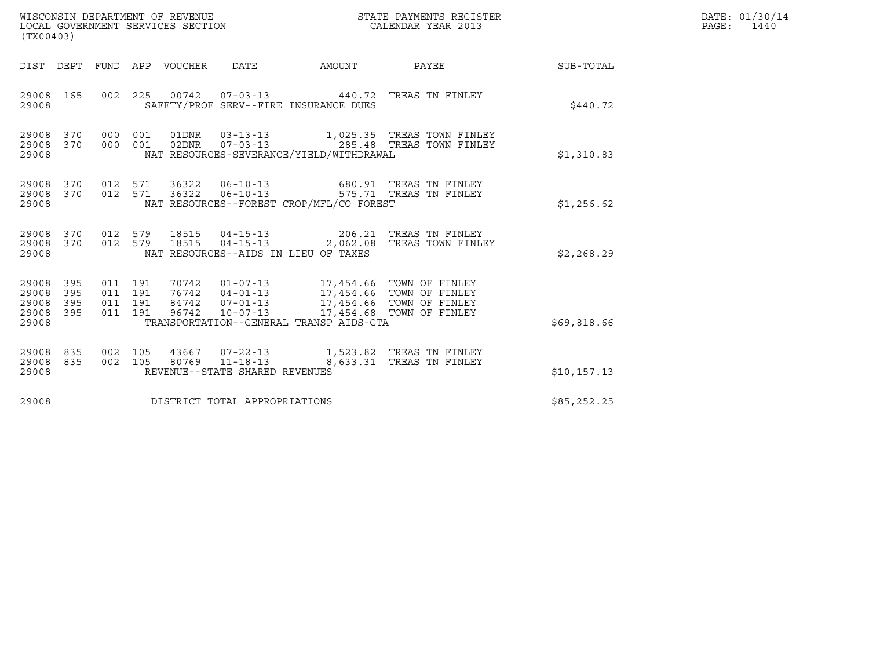| WISCONSIN DEPARTMENT OF REVENUE<br>LOCAL GOVERNMENT SERVICES SECTION<br>(TX00403)                                 |                                                                                                                                                                                                                       | STATE PAYMENTS REGISTER<br>CALENDAR YEAR 2013          |              | DATE: 01/30/14<br>PAGE:<br>1440 |
|-------------------------------------------------------------------------------------------------------------------|-----------------------------------------------------------------------------------------------------------------------------------------------------------------------------------------------------------------------|--------------------------------------------------------|--------------|---------------------------------|
| DIST DEPT                                                                                                         | FUND APP VOUCHER<br>DATE<br>AMOUNT                                                                                                                                                                                    | PAYEE                                                  | SUB-TOTAL    |                                 |
| 29008<br>165<br>002 225<br>29008                                                                                  | 00742  07-03-13  440.72  TREAS TN FINLEY<br>SAFETY/PROF SERV--FIRE INSURANCE DUES                                                                                                                                     |                                                        | \$440.72     |                                 |
| 29008<br>000 001<br>370<br>29008 370<br>000 001<br>29008                                                          | 01DNR<br>$03 - 13 - 13$<br>02DNR<br>$07 - 03 - 13$<br>NAT RESOURCES-SEVERANCE/YIELD/WITHDRAWAL                                                                                                                        | 1,025.35 TREAS TOWN FINLEY<br>285.48 TREAS TOWN FINLEY | \$1,310.83   |                                 |
| 29008<br>370<br>29008<br>370<br>012 571<br>29008                                                                  | 012 571 36322 06-10-13 680.91 TREAS TN FINLEY<br>06-10-13 575.71 TREAS TN FINLEY<br>36322<br>NAT RESOURCES--FOREST CROP/MFL/CO FOREST                                                                                 |                                                        | \$1,256.62   |                                 |
| 012 579<br>29008<br>370<br>370<br>012 579<br>29008<br>29008                                                       | 04-15-13 206.21 TREAS TN FINLEY<br>18515<br>18515<br>$04 - 15 - 13$<br>NAT RESOURCES--AIDS IN LIEU OF TAXES                                                                                                           | 2,062.08 TREAS TOWN FINLEY                             | \$2,268.29   |                                 |
| 29008<br>395<br>011 191<br>29008<br>395<br>011 191<br>29008<br>395<br>011 191<br>395<br>011 191<br>29008<br>29008 | 70742  01-07-13  17,454.66  TOWN OF FINLEY<br>76742  04-01-13  17,454.66  TOWN OF FINLEY<br>17,454.66 TOWN OF FINLEY<br>84742<br>$07 - 01 - 13$<br>96742<br>$10 - 07 - 13$<br>TRANSPORTATION--GENERAL TRANSP AIDS-GTA | 17,454.68 TOWN OF FINLEY                               | \$69,818.66  |                                 |
| 29008<br>835<br>002 105<br>29008<br>835<br>002 105<br>29008                                                       | 43667 07-22-13<br>80769 11-18-13<br>REVENUE--STATE SHARED REVENUES                                                                                                                                                    | 1,523.82 TREAS TN FINLEY<br>8,633.31 TREAS TN FINLEY   | \$10, 157.13 |                                 |
| 29008                                                                                                             | DISTRICT TOTAL APPROPRIATIONS                                                                                                                                                                                         |                                                        | \$85,252.25  |                                 |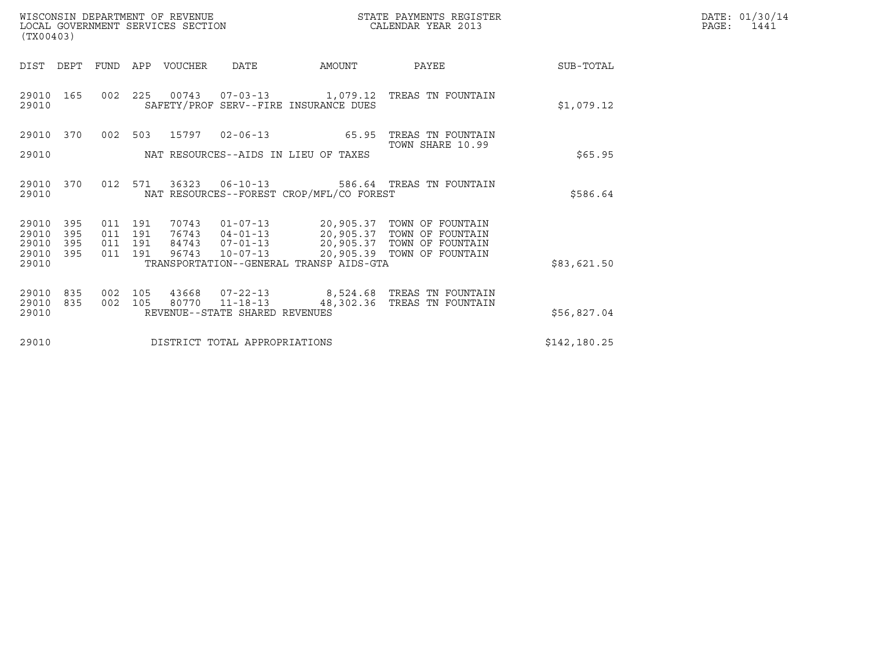| WISCONSIN DEPARTMENT OF REVENUE   | STATE PAYMENTS REGISTER | DATE: 01/30/14 |
|-----------------------------------|-------------------------|----------------|
| LOCAL GOVERNMENT SERVICES SECTION | CALENDAR YEAR 2013      | PAGE:<br>1441  |

| (TX00403)          |            |            |                    | WISCONSIN DEPARTMENT OF REVENUE<br>LOCAL GOVERNMENT SERVICES SECTION |                                  |                                                                          | STATE PAYMENTS REGISTER<br>CALENDAR YEAR 2013        | DATE: 01/30/14<br>PAGE:<br>1441 |  |
|--------------------|------------|------------|--------------------|----------------------------------------------------------------------|----------------------------------|--------------------------------------------------------------------------|------------------------------------------------------|---------------------------------|--|
| DIST               | DEPT       | FUND       |                    | APP VOUCHER                                                          | DATE                             | AMOUNT                                                                   | PAYEE                                                | SUB-TOTAL                       |  |
| 29010 165<br>29010 |            |            |                    |                                                                      |                                  | 002 225 00743 07-03-13 1,079.12<br>SAFETY/PROF SERV--FIRE INSURANCE DUES | TREAS TN FOUNTAIN                                    | \$1,079.12                      |  |
| 29010 370          |            |            |                    | 002 503 15797                                                        |                                  |                                                                          | 02-06-13 65.95 TREAS TN FOUNTAIN<br>TOWN SHARE 10.99 |                                 |  |
| 29010              |            |            |                    |                                                                      |                                  | NAT RESOURCES--AIDS IN LIEU OF TAXES                                     |                                                      | \$65.95                         |  |
| 29010<br>29010     | 370        |            |                    | 012 571 36323                                                        |                                  | NAT RESOURCES--FOREST CROP/MFL/CO FOREST                                 | 06-10-13 586.64 TREAS TN FOUNTAIN                    | \$586.64                        |  |
| 29010<br>29010     | 395<br>395 |            | 011 191<br>011 191 | 70743<br>76743                                                       | $01 - 07 - 13$<br>$04 - 01 - 13$ |                                                                          | TOWN OF FOUNTAIN<br>TOWN OF FOUNTAIN                 |                                 |  |
| 29010<br>29010     | 395<br>395 |            | 011 191<br>011 191 | 84743<br>96743                                                       | $07 - 01 - 13$<br>$10 - 07 - 13$ | 20,905.37<br>20,905.37<br>20,905.37<br>20,905.39                         | TOWN OF FOUNTAIN<br>20,905.39 TOWN OF FOUNTAIN       |                                 |  |
| 29010              |            |            |                    |                                                                      |                                  | TRANSPORTATION--GENERAL TRANSP AIDS-GTA                                  |                                                      | \$83,621.50                     |  |
| 29010<br>29010     | 835<br>835 | 002<br>002 | 105<br>105         | 43668<br>80770                                                       | 07-22-13                         | $11 - 18 - 13$ 48,302.36                                                 | 8,524.68 TREAS TN FOUNTAIN<br>TREAS TN FOUNTAIN      |                                 |  |
| 29010              |            |            |                    |                                                                      | REVENUE--STATE SHARED REVENUES   |                                                                          |                                                      | \$56,827.04                     |  |
| 29010              |            |            |                    |                                                                      | DISTRICT TOTAL APPROPRIATIONS    |                                                                          |                                                      | \$142,180.25                    |  |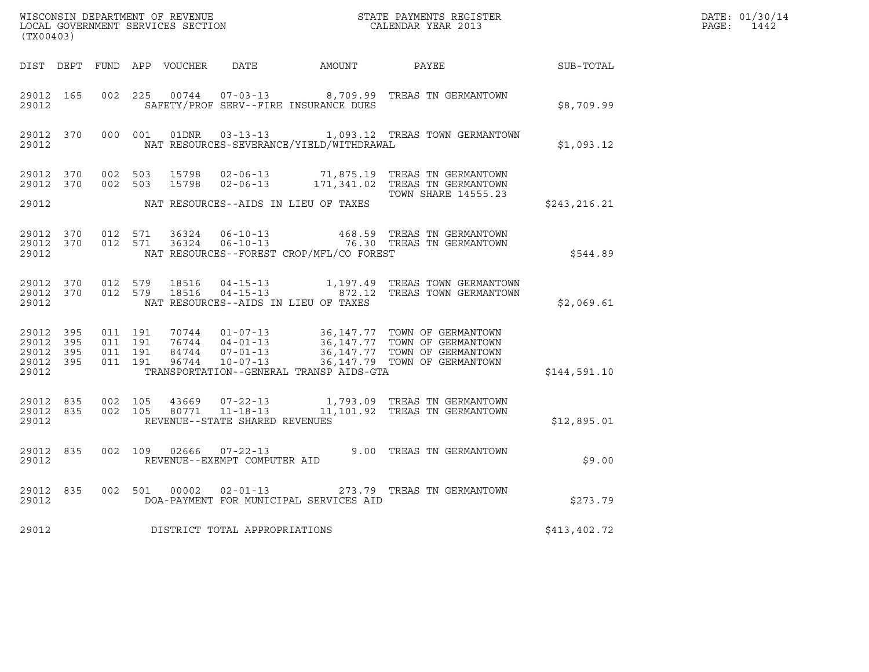|                                 | $\tt WISCONSIM DEPARTMENT OF REVENUE$ $\tt WISCONSIMENTS REGISTER$<br>LOCAL GOVERNMENT SERVICES SECTION $\tt CALENDAR YEAR$<br>2013<br>(TX00403) |                   |                                          |       |                                                  |                                          |                                                                                                                                                                                                  |              | DATE: 01/30/14<br>PAGE: 1442 |
|---------------------------------|--------------------------------------------------------------------------------------------------------------------------------------------------|-------------------|------------------------------------------|-------|--------------------------------------------------|------------------------------------------|--------------------------------------------------------------------------------------------------------------------------------------------------------------------------------------------------|--------------|------------------------------|
|                                 |                                                                                                                                                  |                   |                                          |       |                                                  |                                          | DIST DEPT FUND APP VOUCHER DATE AMOUNT PAYEE                                                                                                                                                     | SUB-TOTAL    |                              |
| 29012                           | 29012 165                                                                                                                                        |                   |                                          |       |                                                  | SAFETY/PROF SERV--FIRE INSURANCE DUES    | 002 225 00744 07-03-13 8,709.99 TREAS TN GERMANTOWN                                                                                                                                              | \$8,709.99   |                              |
| 29012                           | 29012 370                                                                                                                                        |                   | 000 001                                  |       |                                                  | NAT RESOURCES-SEVERANCE/YIELD/WITHDRAWAL | 01DNR  03-13-13    1,093.12    TREAS TOWN GERMANTOWN                                                                                                                                             | \$1,093.12   |                              |
| 29012 370<br>29012 370          |                                                                                                                                                  |                   | 002 503<br>002 503                       | 15798 |                                                  |                                          | 15798  02-06-13  71,875.19  TREAS TN GERMANTOWN<br>15798  02-06-13  171,341.02  TREAS TN GERMANTOWN<br><b>TOWN SHARE 14555.23</b>                                                                |              |                              |
| 29012                           |                                                                                                                                                  |                   |                                          |       |                                                  | NAT RESOURCES--AIDS IN LIEU OF TAXES     |                                                                                                                                                                                                  | \$243,216.21 |                              |
| 29012                           | 29012 370                                                                                                                                        | 29012 370 012 571 | 012 571                                  |       |                                                  | NAT RESOURCES--FOREST CROP/MFL/CO FOREST | 36324   06-10-13   468.59   TREAS TN GERMANTOWN   36324   06-10-13   76.30   TREAS TN GERMANTOWN                                                                                                 | \$544.89     |                              |
| 29012 370<br>29012              |                                                                                                                                                  |                   | 012 579                                  |       | 29012 370 012 579 18516 04-15-13                 | NAT RESOURCES--AIDS IN LIEU OF TAXES     | 1,197.49   TREAS TOWN GERMANTOWN                                                                                                                                                                 | \$2,069.61   |                              |
| 29012 395<br>29012 395<br>29012 | 29012 395<br>29012 395                                                                                                                           |                   | 011 191<br>011 191<br>011 191<br>011 191 |       |                                                  | TRANSPORTATION--GENERAL TRANSP AIDS-GTA  | 70744  01-07-13  36,147.77 TOWN OF GERMANTOWN<br>76744  04-01-13  36,147.77 TOWN OF GERMANTOWN<br>84744  07-01-13  36,147.77 TOWN OF GERMANTOWN<br>96744  10-07-13  36,147.79 TOWN OF GERMANTOWN | \$144,591.10 |                              |
| 29012                           | 29012 835                                                                                                                                        | 29012 835 002 105 | 002 105                                  |       | 43669 07-22-13<br>REVENUE--STATE SHARED REVENUES |                                          | 1,793.09 TREAS TN GERMANTOWN<br>80771  11-18-13  11,101.92  TREAS TN GERMANTOWN                                                                                                                  | \$12,895.01  |                              |
| 29012 835<br>29012              |                                                                                                                                                  |                   |                                          |       | REVENUE--EXEMPT COMPUTER AID                     |                                          | 002 109 02666 07-22-13 9.00 TREAS TN GERMANTOWN                                                                                                                                                  | \$9.00       |                              |
| 29012                           | 29012 835                                                                                                                                        |                   |                                          |       |                                                  | DOA-PAYMENT FOR MUNICIPAL SERVICES AID   | 002 501 00002 02-01-13 273.79 TREAS TN GERMANTOWN                                                                                                                                                | \$273.79     |                              |
| 29012                           |                                                                                                                                                  |                   |                                          |       | DISTRICT TOTAL APPROPRIATIONS                    |                                          |                                                                                                                                                                                                  | \$413,402.72 |                              |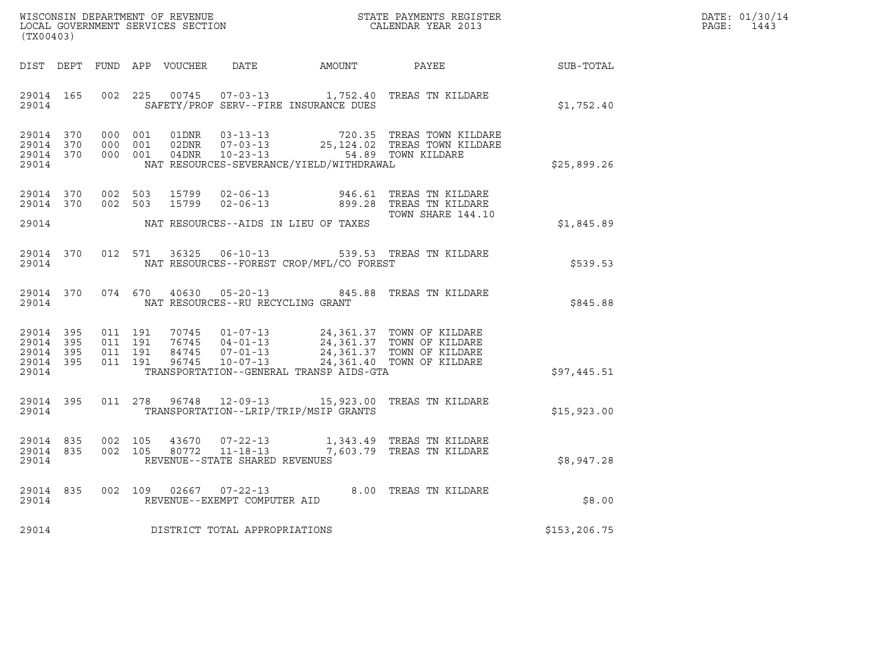| WISCONSIN DEPARTMENT OF REVENUE   | STATE PAYMENTS REGISTER | DATE: 01/30/14 |
|-----------------------------------|-------------------------|----------------|
| LOCAL GOVERNMENT SERVICES SECTION | CALENDAR YEAR 2013      | PAGE:<br>1443  |

| WISCONSIN DEPARTMENT OF REVENUE                               STATE PAYMENTS REGISTER LOCAL GOVERNMENT SERVICES SECTION                               CALENDAR YEAR 2013<br>(TX00403) |                    |  |  |  |                                     |                                              |                                                                                                                                                                                                              |             | DATE: 01/30/14<br>PAGE:<br>1443 |
|---------------------------------------------------------------------------------------------------------------------------------------------------------------------------------------|--------------------|--|--|--|-------------------------------------|----------------------------------------------|--------------------------------------------------------------------------------------------------------------------------------------------------------------------------------------------------------------|-------------|---------------------------------|
|                                                                                                                                                                                       |                    |  |  |  |                                     | DIST DEPT FUND APP VOUCHER DATE AMOUNT PAYEE |                                                                                                                                                                                                              | SUB-TOTAL   |                                 |
|                                                                                                                                                                                       | 29014 165<br>29014 |  |  |  |                                     | SAFETY/PROF SERV--FIRE INSURANCE DUES        | 002 225 00745 07-03-13 1,752.40 TREAS TN KILDARE                                                                                                                                                             | \$1,752.40  |                                 |
| 29014 370<br>29014 370<br>29014 370<br>29014                                                                                                                                          |                    |  |  |  |                                     | NAT RESOURCES-SEVERANCE/YIELD/WITHDRAWAL     | 000 001 01DNR 03-13-13 720.35 TREAS TOWN KILDARE<br>000 001 02DNR 07-03-13 25,124.02 TREAS TOWN KILDARE<br>000 001 04DNR 10-23-13 54.89 TOWN KILDARE                                                         | \$25,899.26 |                                 |
| 29014 370                                                                                                                                                                             | 29014 370<br>29014 |  |  |  |                                     | NAT RESOURCES--AIDS IN LIEU OF TAXES         | 002 503 15799 02-06-13 946.61 TREAS TN KILDARE<br>002 503 15799 02-06-13 899.28 TREAS TN KILDARE<br>TOWN SHARE 144.10                                                                                        | \$1,845.89  |                                 |
| 29014                                                                                                                                                                                 | 29014 370          |  |  |  |                                     | NAT RESOURCES--FOREST CROP/MFL/CO FOREST     | 012 571 36325 06-10-13 539.53 TREAS TN KILDARE                                                                                                                                                               | \$539.53    |                                 |
| 29014                                                                                                                                                                                 |                    |  |  |  |                                     | NAT RESOURCES--RU RECYCLING GRANT            | 29014 370 074 670 40630 05-20-13 845.88 TREAS TN KILDARE                                                                                                                                                     | \$845.88    |                                 |
| 29014 395<br>29014 395<br>29014 395<br>29014                                                                                                                                          | 29014 395          |  |  |  |                                     | TRANSPORTATION--GENERAL TRANSP AIDS-GTA      |                                                                                                                                                                                                              | \$97,445.51 |                                 |
| 29014                                                                                                                                                                                 | 29014 395          |  |  |  |                                     | TRANSPORTATION--LRIP/TRIP/MSIP GRANTS        | 011  278  96748  12-09-13  15,923.00 TREAS TN KILDARE                                                                                                                                                        | \$15,923.00 |                                 |
| 29014                                                                                                                                                                                 |                    |  |  |  | REVENUE--STATE SHARED REVENUES      |                                              | $\begin{array}{cccccccc} 29014 & 835 & 002 & 105 & 43670 & 07-22-13 & & 1,343.49 & \text{TREAS TN KILDARE} \\ 29014 & 835 & 002 & 105 & 80772 & 11-18-13 & & 7,603.79 & \text{TREAS TN KILDARE} \end{array}$ | \$8,947.28  |                                 |
|                                                                                                                                                                                       |                    |  |  |  | 29014 REVENUE--EXEMPT COMPUTER AID  |                                              | 29014 835 002 109 02667 07-22-13 8.00 TREAS TN KILDARE                                                                                                                                                       | \$8.00      |                                 |
|                                                                                                                                                                                       |                    |  |  |  | 29014 DISTRICT TOTAL APPROPRIATIONS | \$153,206.75                                 |                                                                                                                                                                                                              |             |                                 |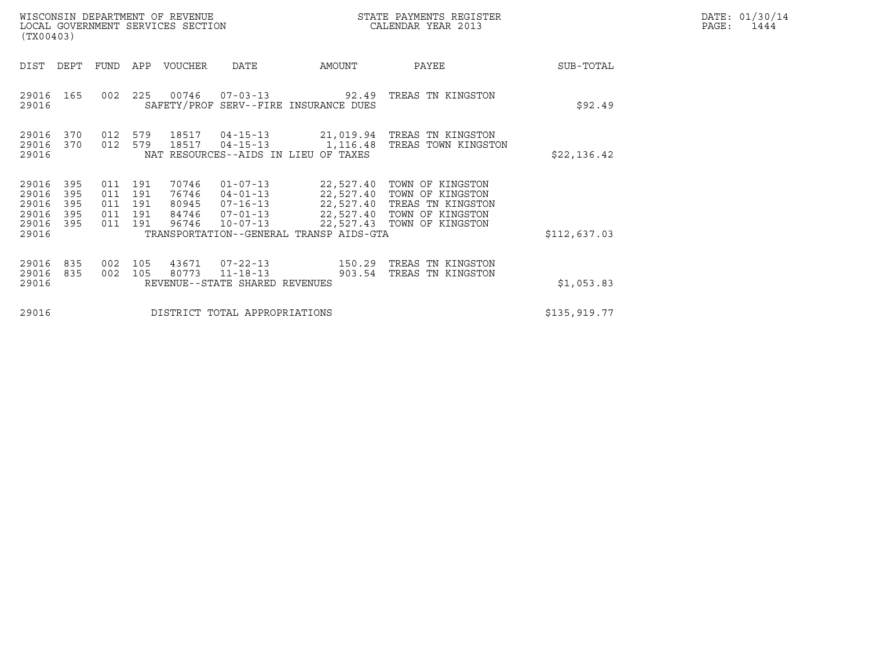|       | DATE: 01/30/14 |
|-------|----------------|
| PAGE: | 1444           |

| WISCONSIN DEPARTMENT OF REVENUE<br>LOCAL GOVERNMENT SERVICES SECTION<br>(TX00403)     |                                 |                                 |                                           |                                                                                        |                                                                                             | STATE PAYMENTS REGISTER<br>CALENDAR YEAR 2013                                                               |              | DATE: 01/30/14<br>PAGE:<br>1444 |
|---------------------------------------------------------------------------------------|---------------------------------|---------------------------------|-------------------------------------------|----------------------------------------------------------------------------------------|---------------------------------------------------------------------------------------------|-------------------------------------------------------------------------------------------------------------|--------------|---------------------------------|
| DIST<br>DEPT                                                                          | FUND                            | APP                             | VOUCHER                                   | <b>DATE</b>                                                                            | AMOUNT                                                                                      | PAYEE                                                                                                       | SUB-TOTAL    |                                 |
| 29016<br>165<br>29016                                                                 | 002                             | 225                             | 00746                                     | $07 - 03 - 13$                                                                         | 92.49<br>SAFETY/PROF SERV--FIRE INSURANCE DUES                                              | TREAS TN KINGSTON                                                                                           | \$92.49      |                                 |
| 370<br>29016<br>29016<br>370<br>29016                                                 | 012<br>012                      | 579<br>579                      | 18517<br>18517                            | 04-15-13<br>$04 - 15 - 13$                                                             | 1,116.48<br>NAT RESOURCES--AIDS IN LIEU OF TAXES                                            | 21,019.94 TREAS TN KINGSTON<br>TREAS TOWN KINGSTON                                                          | \$22,136.42  |                                 |
| 29016<br>395<br>29016<br>395<br>29016<br>395<br>29016<br>395<br>29016<br>395<br>29016 | 011<br>011<br>011<br>011<br>011 | 191<br>191<br>191<br>191<br>191 | 70746<br>76746<br>80945<br>84746<br>96746 | $01 - 07 - 13$<br>$04 - 01 - 13$<br>$07 - 16 - 13$<br>$07 - 01 - 13$<br>$10 - 07 - 13$ | 22,527.40<br>22,527.40<br>22,527.40<br>22,527.43<br>TRANSPORTATION--GENERAL TRANSP AIDS-GTA | TOWN OF KINGSTON<br>22,527.40 TOWN OF KINGSTON<br>TREAS TN KINGSTON<br>TOWN OF KINGSTON<br>TOWN OF KINGSTON | \$112,637.03 |                                 |
| 29016<br>835<br>835<br>29016                                                          | 002<br>002                      | 105<br>105                      | 43671<br>80773                            | $07 - 22 - 13$<br>$11 - 18 - 13$                                                       | 150.29<br>903.54                                                                            | TREAS TN KINGSTON<br>TREAS TN KINGSTON                                                                      |              |                                 |
| 29016                                                                                 |                                 |                                 |                                           | REVENUE--STATE SHARED REVENUES                                                         | \$1,053.83                                                                                  |                                                                                                             |              |                                 |
| 29016                                                                                 |                                 |                                 |                                           | DISTRICT TOTAL APPROPRIATIONS                                                          | \$135, 919.77                                                                               |                                                                                                             |              |                                 |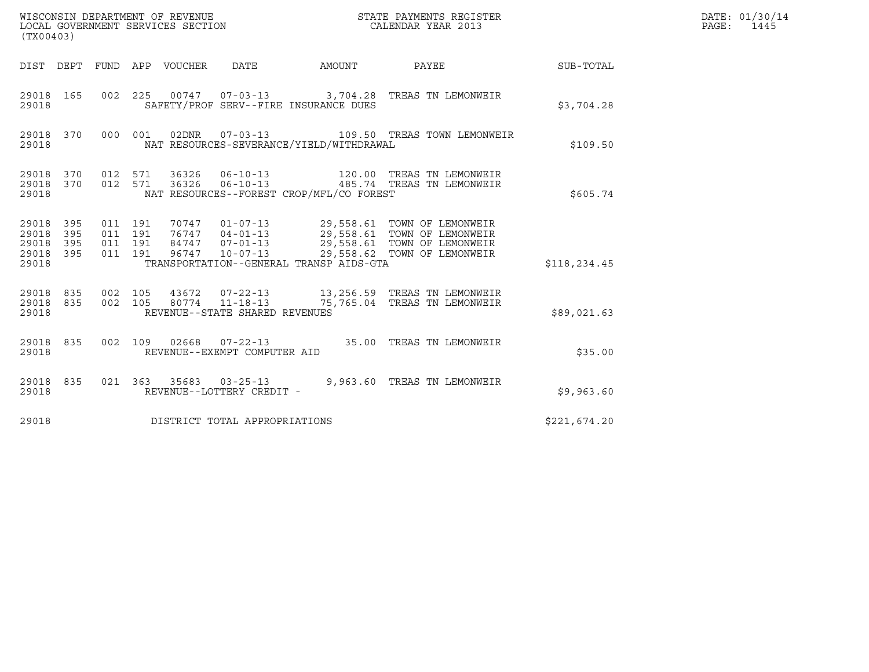|                                                   | WISCONSIN DEPARTMENT OF REVENUE<br>LOCAL GOVERNMENT SERVICES SECTION<br>STATE PAYMENTS REGISTER<br>CALENDAR YEAR 2013<br>(TX00403) |                                                                                                                                 |         |                                 |                                                  |                                          |                                                                                                                                                                                         |              | DATE: 01/30/14<br>PAGE: 1445 |
|---------------------------------------------------|------------------------------------------------------------------------------------------------------------------------------------|---------------------------------------------------------------------------------------------------------------------------------|---------|---------------------------------|--------------------------------------------------|------------------------------------------|-----------------------------------------------------------------------------------------------------------------------------------------------------------------------------------------|--------------|------------------------------|
|                                                   |                                                                                                                                    |                                                                                                                                 |         | DIST DEPT FUND APP VOUCHER DATE |                                                  | AMOUNT                                   | <b>PAYEE</b>                                                                                                                                                                            | SUB-TOTAL    |                              |
| 29018 165<br>29018                                |                                                                                                                                    |                                                                                                                                 |         |                                 |                                                  | SAFETY/PROF SERV--FIRE INSURANCE DUES    | 002 225 00747 07-03-13 3,704.28 TREAS TN LEMONWEIR                                                                                                                                      | \$3.704.28   |                              |
| 29018 370<br>29018                                |                                                                                                                                    |                                                                                                                                 | 000 001 | 02DNR                           |                                                  | NAT RESOURCES-SEVERANCE/YIELD/WITHDRAWAL |                                                                                                                                                                                         | \$109.50     |                              |
| 29018 370<br>29018 370<br>29018                   |                                                                                                                                    | 012 571<br>36326<br>$06 - 10 - 13$<br>012 571<br>485.74 TREAS TN LEMONWEIR<br>36326<br>NAT RESOURCES--FOREST CROP/MFL/CO FOREST |         |                                 |                                                  |                                          |                                                                                                                                                                                         |              |                              |
| 29018 395<br>29018<br>29018<br>29018 395<br>29018 | 395<br>395                                                                                                                         | 011 191<br>011 191<br>011 191<br>011 191                                                                                        |         |                                 |                                                  | TRANSPORTATION--GENERAL TRANSP AIDS-GTA  | 70747  01-07-13  29,558.61  TOWN OF LEMONWEIR<br>76747 04-01-13 29,558.61 TOWN OF LEMONWEIR<br>84747 07-01-13 29,558.61 TOWN OF LEMONWEIR<br>96747 10-07-13 29,558.62 TOWN OF LEMONWEIR | \$118,234.45 |                              |
| 29018 835<br>29018 835<br>29018                   |                                                                                                                                    | 002 105                                                                                                                         | 002 105 | 43672                           | 80774 11-18-13<br>REVENUE--STATE SHARED REVENUES |                                          | 07-22-13 13,256.59 TREAS TN LEMONWEIR<br>75,765.04 TREAS TN LEMONWEIR                                                                                                                   | \$89,021.63  |                              |
| 29018 835<br>29018                                |                                                                                                                                    | 002 109                                                                                                                         |         |                                 | REVENUE--EXEMPT COMPUTER AID                     |                                          | 02668  07-22-13  35.00 TREAS TN LEMONWEIR                                                                                                                                               | \$35.00      |                              |
| 29018 835<br>29018                                |                                                                                                                                    |                                                                                                                                 |         |                                 | REVENUE--LOTTERY CREDIT -                        |                                          | 021  363  35683  03-25-13  9,963.60 TREAS TN LEMONWEIR                                                                                                                                  | \$9,963.60   |                              |
| 29018                                             |                                                                                                                                    |                                                                                                                                 |         |                                 | DISTRICT TOTAL APPROPRIATIONS                    |                                          |                                                                                                                                                                                         | \$221,674.20 |                              |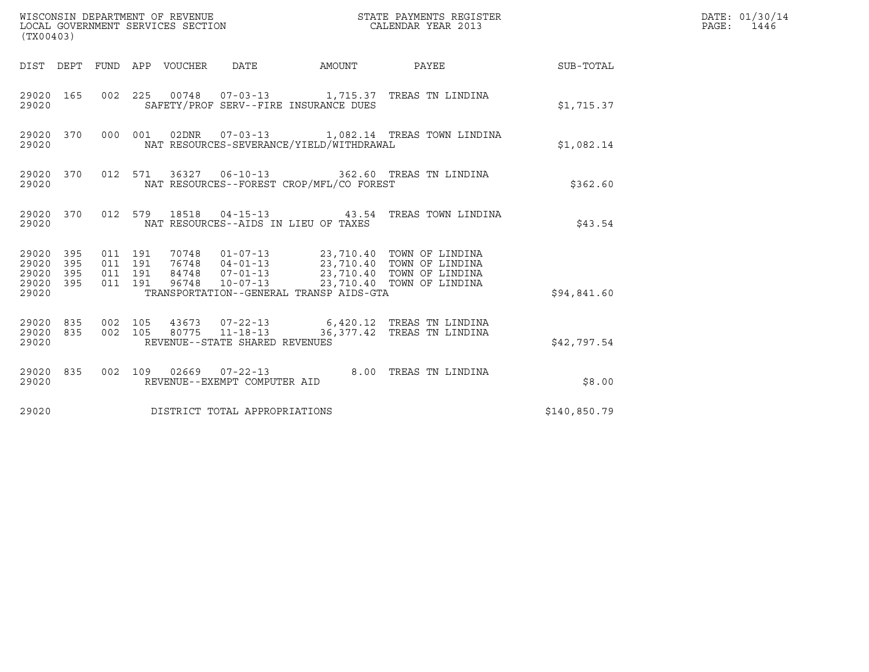| (TX00403)                                                       |                                          |                                                                                                                                                                                                        |                            |              | DATE: 01/30/14<br>PAGE: 1446 |
|-----------------------------------------------------------------|------------------------------------------|--------------------------------------------------------------------------------------------------------------------------------------------------------------------------------------------------------|----------------------------|--------------|------------------------------|
|                                                                 |                                          | DIST DEPT FUND APP VOUCHER DATE AMOUNT                                                                                                                                                                 | PAYEE                      | SUB-TOTAL    |                              |
| 29020 165<br>29020                                              |                                          | 002 225 00748 07-03-13 1,715.37 TREAS TN LINDINA<br>SAFETY/PROF SERV--FIRE INSURANCE DUES                                                                                                              |                            | \$1,715.37   |                              |
| 29020 370<br>29020                                              |                                          | 000 001 02DNR 07-03-13 1,082.14 TREAS TOWN LINDINA<br>NAT RESOURCES-SEVERANCE/YIELD/WITHDRAWAL                                                                                                         |                            | \$1,082.14   |                              |
| 29020 370<br>29020                                              |                                          | 012 571 36327 06-10-13 362.60 TREAS TN LINDINA<br>NAT RESOURCES--FOREST CROP/MFL/CO FOREST                                                                                                             |                            | \$362.60     |                              |
| 29020 370<br>29020                                              |                                          | 012 579 18518 04-15-13 43.54 TREAS TOWN LINDINA<br>NAT RESOURCES--AIDS IN LIEU OF TAXES                                                                                                                |                            | \$43.54      |                              |
| 29020 395<br>395<br>29020<br>395<br>29020<br>29020 395<br>29020 | 011 191<br>011 191<br>011 191<br>011 191 | 70748  01-07-13  23,710.40  TOWN OF LINDINA<br>76748 04-01-13<br>84748 07-01-13<br>96748 10-07-13<br>23,710.40 TOWN OF LINDINA<br>23,710.40 TOWN OF LINDINA<br>TRANSPORTATION--GENERAL TRANSP AIDS-GTA |                            | \$94,841.60  |                              |
| 29020 835<br>29020 835<br>29020                                 | 002 105<br>002 105                       | 43673  07-22-13  6,420.12  TREAS TN LINDINA<br>80775 11-18-13<br>REVENUE--STATE SHARED REVENUES                                                                                                        | 36,377.42 TREAS TN LINDINA | \$42,797.54  |                              |
| 29020 835<br>29020                                              |                                          | 002 109 02669 07-22-13 8.00 TREAS TN LINDINA<br>REVENUE--EXEMPT COMPUTER AID                                                                                                                           |                            | \$8.00       |                              |
| 29020                                                           | DISTRICT TOTAL APPROPRIATIONS            |                                                                                                                                                                                                        |                            | \$140,850.79 |                              |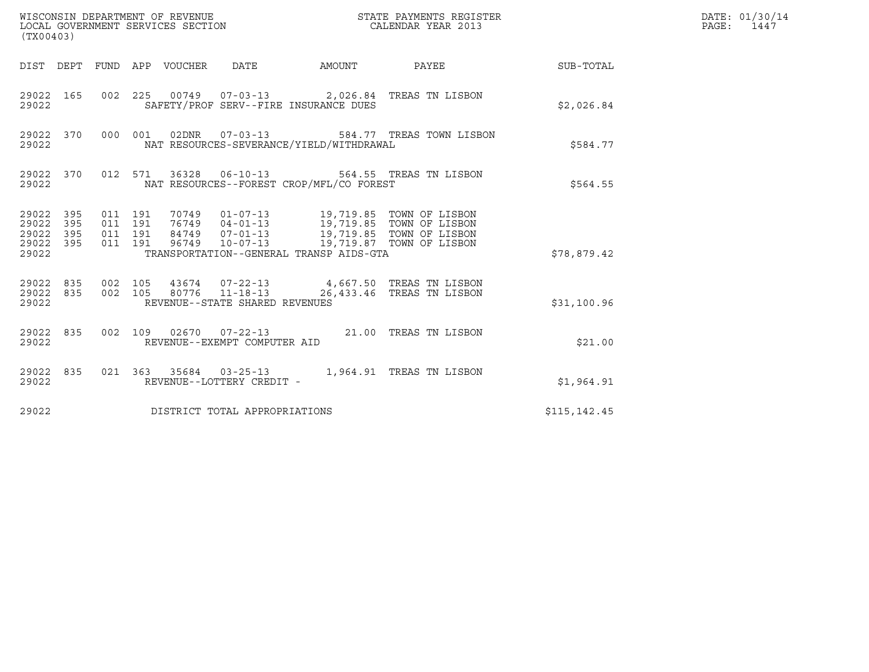| (TX00403)                                             |           |                               |         |  |                                |                                          |                                                                                                                                                                                                             |              | DATE: 01/30/14<br>PAGE: 1447 |
|-------------------------------------------------------|-----------|-------------------------------|---------|--|--------------------------------|------------------------------------------|-------------------------------------------------------------------------------------------------------------------------------------------------------------------------------------------------------------|--------------|------------------------------|
|                                                       |           |                               |         |  |                                |                                          | DIST DEPT FUND APP VOUCHER DATE AMOUNT PAYEE THE SUB-TOTAL                                                                                                                                                  |              |                              |
| 29022                                                 | 29022 165 |                               |         |  |                                | SAFETY/PROF SERV--FIRE INSURANCE DUES    | 002 225 00749 07-03-13 2,026.84 TREAS TN LISBON                                                                                                                                                             | \$2,026.84   |                              |
| 29022                                                 | 29022 370 |                               |         |  | 000  001  02DNR  07-03-13      | NAT RESOURCES-SEVERANCE/YIELD/WITHDRAWAL | 584.77 TREAS TOWN LISBON                                                                                                                                                                                    | \$584.77     |                              |
| 29022                                                 | 29022 370 |                               |         |  |                                | NAT RESOURCES--FOREST CROP/MFL/CO FOREST | 012 571 36328 06-10-13 564.55 TREAS TN LISBON                                                                                                                                                               | \$564.55     |                              |
| 29022 395<br>29022 395<br>29022<br>29022 395<br>29022 | 395       | 011 191<br>011 191<br>011 191 | 011 191 |  |                                | TRANSPORTATION--GENERAL TRANSP AIDS-GTA  | 70749  01-07-13  19,719.85  TOWN OF LISBON<br>76749  04-01-13  19,719.85  TOWN OF LISBON<br>84749  07-01-13  19,719.85  TOWN OF LISBON<br>96749  10-07-13  19,719.87  TOWN OF LISBON                        | \$78,879.42  |                              |
| 29022                                                 |           |                               |         |  | REVENUE--STATE SHARED REVENUES |                                          | $\begin{array}{cccccccc} 29022 & 835 & 002 & 105 & 43674 & 07-22-13 & & 4,667.50 & \text{TREAS TN LISBON} \\ 29022 & 835 & 002 & 105 & 80776 & 11-18-13 & & 26,433.46 & \text{TREAS TN LISBON} \end{array}$ | \$31,100.96  |                              |
| 29022                                                 |           |                               |         |  | REVENUE--EXEMPT COMPUTER AID   |                                          | 29022 835 002 109 02670 07-22-13 21.00 TREAS TN LISBON                                                                                                                                                      | \$21.00      |                              |
| 29022 835<br>29022                                    |           |                               |         |  | REVENUE--LOTTERY CREDIT -      |                                          | 021 363 35684 03-25-13 1,964.91 TREAS TN LISBON                                                                                                                                                             | \$1,964.91   |                              |
| 29022                                                 |           |                               |         |  | DISTRICT TOTAL APPROPRIATIONS  |                                          |                                                                                                                                                                                                             | \$115,142.45 |                              |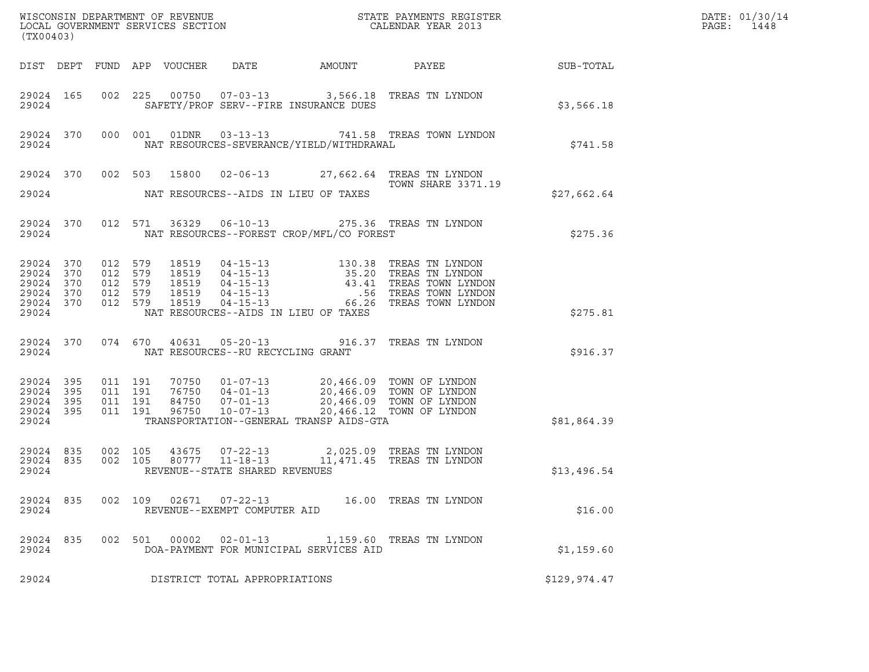| (TX00403)                                                              |                                                     |         |       |                                   |                                            | ${\tt WISCONSIM\ DEPARTMENT\ OF\ REVENUE}\qquad \qquad {\tt STATE\ PAYMENTS\ REGISTER} \\ {\tt LOCAL\ GOVERNMENT\ SERVICES\ SECTION}\qquad \qquad {\tt CALENDAR\ YEAR\ 2013}$                                                                                                                                             |              | DATE: 01/30/14<br>PAGE:<br>1448 |
|------------------------------------------------------------------------|-----------------------------------------------------|---------|-------|-----------------------------------|--------------------------------------------|---------------------------------------------------------------------------------------------------------------------------------------------------------------------------------------------------------------------------------------------------------------------------------------------------------------------------|--------------|---------------------------------|
|                                                                        |                                                     |         |       |                                   |                                            |                                                                                                                                                                                                                                                                                                                           |              |                                 |
| 29024                                                                  |                                                     |         |       |                                   | SAFETY/PROF SERV--FIRE INSURANCE DUES      | 29024 165 002 225 00750 07-03-13 3,566.18 TREAS TN LYNDON                                                                                                                                                                                                                                                                 | \$3,566.18   |                                 |
| 29024                                                                  |                                                     |         |       |                                   | NAT RESOURCES-SEVERANCE/YIELD/WITHDRAWAL   | 29024 370 000 001 01DNR 03-13-13 741.58 TREAS TOWN LYNDON                                                                                                                                                                                                                                                                 | \$741.58     |                                 |
|                                                                        |                                                     |         |       |                                   | 29024 NAT RESOURCES--AIDS IN LIEU OF TAXES | 29024 370 002 503 15800 02-06-13 27,662.64 TREAS TN LYNDON<br>TOWN SHARE 3371.19                                                                                                                                                                                                                                          | \$27,662.64  |                                 |
| 29024 370                                                              | 29024                                               |         |       |                                   | NAT RESOURCES--FOREST CROP/MFL/CO FOREST   | 012 571 36329 06-10-13 275.36 TREAS TN LYNDON                                                                                                                                                                                                                                                                             | \$275.36     |                                 |
| 29024 370<br>29024 370<br>29024 370<br>29024 370<br>29024 370<br>29024 | 012 579<br>012 579<br>012 579<br>012 579<br>012 579 |         |       |                                   | NAT RESOURCES--AIDS IN LIEU OF TAXES       |                                                                                                                                                                                                                                                                                                                           | \$275.81     |                                 |
|                                                                        | 29024                                               |         |       | NAT RESOURCES--RU RECYCLING GRANT |                                            | 29024 370 074 670 40631 05-20-13 916.37 TREAS TN LYNDON                                                                                                                                                                                                                                                                   | \$916.37     |                                 |
| 29024 395<br>29024 395<br>29024 395<br>29024 395<br>29024              | 011 191<br>011 191<br>011 191<br>011 191            |         |       |                                   | TRANSPORTATION--GENERAL TRANSP AIDS-GTA    | $\begin{array}{cccc} 70750 & 01\hbox{-}07\hbox{-}13 & 20,466.09 & \text{TOWN OF LYNDOM} \\ 76750 & 04\hbox{-}01\hbox{-}13 & 20,466.09 & \text{TOWN OF LYNDOM} \\ 84750 & 07\hbox{-}01\hbox{-}13 & 20,466.09 & \text{TOWN OF LYNDOM} \\ 96750 & 10\hbox{-}07\hbox{-}13 & 20,466.12 & \text{TOWN OF LYNDOM} \\ \end{array}$ | \$81,864.39  |                                 |
| 29024 835<br>29024                                                     | 29024 835 002 105                                   |         |       | REVENUE--STATE SHARED REVENUES    |                                            | 002 105 43675 07-22-13 2,025.09 TREAS TN LYNDON 002 105 80777 11-18-13 11,471.45 TREAS TN LYNDON                                                                                                                                                                                                                          | \$13,496.54  |                                 |
| 29024 835<br>29024                                                     | 002 109                                             |         |       | REVENUE--EXEMPT COMPUTER AID      |                                            | 16.00 TREAS TN LYNDON                                                                                                                                                                                                                                                                                                     | \$16.00      |                                 |
| 29024 835<br>29024                                                     |                                                     | 002 501 | 00002 | $02 - 01 - 13$                    | DOA-PAYMENT FOR MUNICIPAL SERVICES AID     | 1,159.60 TREAS TN LYNDON                                                                                                                                                                                                                                                                                                  | \$1,159.60   |                                 |
| 29024                                                                  |                                                     |         |       | DISTRICT TOTAL APPROPRIATIONS     |                                            |                                                                                                                                                                                                                                                                                                                           | \$129,974.47 |                                 |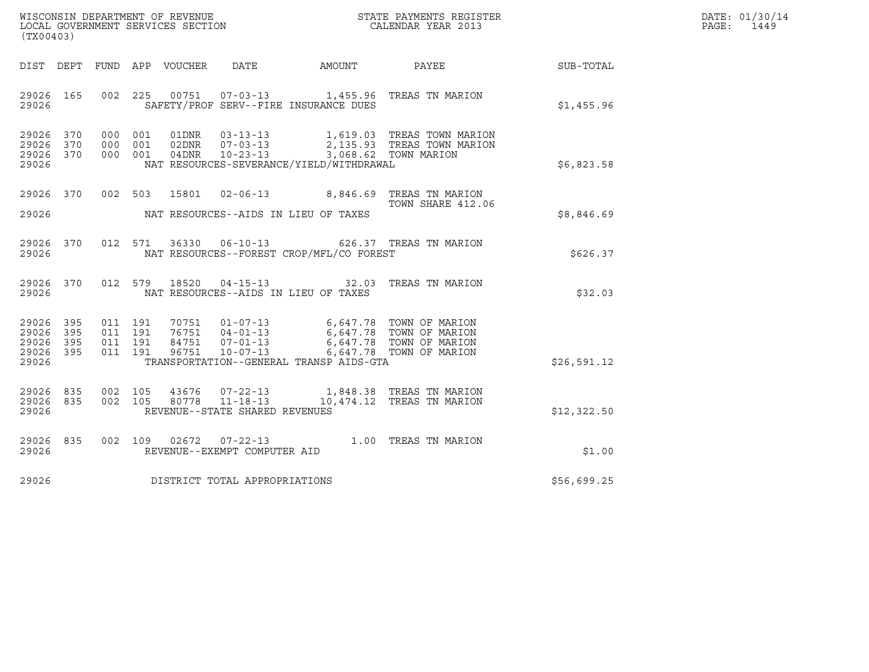| WISCONSIN DEPARTMENT OF REVENUE   | STATE PAYMENTS REGISTER | DATE: 01/30/14 |
|-----------------------------------|-------------------------|----------------|
| LOCAL GOVERNMENT SERVICES SECTION | CALENDAR YEAR 2013      | PAGE:<br>1449  |

| WISCONSIN DEPARTMENT OF REVENUE<br>LOCAL GOVERNMENT SERVICES SECTION THE STATE PAYMENTS REGISTER<br>(TX00403)<br>(TX00403) |           |  |  |               |                                |                                                                                                                                                                                                                                                 |                                                                                                                                                       |             | DATE: 01/30/14<br>PAGE: 1449 |
|----------------------------------------------------------------------------------------------------------------------------|-----------|--|--|---------------|--------------------------------|-------------------------------------------------------------------------------------------------------------------------------------------------------------------------------------------------------------------------------------------------|-------------------------------------------------------------------------------------------------------------------------------------------------------|-------------|------------------------------|
|                                                                                                                            |           |  |  |               |                                |                                                                                                                                                                                                                                                 | DIST DEPT FUND APP VOUCHER DATE AMOUNT PAYEE                                                                                                          | SUB-TOTAL   |                              |
| 29026                                                                                                                      | 29026 165 |  |  |               |                                | SAFETY/PROF SERV--FIRE INSURANCE DUES                                                                                                                                                                                                           | 002 225 00751 07-03-13 1,455.96 TREAS TN MARION                                                                                                       | \$1,455.96  |                              |
| 29026 370<br>29026 370<br>29026 370<br>29026                                                                               |           |  |  |               |                                | NAT RESOURCES-SEVERANCE/YIELD/WITHDRAWAL                                                                                                                                                                                                        | 000 001 01DNR 03-13-13 1,619.03 TREAS TOWN MARION<br>000 001 02DNR 07-03-13 2,135.93 TREAS TOWN MARION<br>000 001 04DNR 10-23-13 3,068.62 TOWN MARION | \$6,823.58  |                              |
|                                                                                                                            |           |  |  |               |                                |                                                                                                                                                                                                                                                 | 29026 370 002 503 15801 02-06-13 8,846.69 TREAS TN MARION<br>TOWN SHARE 412.06                                                                        | \$8,846.69  |                              |
| 29026                                                                                                                      | 29026 370 |  |  |               |                                | NAT RESOURCES--FOREST CROP/MFL/CO FOREST                                                                                                                                                                                                        | 012 571 36330 06-10-13 626.37 TREAS TN MARION                                                                                                         | \$626.37    |                              |
| 29026                                                                                                                      | 29026 370 |  |  | 012 579 18520 |                                | NAT RESOURCES--AIDS IN LIEU OF TAXES                                                                                                                                                                                                            | 04-15-13 32.03 TREAS TN MARION                                                                                                                        | \$32.03     |                              |
| 29026 395<br>29026 395<br>29026 395<br>29026 395<br>29026                                                                  |           |  |  |               |                                | 011 191 70751 01-07-13 6,647.78 TOWN OF MARION<br>011 191 76751 04-01-13 6,647.78 TOWN OF MARION<br>011 191 84751 07-01-13 6,647.78 TOWN OF MARION<br>011 191 96751 10-07-13 6,647.78 TOWN OF MARION<br>TRANSPORTATION--GENERAL TRANSP AIDS-GTA |                                                                                                                                                       | \$26,591.12 |                              |
| 29026 835<br>29026 835<br>29026                                                                                            |           |  |  | 002 105 43676 | REVENUE--STATE SHARED REVENUES |                                                                                                                                                                                                                                                 | 07-22-13 1,848.38 TREAS TN MARION<br>002 105 80778 11-18-13 10,474.12 TREAS TN MARION                                                                 | \$12,322.50 |                              |
| 29026                                                                                                                      | 29026 835 |  |  |               | REVENUE--EXEMPT COMPUTER AID   |                                                                                                                                                                                                                                                 | 002 109 02672 07-22-13 1.00 TREAS TN MARION                                                                                                           | \$1.00      |                              |
| 29026                                                                                                                      |           |  |  |               | DISTRICT TOTAL APPROPRIATIONS  |                                                                                                                                                                                                                                                 |                                                                                                                                                       | \$56,699.25 |                              |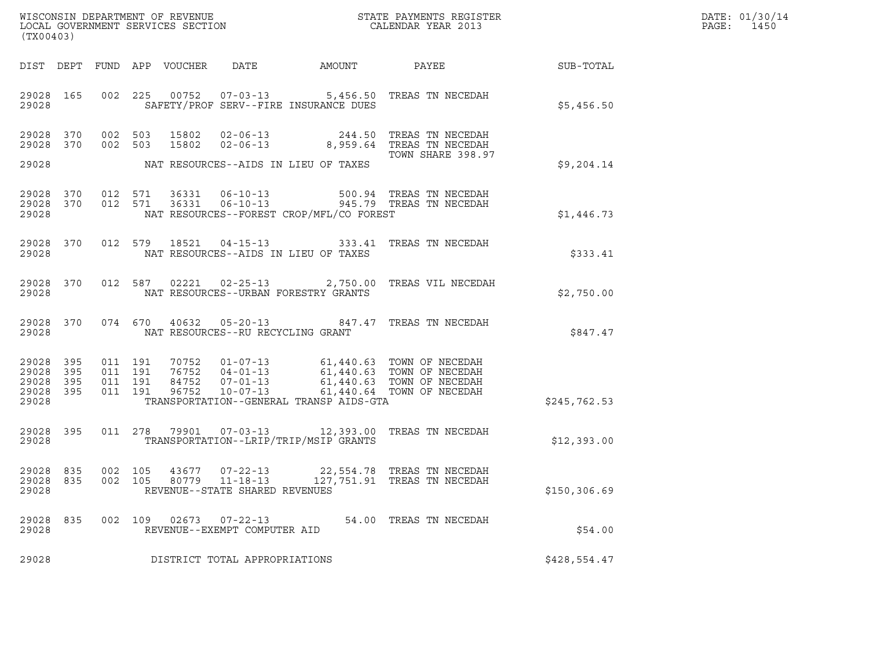| WISCONSIN DEPARTMENT OF REVENUE   | STATE PAYMENTS REGISTER | DATE: 01/30/14 |
|-----------------------------------|-------------------------|----------------|
| LOCAL GOVERNMENT SERVICES SECTION | CALENDAR YEAR 2013      | PAGE:<br>1450  |

| (TX00403)                                 |                          |                          |                          | WISCONSIN DEPARTMENT OF REVENUE<br>LOCAL GOVERNMENT SERVICES SECTION |                                                                      |                                                                                             | STATE PAYMENTS REGISTER<br>CALENDAR YEAR 2013                            |              |
|-------------------------------------------|--------------------------|--------------------------|--------------------------|----------------------------------------------------------------------|----------------------------------------------------------------------|---------------------------------------------------------------------------------------------|--------------------------------------------------------------------------|--------------|
| DIST                                      | DEPT                     | FUND                     | APP                      | VOUCHER                                                              | DATE                                                                 | AMOUNT                                                                                      | PAYEE                                                                    | SUB-TOTAL    |
| 29028<br>29028                            | 165                      | 002                      | 225                      | 00752                                                                | $07 - 03 - 13$                                                       | 5,456.50<br>SAFETY/PROF SERV--FIRE INSURANCE DUES                                           | TREAS TN NECEDAH                                                         | \$5,456.50   |
| 29028<br>29028                            | 370<br>370               | 002<br>002               | 503<br>503               | 15802<br>15802                                                       | $02 - 06 - 13$<br>$02 - 06 - 13$                                     | 244.50<br>8,959.64                                                                          | TREAS TN NECEDAH<br>TREAS TN NECEDAH<br>TOWN SHARE 398.97                |              |
| 29028                                     |                          |                          |                          |                                                                      |                                                                      | NAT RESOURCES--AIDS IN LIEU OF TAXES                                                        |                                                                          | \$9,204.14   |
| 29028<br>29028<br>29028                   | 370<br>370               | 012<br>012               | 571<br>571               | 36331<br>36331                                                       | $06 - 10 - 13$<br>$06 - 10 - 13$                                     | 500.94<br>945.79<br>NAT RESOURCES--FOREST CROP/MFL/CO FOREST                                | TREAS TN NECEDAH<br>TREAS TN NECEDAH                                     | \$1,446.73   |
| 29028<br>29028                            | 370                      | 012                      | 579                      | 18521                                                                | $04 - 15 - 13$                                                       | 333.41<br>NAT RESOURCES--AIDS IN LIEU OF TAXES                                              | TREAS TN NECEDAH                                                         | \$333.41     |
| 29028<br>29028                            | 370                      | 012                      | 587                      | 02221                                                                | $02 - 25 - 13$                                                       | 2,750.00<br>NAT RESOURCES--URBAN FORESTRY GRANTS                                            | TREAS VIL NECEDAH                                                        | \$2,750.00   |
| 29028<br>29028                            | 370                      | 074                      | 670                      | 40632                                                                | $05 - 20 - 13$<br>NAT RESOURCES--RU RECYCLING GRANT                  | 847.47                                                                                      | TREAS TN NECEDAH                                                         | \$847.47     |
| 29028<br>29028<br>29028<br>29028<br>29028 | 395<br>395<br>395<br>395 | 011<br>011<br>011<br>011 | 191<br>191<br>191<br>191 | 70752<br>76752<br>84752<br>96752                                     | $01 - 07 - 13$<br>$04 - 01 - 13$<br>$07 - 01 - 13$<br>$10 - 07 - 13$ | 61,440.63<br>61,440.63<br>61,440.63<br>61,440.64<br>TRANSPORTATION--GENERAL TRANSP AIDS-GTA | TOWN OF NECEDAH<br>TOWN OF NECEDAH<br>TOWN OF NECEDAH<br>TOWN OF NECEDAH | \$245,762.53 |
| 29028<br>29028                            | 395                      | 011                      | 278                      | 79901                                                                | $07 - 03 - 13$                                                       | 12,393.00<br>TRANSPORTATION--LRIP/TRIP/MSIP GRANTS                                          | TREAS TN NECEDAH                                                         | \$12,393.00  |
| 29028<br>29028<br>29028                   | 835<br>835               | 002<br>002               | 105<br>105               | 43677<br>80779                                                       | $07 - 22 - 13$<br>$11 - 18 - 13$<br>REVENUE--STATE SHARED REVENUES   | 22,554.78<br>127,751.91                                                                     | TREAS TN NECEDAH<br>TREAS TN NECEDAH                                     | \$150,306.69 |
| 29028<br>29028                            | 835                      | 002                      | 109                      | 02673                                                                | $07 - 22 - 13$<br>REVENUE--EXEMPT COMPUTER AID                       | 54.00                                                                                       | TREAS TN NECEDAH                                                         | \$54.00      |
| 29028                                     |                          |                          |                          |                                                                      | DISTRICT TOTAL APPROPRIATIONS                                        |                                                                                             |                                                                          | \$428,554.47 |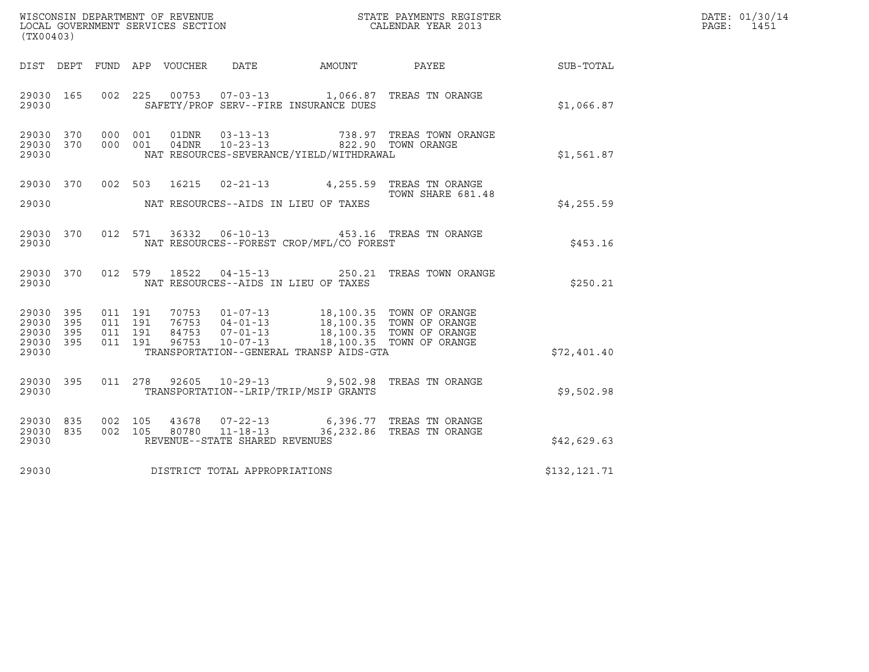| (TX00403)                                                 |           |                    |                                          |                |                                                  |                                          |                                                                                                                                                                                                                                          |                  | DATE: 01/30/14<br>PAGE:<br>1451 |
|-----------------------------------------------------------|-----------|--------------------|------------------------------------------|----------------|--------------------------------------------------|------------------------------------------|------------------------------------------------------------------------------------------------------------------------------------------------------------------------------------------------------------------------------------------|------------------|---------------------------------|
|                                                           |           |                    |                                          |                |                                                  | DIST DEPT FUND APP VOUCHER DATE AMOUNT   | PAYEE                                                                                                                                                                                                                                    | <b>SUB-TOTAL</b> |                                 |
| 29030 165<br>29030                                        |           |                    |                                          |                |                                                  | SAFETY/PROF SERV--FIRE INSURANCE DUES    | 002 225 00753 07-03-13 1,066.87 TREAS TN ORANGE                                                                                                                                                                                          | \$1,066.87       |                                 |
| 29030 370<br>29030                                        | 29030 370 | 000 001<br>000 001 |                                          | 04DNR          | 01DNR        03-13-13<br>$10 - 23 - 13$          | NAT RESOURCES-SEVERANCE/YIELD/WITHDRAWAL | 738.97 TREAS TOWN ORANGE<br>822.90 TOWN ORANGE                                                                                                                                                                                           | \$1,561.87       |                                 |
| 29030 370<br>29030                                        |           |                    |                                          |                |                                                  | NAT RESOURCES--AIDS IN LIEU OF TAXES     | 002 503 16215 02-21-13 4,255.59 TREAS TN ORANGE<br>TOWN SHARE 681.48                                                                                                                                                                     | \$4,255.59       |                                 |
| 29030 370<br>29030                                        |           |                    |                                          |                |                                                  | NAT RESOURCES--FOREST CROP/MFL/CO FOREST | 012 571 36332 06-10-13 453.16 TREAS TN ORANGE                                                                                                                                                                                            | \$453.16         |                                 |
| 29030 370<br>29030                                        |           |                    |                                          |                |                                                  | NAT RESOURCES--AIDS IN LIEU OF TAXES     | 012 579 18522 04-15-13 250.21 TREAS TOWN ORANGE                                                                                                                                                                                          | \$250.21         |                                 |
| 29030 395<br>29030 395<br>29030 395<br>29030 395<br>29030 |           |                    | 011 191<br>011 191<br>011 191<br>011 191 |                |                                                  | TRANSPORTATION--GENERAL TRANSP AIDS-GTA  | $\begin{tabular}{cccccc} 70753 & 01-07-13 & 18,100.35 & TOWN OF ORANGE \\ 76753 & 04-01-13 & 18,100.35 & TOWN OF ORANGE \\ 84753 & 07-01-13 & 18,100.35 & TOWN OF ORANGE \\ 96753 & 10-07-13 & 18,100.35 & TOWN OF ORANGE \end{tabular}$ | \$72,401.40      |                                 |
| 29030 395<br>29030                                        |           | 011 278            |                                          | 92605          |                                                  | TRANSPORTATION--LRIP/TRIP/MSIP GRANTS    | 10-29-13 9,502.98 TREAS TN ORANGE                                                                                                                                                                                                        | \$9,502.98       |                                 |
| 29030 835<br>29030 835<br>29030                           |           | 002 105            | 002 105                                  | 43678<br>80780 | $11 - 18 - 13$<br>REVENUE--STATE SHARED REVENUES |                                          | 07-22-13 6,396.77 TREAS TN ORANGE<br>36,232.86 TREAS TN ORANGE                                                                                                                                                                           | \$42,629.63      |                                 |
| 29030                                                     |           |                    |                                          |                | DISTRICT TOTAL APPROPRIATIONS                    |                                          |                                                                                                                                                                                                                                          | \$132,121.71     |                                 |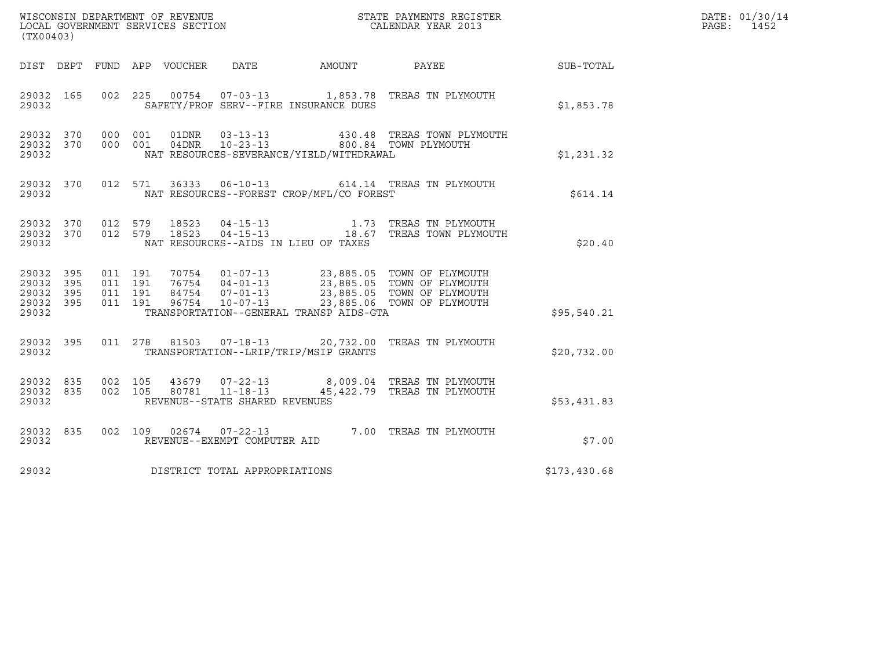| (TX00403)                                                 |                    |                    |                |                                                  |                                          |                                                                                                                                                                                              |                  | DATE: 01/30/14<br>PAGE:<br>1452 |
|-----------------------------------------------------------|--------------------|--------------------|----------------|--------------------------------------------------|------------------------------------------|----------------------------------------------------------------------------------------------------------------------------------------------------------------------------------------------|------------------|---------------------------------|
|                                                           |                    |                    |                |                                                  | DIST DEPT FUND APP VOUCHER DATE AMOUNT   | PAYEE                                                                                                                                                                                        | <b>SUB-TOTAL</b> |                                 |
| 29032 165<br>29032                                        |                    |                    |                |                                                  | SAFETY/PROF SERV--FIRE INSURANCE DUES    | 002 225 00754 07-03-13 1,853.78 TREAS TN PLYMOUTH                                                                                                                                            | \$1,853.78       |                                 |
| 29032 370<br>29032 370<br>29032                           | 000 001            | 000 001            | 04DNR          | 01DNR 03-13-13<br>$10 - 23 - 13$                 | NAT RESOURCES-SEVERANCE/YIELD/WITHDRAWAL | 430.48 TREAS TOWN PLYMOUTH<br>800.84 TOWN PLYMOUTH                                                                                                                                           | \$1,231.32       |                                 |
| 29032 370<br>29032                                        |                    |                    |                |                                                  | NAT RESOURCES--FOREST CROP/MFL/CO FOREST | 012 571 36333 06-10-13 614.14 TREAS TN PLYMOUTH                                                                                                                                              | \$614.14         |                                 |
| 29032 370 012 579<br>29032 370<br>29032                   | 012 579            |                    | 18523<br>18523 |                                                  | NAT RESOURCES--AIDS IN LIEU OF TAXES     | 04-15-13 1.73 TREAS TN PLYMOUTH<br>04-15-13 18.67 TREAS TOWN PLYMOUTH                                                                                                                        | \$20.40          |                                 |
| 29032 395<br>29032 395<br>29032 395<br>29032 395<br>29032 | 011 191<br>011 191 | 011 191<br>011 191 |                |                                                  | TRANSPORTATION--GENERAL TRANSP AIDS-GTA  | 70754  01-07-13  23,885.05  TOWN OF PLYMOUTH<br>76754  04-01-13  23,885.05  TOWN OF PLYMOUTH<br>84754  07-01-13  23,885.05  TOWN OF PLYMOUTH<br>96754  10-07-13  23,885.06  TOWN OF PLYMOUTH | \$95,540.21      |                                 |
| 29032 395<br>29032                                        |                    | 011 278 81503      |                |                                                  | TRANSPORTATION--LRIP/TRIP/MSIP GRANTS    | 07-18-13 20,732.00 TREAS TN PLYMOUTH                                                                                                                                                         | \$20,732.00      |                                 |
| 29032 835<br>29032 835<br>29032                           | 002 105<br>002 105 |                    |                | 80781 11-18-13<br>REVENUE--STATE SHARED REVENUES |                                          | 43679  07-22-13  8,009.04  TREAS TN PLYMOUTH<br>45,422.79 TREAS TN PLYMOUTH                                                                                                                  | \$53,431.83      |                                 |
| 29032 835<br>29032                                        |                    |                    |                | REVENUE--EXEMPT COMPUTER AID                     |                                          | 002 109 02674 07-22-13 7.00 TREAS TN PLYMOUTH                                                                                                                                                | \$7.00           |                                 |
| 29032                                                     |                    |                    |                | DISTRICT TOTAL APPROPRIATIONS                    |                                          |                                                                                                                                                                                              | \$173,430.68     |                                 |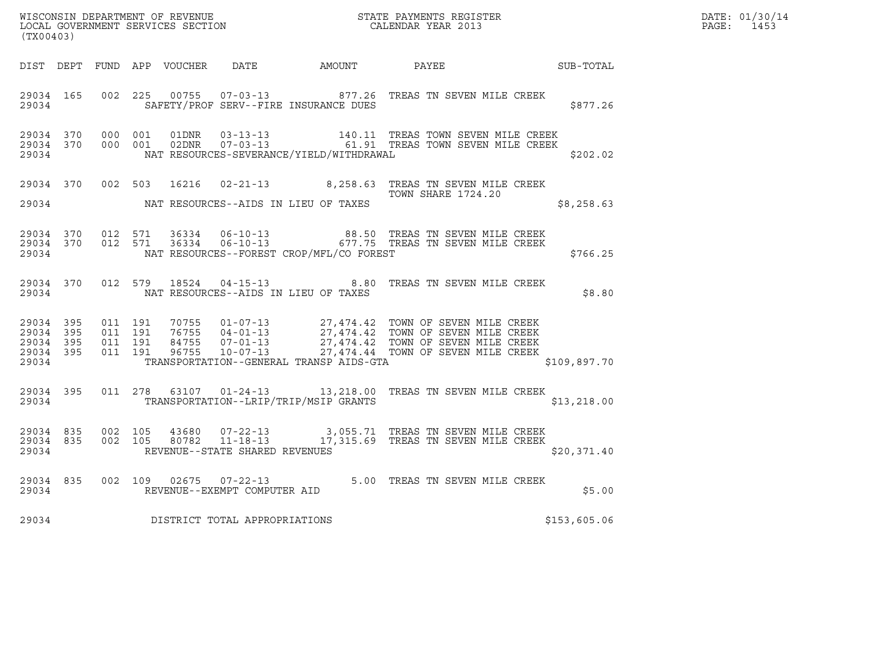| DATE: | 01/30/14 |
|-------|----------|
| PAGE: | 1453     |

| WISCONSIN DEPARTMENT OF REVENUE<br>LOCAL GOVERNMENT SERVICES SECTION<br>CALENDAR YEAR 2013<br>(TX00403) |           |                   |  |  |                               |                                                |                                                                                                                                                                                                                                                                 | $\mathcal{R}$ | DATE: 01/30/14<br>PAGE: 1453 |
|---------------------------------------------------------------------------------------------------------|-----------|-------------------|--|--|-------------------------------|------------------------------------------------|-----------------------------------------------------------------------------------------------------------------------------------------------------------------------------------------------------------------------------------------------------------------|---------------|------------------------------|
|                                                                                                         |           |                   |  |  |                               |                                                | DIST DEPT FUND APP VOUCHER DATE AMOUNT PAYEE PAYEE SUB-TOTAL                                                                                                                                                                                                    |               |                              |
|                                                                                                         |           | 29034             |  |  |                               | SAFETY/PROF SERV--FIRE INSURANCE DUES          | 29034 165 002 225 00755 07-03-13 877.26 TREAS TN SEVEN MILE CREEK                                                                                                                                                                                               | \$877.26      |                              |
|                                                                                                         |           |                   |  |  |                               | 29034 NAT RESOURCES-SEVERANCE/YIELD/WITHDRAWAL | $\begin{array}{cccccccc} 29034 & 370 & 000 & 001 & 01 \text{DNR} & 03-13-13 & & 140.11 & \text{TREAS TOWN} & \text{SEVEN MILE CREEK} \\ 29034 & 370 & 000 & 001 & 02 \text{DNR} & 07-03-13 & & 61.91 & \text{TREAS TOWN} & \text{SEVEN MILE CREEK} \end{array}$ | \$202.02      |                              |
|                                                                                                         |           |                   |  |  |                               | 29034 NAT RESOURCES--AIDS IN LIEU OF TAXES     | 29034 370 002 503 16216 02-21-13 8,258.63 TREAS TN SEVEN MILE CREEK<br>TOWN SHARE 1724.20                                                                                                                                                                       | \$8,258.63    |                              |
| 29034 370<br>29034                                                                                      |           | 29034 370 012 571 |  |  |                               | NAT RESOURCES--FOREST CROP/MFL/CO FOREST       | 012 571 36334 06-10-13 68.50 TREAS TN SEVEN MILE CREEK 012 571 36334 06-10-13 677.75 TREAS TN SEVEN MILE CREEK                                                                                                                                                  | \$766.25      |                              |
|                                                                                                         |           |                   |  |  |                               | 29034 NAT RESOURCES--AIDS IN LIEU OF TAXES     | 29034 370 012 579 18524 04-15-13 8.80 TREAS TN SEVEN MILE CREEK                                                                                                                                                                                                 |               | \$8.80                       |
|                                                                                                         |           |                   |  |  |                               | 29034 TRANSPORTATION--GENERAL TRANSP AIDS-GTA  | 29034 395 011 191 70755 01-07-13 27,474.42 TOWN OF SEVEN MILE CREEK<br>29034 395 011 191 76755 04-01-13 27,474.42 TOWN OF SEVEN MILE CREEK<br>29034 395 011 191 84755 07-01-13 27,474.42 TOWN OF SEVEN MILE CREEK<br>29034 395 011 191                          | \$109,897.70  |                              |
|                                                                                                         | 29034 395 | 29034 2003        |  |  |                               | TRANSPORTATION--LRIP/TRIP/MSIP GRANTS          | 011  278  63107  01-24-13  13,218.00  TREAS TN SEVEN MILE CREEK                                                                                                                                                                                                 | \$13, 218.00  |                              |
|                                                                                                         |           |                   |  |  |                               | 29034 REVENUE--STATE SHARED REVENUES           | $\begin{array}{cccccc} 29034 & 835 & 002 & 105 & 43680 & 07-22-13 & & 3,055.71 & \text{TREAS TN SEVEN MILE CREEK} \\ 29034 & 835 & 002 & 105 & 80782 & 11-18-13 & & 17,315.69 & \text{TREAS TN SEVEN MILE CREEK} \end{array}$                                   | \$20,371.40   |                              |
|                                                                                                         |           |                   |  |  |                               |                                                |                                                                                                                                                                                                                                                                 |               | \$5.00                       |
| 29034                                                                                                   |           |                   |  |  | DISTRICT TOTAL APPROPRIATIONS |                                                |                                                                                                                                                                                                                                                                 | \$153,605.06  |                              |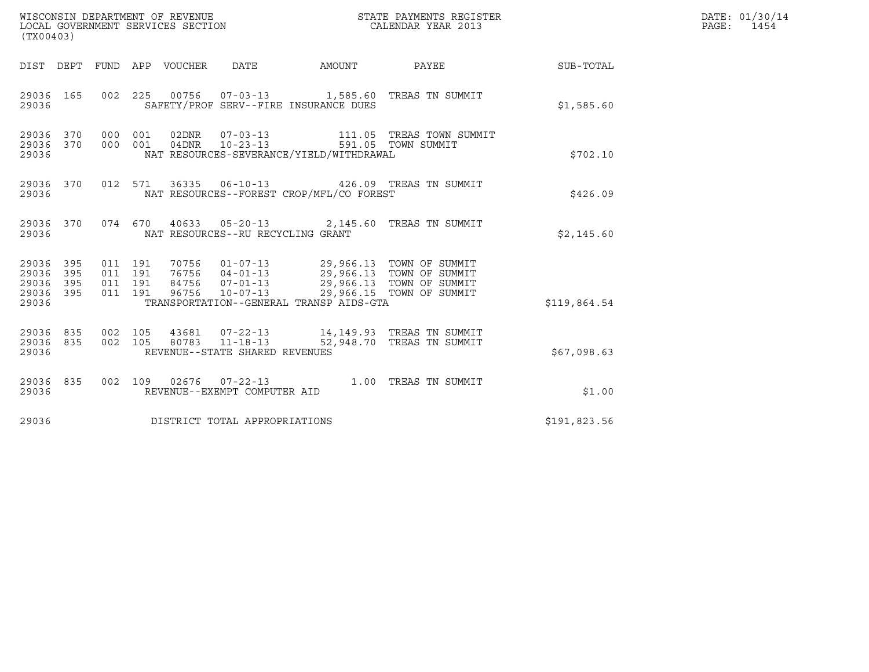| (TX00403)                                 |                          |                                          | WISCONSIN DEPARTMENT OF REVENUE<br>LOCAL GOVERNMENT SERVICES SECTION |                                                  | STATE PAYMENTS REGISTER<br>CALENDAR YEAR 2013                                                                                                                                     |                                                                                                                                 | DATE: 01/30/14<br>PAGE: 1454 |  |
|-------------------------------------------|--------------------------|------------------------------------------|----------------------------------------------------------------------|--------------------------------------------------|-----------------------------------------------------------------------------------------------------------------------------------------------------------------------------------|---------------------------------------------------------------------------------------------------------------------------------|------------------------------|--|
|                                           |                          |                                          | DIST DEPT FUND APP VOUCHER DATE                                      |                                                  | AMOUNT                                                                                                                                                                            | <b>PAYEE</b>                                                                                                                    | SUB-TOTAL                    |  |
| 29036 165<br>29036                        |                          |                                          |                                                                      |                                                  | SAFETY/PROF SERV--FIRE INSURANCE DUES                                                                                                                                             | 002 225 00756 07-03-13 1,585.60 TREAS TN SUMMIT                                                                                 | \$1,585.60                   |  |
| 29036 370<br>29036 370<br>29036           |                          | 000 001<br>000 001                       |                                                                      |                                                  | NAT RESOURCES-SEVERANCE/YIELD/WITHDRAWAL                                                                                                                                          | $\begin{tabular}{lllllllll} 02DNR & 07-03-13 & 111.05 TREAS TOWN SUMMIT \\ 04DNR & 10-23-13 & 591.05 TOWN SUMMIT \end{tabular}$ | \$702.10                     |  |
| 29036 370<br>29036                        |                          |                                          |                                                                      |                                                  | NAT RESOURCES--FOREST CROP/MFL/CO FOREST                                                                                                                                          | 012 571 36335 06-10-13 426.09 TREAS TN SUMMIT                                                                                   | \$426.09                     |  |
| 29036 370<br>29036                        |                          |                                          |                                                                      | NAT RESOURCES--RU RECYCLING GRANT                |                                                                                                                                                                                   | 074 670 40633 05-20-13 2,145.60 TREAS TN SUMMIT                                                                                 | \$2,145.60                   |  |
| 29036<br>29036<br>29036<br>29036<br>29036 | 395<br>395<br>395<br>395 | 011 191<br>011 191<br>011 191<br>011 191 | 96756                                                                | $10 - 07 - 13$                                   | 70756  01-07-13  29,966.13  TOWN OF SUMMIT<br>76756  04-01-13  29,966.13  TOWN OF SUMMIT<br>84756  07-01-13  29,966.13  TOWN OF SUMMIT<br>TRANSPORTATION--GENERAL TRANSP AIDS-GTA | 29,966.15 TOWN OF SUMMIT                                                                                                        | \$119,864.54                 |  |
| 29036 835<br>29036 835<br>29036           |                          | 002 105<br>002 105                       |                                                                      | 80783 11-18-13<br>REVENUE--STATE SHARED REVENUES |                                                                                                                                                                                   | 43681  07-22-13  14,149.93  TREAS TN SUMMIT<br>52,948.70 TREAS TN SUMMIT                                                        | \$67,098.63                  |  |
| 29036 835<br>29036                        |                          |                                          |                                                                      | REVENUE--EXEMPT COMPUTER AID                     |                                                                                                                                                                                   | 002 109 02676 07-22-13 1.00 TREAS TN SUMMIT                                                                                     | \$1.00                       |  |
| 29036                                     |                          |                                          |                                                                      | DISTRICT TOTAL APPROPRIATIONS                    |                                                                                                                                                                                   |                                                                                                                                 | \$191,823.56                 |  |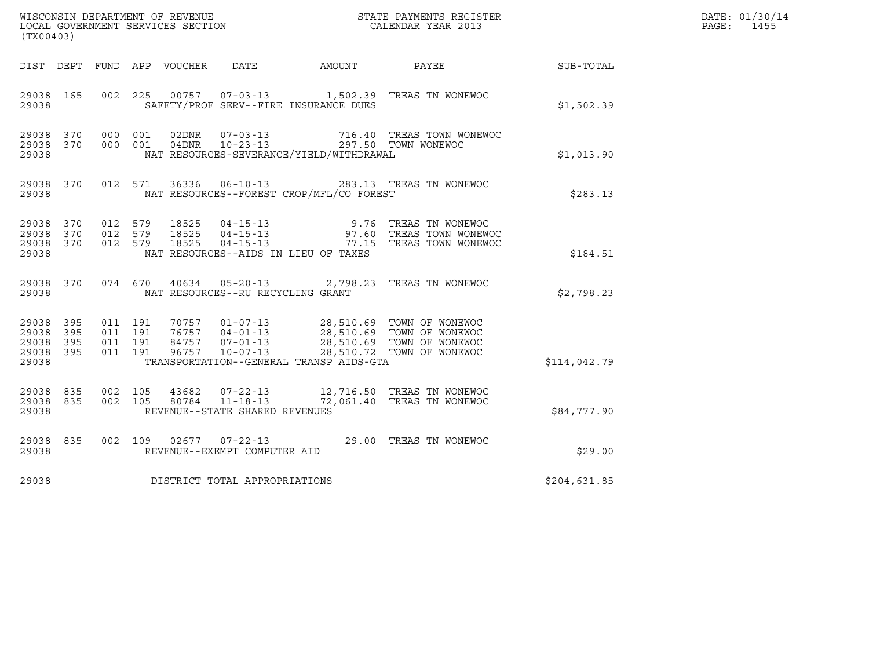| (TX00403)                                         |            |                                          |         |                         |                                                                    |                                          | $\tt WISCONSIM DEPARTMENT OF REVENUE$ $\tt WISCONSIMENTS REGISTER$<br>LOCAL GOVERNMENT SERVICES SECTION $\tt CALENDAR YEAR$<br>2013                                    |              | DATE: 01/30/14<br>PAGE:<br>1455 |
|---------------------------------------------------|------------|------------------------------------------|---------|-------------------------|--------------------------------------------------------------------|------------------------------------------|------------------------------------------------------------------------------------------------------------------------------------------------------------------------|--------------|---------------------------------|
|                                                   |            |                                          |         |                         |                                                                    | DIST DEPT FUND APP VOUCHER DATE AMOUNT   | PAYEE                                                                                                                                                                  | SUB-TOTAL    |                                 |
| 29038 165<br>29038                                |            | 002 225                                  |         |                         |                                                                    | SAFETY/PROF SERV--FIRE INSURANCE DUES    |                                                                                                                                                                        | \$1,502.39   |                                 |
| 29038 370<br>29038 370<br>29038                   |            | 000 001<br>000 001                       |         | 04DNR                   | $10 - 23 - 13$                                                     | NAT RESOURCES-SEVERANCE/YIELD/WITHDRAWAL | 716.40 TREAS TOWN WONEWOC<br>297.50 TOWN WONEWOC                                                                                                                       | \$1,013.90   |                                 |
| 29038 370<br>29038                                |            |                                          | 012 571 | 36336                   |                                                                    | NAT RESOURCES--FOREST CROP/MFL/CO FOREST | 06-10-13 283.13 TREAS TN WONEWOC                                                                                                                                       | \$283.13     |                                 |
| 29038 370<br>29038<br>29038 370<br>29038          | 370        | 012 579<br>012 579<br>012 579            |         | 18525<br>18525<br>18525 |                                                                    | NAT RESOURCES--AIDS IN LIEU OF TAXES     | 04-15-13 9.76 TREAS TN WONEWOC<br>04-15-13 97.60 TREAS TOWN WONEWOC<br>04-15-13 77.15 TREAS TOWN WONEWOC                                                               | \$184.51     |                                 |
| 29038                                             | 29038 370  |                                          |         |                         | NAT RESOURCES--RU RECYCLING GRANT                                  |                                          | 074 670 40634 05-20-13 2,798.23 TREAS TN WONEWOC                                                                                                                       | \$2,798.23   |                                 |
| 29038 395<br>29038<br>29038<br>29038 395<br>29038 | 395<br>395 | 011 191<br>011 191<br>011 191<br>011 191 |         |                         | 96757 10-07-13                                                     | TRANSPORTATION--GENERAL TRANSP AIDS-GTA  | 70757  01-07-13  28,510.69  TOWN OF WONEWOC<br>76757  04-01-13  28,510.69  TOWN OF WONEWOC<br>84757  07-01-13  28,510.69  TOWN OF WONEWOC<br>28,510.72 TOWN OF WONEWOC | \$114,042.79 |                                 |
| 29038 835<br>29038 835<br>29038                   |            | 002 105<br>002 105                       |         | 80784                   | 43682 07-22-13<br>$11 - 18 - 13$<br>REVENUE--STATE SHARED REVENUES |                                          | 12,716.50 TREAS TN WONEWOC<br>72,061.40 TREAS TN WONEWOC                                                                                                               | \$84,777.90  |                                 |
| 29038 835<br>29038                                |            |                                          |         |                         | REVENUE--EXEMPT COMPUTER AID                                       |                                          | 002 109 02677 07-22-13 29.00 TREAS TN WONEWOC                                                                                                                          | \$29.00      |                                 |
| 29038                                             |            |                                          |         |                         | DISTRICT TOTAL APPROPRIATIONS                                      |                                          |                                                                                                                                                                        | \$204,631.85 |                                 |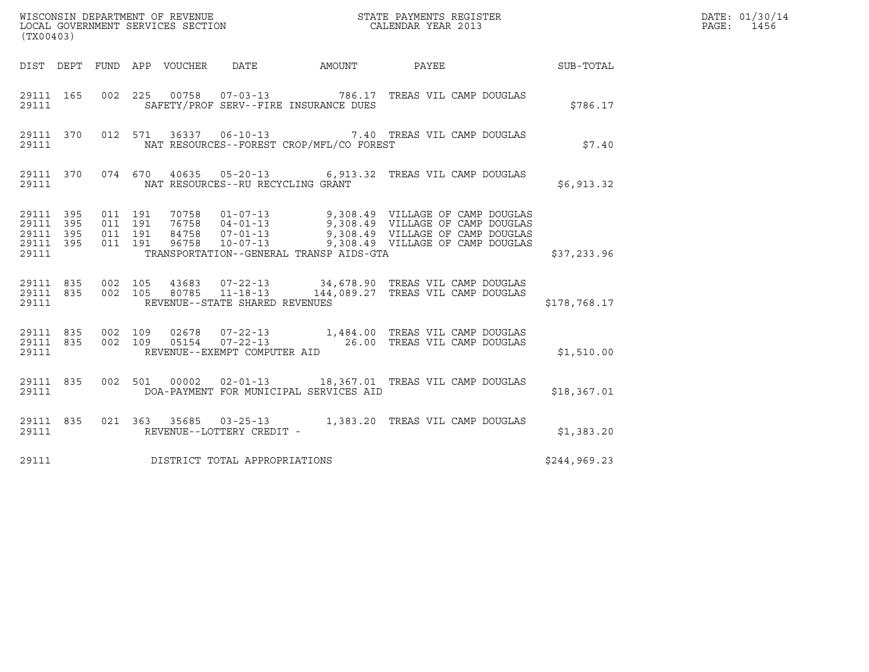| (TX00403)                                                 |  |                               |         |  |                                                          |  |                                                                                                                                                                                                                       |              | DATE: 01/30/14<br>PAGE:<br>1456 |
|-----------------------------------------------------------|--|-------------------------------|---------|--|----------------------------------------------------------|--|-----------------------------------------------------------------------------------------------------------------------------------------------------------------------------------------------------------------------|--------------|---------------------------------|
|                                                           |  |                               |         |  |                                                          |  |                                                                                                                                                                                                                       |              |                                 |
| 29111                                                     |  |                               |         |  | SAFETY/PROF SERV--FIRE INSURANCE DUES                    |  | 29111 165 002 225 00758 07-03-13 786.17 TREAS VIL CAMP DOUGLAS                                                                                                                                                        | \$786.17     |                                 |
| 29111                                                     |  |                               |         |  | NAT RESOURCES--FOREST CROP/MFL/CO FOREST                 |  | 29111 370 012 571 36337 06-10-13 7.40 TREAS VIL CAMP DOUGLAS                                                                                                                                                          | \$7.40       |                                 |
| 29111                                                     |  |                               |         |  | NAT RESOURCES--RU RECYCLING GRANT                        |  | 29111 370 074 670 40635 05-20-13 6,913.32 TREAS VIL CAMP DOUGLAS                                                                                                                                                      | \$6,913.32   |                                 |
| 29111 395<br>29111 395<br>29111 395<br>29111 395<br>29111 |  | 011 191<br>011 191<br>011 191 | 011 191 |  | TRANSPORTATION--GENERAL TRANSP AIDS-GTA                  |  | 70758  01-07-13  9,308.49  VILLAGE OF CAMP DOUGLAS<br>76758  04-01-13  9,308.49  VILLAGE OF CAMP DOUGLAS<br>84758  07-01-13  9,308.49  VILLAGE OF CAMP DOUGLAS<br>96758  10-07-13  9,308.49  VILLAGE OF CAMP DOUGLAS  | \$37,233.96  |                                 |
| 29111 835<br>29111                                        |  |                               |         |  | 002 105 80785 11-18-13<br>REVENUE--STATE SHARED REVENUES |  | 29111 835 002 105 43683 07-22-13 34,678.90 TREAS VIL CAMP DOUGLAS<br>144,089.27 TREAS VIL CAMP DOUGLAS                                                                                                                | \$178,768.17 |                                 |
| 29111                                                     |  |                               |         |  | REVENUE--EXEMPT COMPUTER AID                             |  | $\begin{array}{cccccccc} 29111 & 835 & 002 & 109 & 02678 & 07-22-13 & & 1,484.00 & \text{TREAS VIL CAMP DOUTLAS} \\ 29111 & 835 & 002 & 109 & 05154 & 07-22-13 & & 26.00 & \text{TREAS VIL CAMP DOUTLAS} \end{array}$ | \$1,510.00   |                                 |
| 29111                                                     |  |                               |         |  | DOA-PAYMENT FOR MUNICIPAL SERVICES AID                   |  | 29111 835 002 501 00002 02-01-13 18,367.01 TREAS VIL CAMP DOUGLAS                                                                                                                                                     | \$18,367.01  |                                 |
| 29111                                                     |  |                               |         |  | REVENUE--LOTTERY CREDIT -                                |  | 29111 835 021 363 35685 03-25-13 1,383.20 TREAS VIL CAMP DOUGLAS                                                                                                                                                      | \$1,383.20   |                                 |
| 29111                                                     |  |                               |         |  | DISTRICT TOTAL APPROPRIATIONS                            |  |                                                                                                                                                                                                                       | \$244,969.23 |                                 |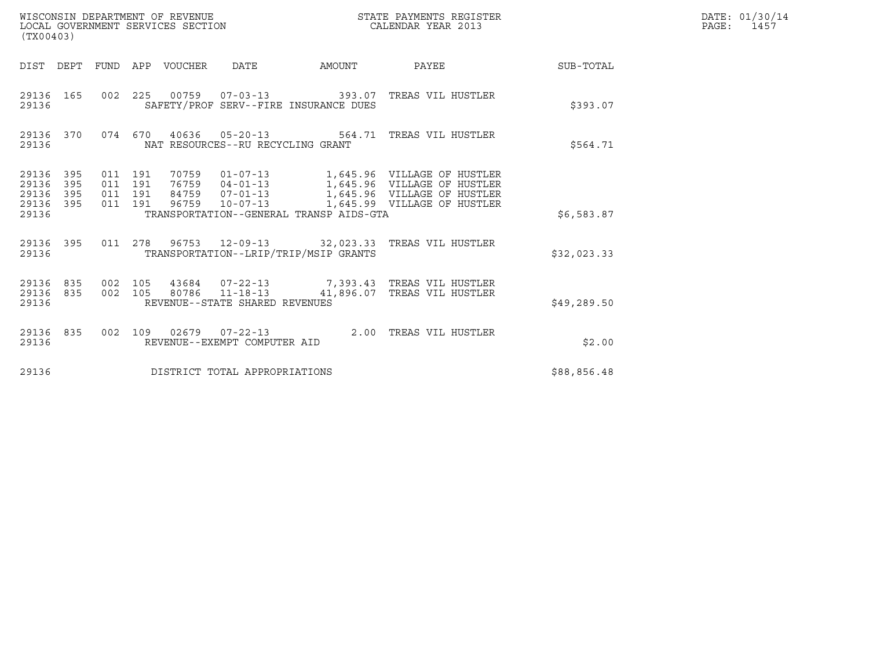| WISCONSIN DEPARTMENT OF REVENUE<br>LOCAL GOVERNMENT SERVICES SECTION<br>(TX00403) |                                          |       |                                                          | STATE PAYMENTS REGISTER<br>CALENDAR YEAR 2013           |              | DATE: 01/30/14<br>PAGE: 1457 |
|-----------------------------------------------------------------------------------|------------------------------------------|-------|----------------------------------------------------------|---------------------------------------------------------|--------------|------------------------------|
| DIST DEPT FUND APP VOUCHER DATE                                                   |                                          |       | AMOUNT                                                   | PAYEE SUB-TOTAL                                         |              |                              |
| 29136 165<br>29136                                                                |                                          |       | SAFETY/PROF SERV--FIRE INSURANCE DUES                    | 002 225 00759 07-03-13 393.07 TREAS VIL HUSTLER         | \$393.07     |                              |
| 29136 370<br>29136                                                                |                                          |       | NAT RESOURCES--RU RECYCLING GRANT                        | 074 670 40636 05-20-13 564.71 TREAS VIL HUSTLER         | \$564.71     |                              |
| 29136 395<br>29136<br>395<br>395<br>29136<br>29136 395<br>29136                   | 011 191<br>011 191<br>011 191<br>011 191 | 96759 | TRANSPORTATION--GENERAL TRANSP AIDS-GTA                  | 10-07-13 1,645.99 VILLAGE OF HUSTLER                    | \$6,583.87   |                              |
| 29136 395<br>29136                                                                |                                          |       | TRANSPORTATION--LRIP/TRIP/MSIP GRANTS                    | 011  278  96753  12-09-13  32,023.33  TREAS VIL HUSTLER | \$32,023.33  |                              |
| 29136 835<br>29136 835<br>29136                                                   | 002 105                                  |       | 002 105 80786 11-18-13<br>REVENUE--STATE SHARED REVENUES | 41,896.07 TREAS VIL HUSTLER                             | \$49, 289.50 |                              |
| 29136 835<br>29136                                                                |                                          |       | REVENUE--EXEMPT COMPUTER AID                             | 002 109 02679 07-22-13 2.00 TREAS VIL HUSTLER           | \$2.00       |                              |
| 29136                                                                             |                                          |       | DISTRICT TOTAL APPROPRIATIONS                            |                                                         | \$88,856.48  |                              |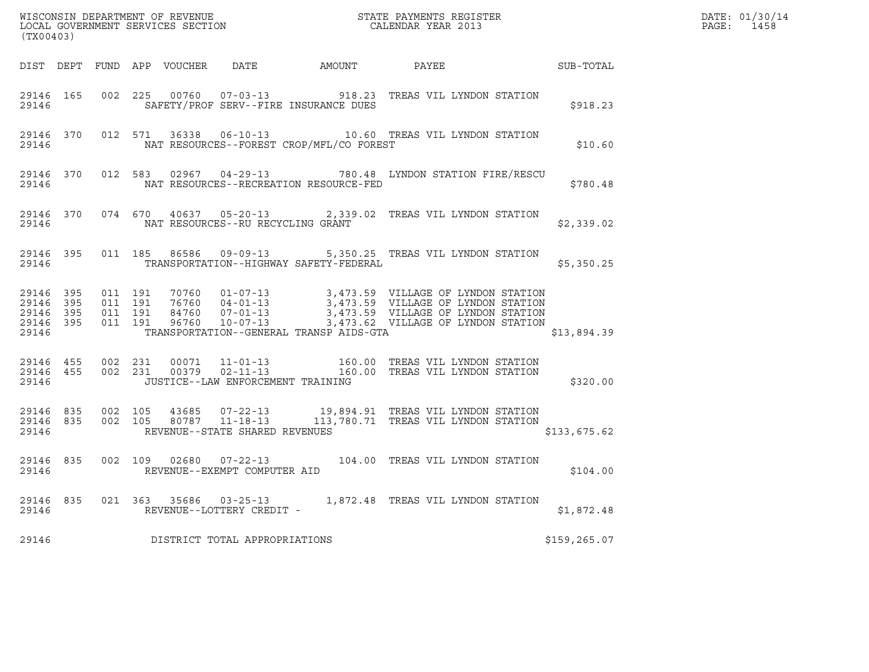| (TX00403) |           |  |                                   |                                                |                                                                                                                                                                                                                                                                                                                                     |              | DATE: 01/30/14<br>PAGE: 1458 |
|-----------|-----------|--|-----------------------------------|------------------------------------------------|-------------------------------------------------------------------------------------------------------------------------------------------------------------------------------------------------------------------------------------------------------------------------------------------------------------------------------------|--------------|------------------------------|
|           |           |  |                                   |                                                | DIST DEPT FUND APP VOUCHER DATE AMOUNT PAYEE TO SUB-TOTAL                                                                                                                                                                                                                                                                           |              |                              |
|           |           |  |                                   | 29146 SAFETY/PROF SERV--FIRE INSURANCE DUES    | 29146 165 002 225 00760 07-03-13 918.23 TREAS VIL LYNDON STATION                                                                                                                                                                                                                                                                    | \$918.23     |                              |
|           |           |  |                                   | 29146 MAT RESOURCES--FOREST CROP/MFL/CO FOREST | 29146 370 012 571 36338 06-10-13 10.60 TREAS VIL LYNDON STATION                                                                                                                                                                                                                                                                     | \$10.60      |                              |
|           |           |  |                                   |                                                | 29146 370 012 583 02967 04-29-13 780.48 LYNDON STATION FIRE/RESCU                                                                                                                                                                                                                                                                   | \$780.48     |                              |
|           |           |  |                                   |                                                | 29146 370 074 670 40637 05-20-13 2,339.02 TREAS VIL LYNDON STATION                                                                                                                                                                                                                                                                  | \$2,339.02   |                              |
| 29146     | 29146 395 |  |                                   | TRANSPORTATION--HIGHWAY SAFETY-FEDERAL         | 011 185 86586 09-09-13 5,350.25 TREAS VIL LYNDON STATION                                                                                                                                                                                                                                                                            | \$5,350.25   |                              |
| 29146     |           |  |                                   | TRANSPORTATION--GENERAL TRANSP AIDS-GTA        | $\begin{array}{cccccccc} 29146 & 395 & 011 & 191 & 70760 & 01-07-13 & & 3,473.59 & \text{VILLAGE OF LYNDON STATION} \\ 29146 & 395 & 011 & 191 & 76760 & 04-01-13 & & 3,473.59 & \text{VILLAGE OF LYNDON STATION} \\ 29146 & 395 & 011 & 191 & 84760 & 07-01-13 & & 3,473.59 & \text{VILLAGE OF LYNDON STATION} \\ 29146 & 395 & 0$ | \$13,894.39  |                              |
| 29146     |           |  | JUSTICE--LAW ENFORCEMENT TRAINING |                                                | $\begin{array}{cccccc} 29146 & 455 & 002 & 231 & 00071 & 11-01-13 & & 160.00 & \text{TREAS VIL LYNDON STATION} \\ 29146 & 455 & 002 & 231 & 00379 & 02-11-13 & & 160.00 & \text{TREAS VIL LYNDON STATION} \end{array}$                                                                                                              | \$320.00     |                              |
| 29146     |           |  | REVENUE--STATE SHARED REVENUES    |                                                | $\begin{array}{cccc} 29146 & 835 & 002 & 105 & 43685 & 07-22-13 & 19,894.91 & \text{TREAS VIL LYNDON STATION} \\ 29146 & 835 & 002 & 105 & 80787 & 11-18-13 & 113,780.71 & \text{TREAS VIL LYNDON STATION} \end{array}$<br>113,780.71 TREAS VIL LYNDON STATION                                                                      | \$133,675.62 |                              |
| 29146     |           |  | REVENUE--EXEMPT COMPUTER AID      |                                                | 29146 835 002 109 02680 07-22-13 104.00 TREAS VIL LYNDON STATION                                                                                                                                                                                                                                                                    | \$104.00     |                              |
|           |           |  |                                   |                                                | 29146 835 021 363 35686 03-25-13 1,872.48 TREAS VIL LYNDON STATION                                                                                                                                                                                                                                                                  | \$1,872.48   |                              |
| 29146     |           |  | DISTRICT TOTAL APPROPRIATIONS     |                                                |                                                                                                                                                                                                                                                                                                                                     | \$159,265.07 |                              |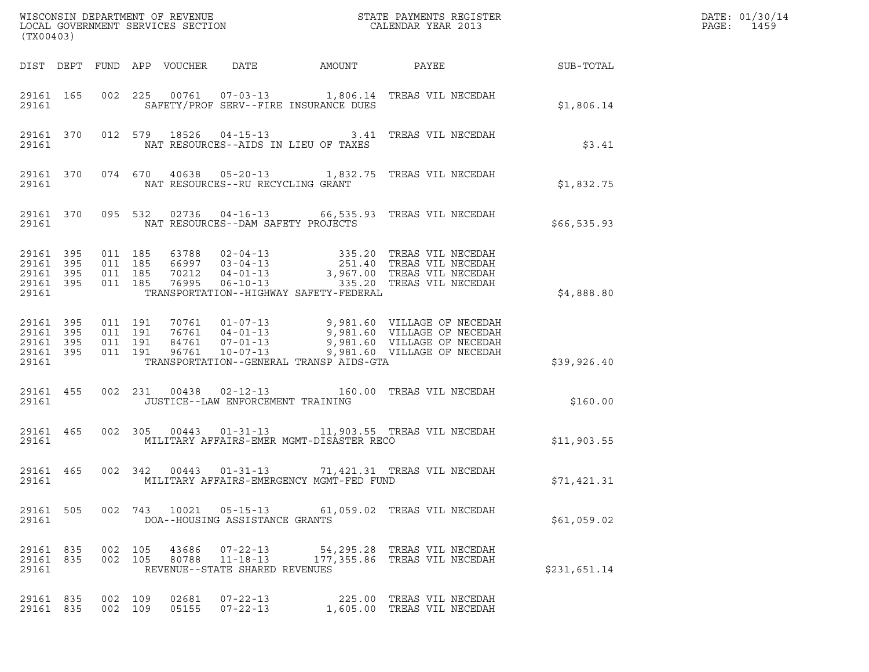| (TX00403)                                                 |                                          |                            |                                    |                                          | $\tt WISCONSIM DEPARTMENT OF REVENUE$ $\tt WISCONMIN SERS THE RUSIN EOR X RESISTERLOCAL GOVERNMENT SERVICES SECTION CALENDAR YEAR 2013$                                                 |              | DATE: 01/30/14<br>$\mathtt{PAGE:}$<br>1459 |
|-----------------------------------------------------------|------------------------------------------|----------------------------|------------------------------------|------------------------------------------|-----------------------------------------------------------------------------------------------------------------------------------------------------------------------------------------|--------------|--------------------------------------------|
|                                                           |                                          | DIST DEPT FUND APP VOUCHER | DATE                               | AMOUNT                                   |                                                                                                                                                                                         |              |                                            |
| 29161 165<br>29161                                        |                                          |                            |                                    | SAFETY/PROF SERV--FIRE INSURANCE DUES    | 002 225 00761 07-03-13 1,806.14 TREAS VIL NECEDAH                                                                                                                                       | \$1,806.14   |                                            |
| 29161 370<br>29161                                        |                                          |                            |                                    | NAT RESOURCES--AIDS IN LIEU OF TAXES     | 012 579 18526 04-15-13 3.41 TREAS VIL NECEDAH                                                                                                                                           | \$3.41       |                                            |
| 29161 370<br>29161                                        |                                          |                            | NAT RESOURCES--RU RECYCLING GRANT  |                                          | 074 670 40638 05-20-13 1,832.75 TREAS VIL NECEDAH                                                                                                                                       | \$1,832.75   |                                            |
| 29161 370<br>29161                                        |                                          |                            | NAT RESOURCES--DAM SAFETY PROJECTS |                                          | 095 532 02736 04-16-13 66,535.93 TREAS VIL NECEDAH                                                                                                                                      | \$66,535.93  |                                            |
| 29161 395<br>29161 395<br>29161 395<br>29161 395<br>29161 | 011 185<br>011 185<br>011 185<br>011 185 |                            |                                    | TRANSPORTATION--HIGHWAY SAFETY-FEDERAL   | 63788 02-04-13 335.20 TREAS VIL NECEDAH<br>66997 03-04-13 251.40 TREAS VIL NECEDAH<br>70212 04-01-13 3,967.00 TREAS VIL NECEDAH<br>76995 06-10-13 335.20 TREAS VIL NECEDAH              | \$4,888.80   |                                            |
| 29161 395<br>29161 395<br>29161 395<br>29161 395<br>29161 | 011 191<br>011 191<br>011 191<br>011 191 | 96761                      |                                    | TRANSPORTATION--GENERAL TRANSP AIDS-GTA  | 70761  01-07-13  9,981.60  VILLAGE OF NECEDAH<br>76761  04-01-13  9,981.60  VILLAGE OF NECEDAH<br>84761  07-01-13  9,981.60  VILLAGE OF NECEDAH<br>10-07-13 9,981.60 VILLAGE OF NECEDAH | \$39,926.40  |                                            |
| 29161 455<br>29161                                        |                                          |                            | JUSTICE--LAW ENFORCEMENT TRAINING  |                                          | 002 231 00438 02-12-13 160.00 TREAS VIL NECEDAH                                                                                                                                         | \$160.00     |                                            |
| 29161 465                                                 | 29161 2016                               |                            |                                    | MILITARY AFFAIRS-EMER MGMT-DISASTER RECO | 002 305 00443 01-31-13 11,903.55 TREAS VIL NECEDAH                                                                                                                                      | \$11,903.55  |                                            |
| 29161 465<br>29161                                        |                                          |                            | 002 342 00443 01-31-13             | MILITARY AFFAIRS-EMERGENCY MGMT-FED FUND | 71,421.31 TREAS VIL NECEDAH                                                                                                                                                             | \$71,421.31  |                                            |
| 29161 505<br>29161                                        |                                          |                            | DOA--HOUSING ASSISTANCE GRANTS     |                                          | 002 743 10021 05-15-13 61,059.02 TREAS VIL NECEDAH                                                                                                                                      | \$61,059.02  |                                            |
| 29161 835<br>29161                                        | 29161 835 002 105<br>002 105             |                            | REVENUE--STATE SHARED REVENUES     |                                          | 43686  07-22-13  54,295.28  TREAS VIL NECEDAH<br>80788  11-18-13  177,355.86  TREAS VIL NECEDAH                                                                                         | \$231,651.14 |                                            |
| 29161 835<br>29161 835                                    | 002 109<br>002 109                       | 02681                      | $07 - 22 - 13$<br>05155 07-22-13   |                                          | 225.00 TREAS VIL NECEDAH<br>1,605.00 TREAS VIL NECEDAH                                                                                                                                  |              |                                            |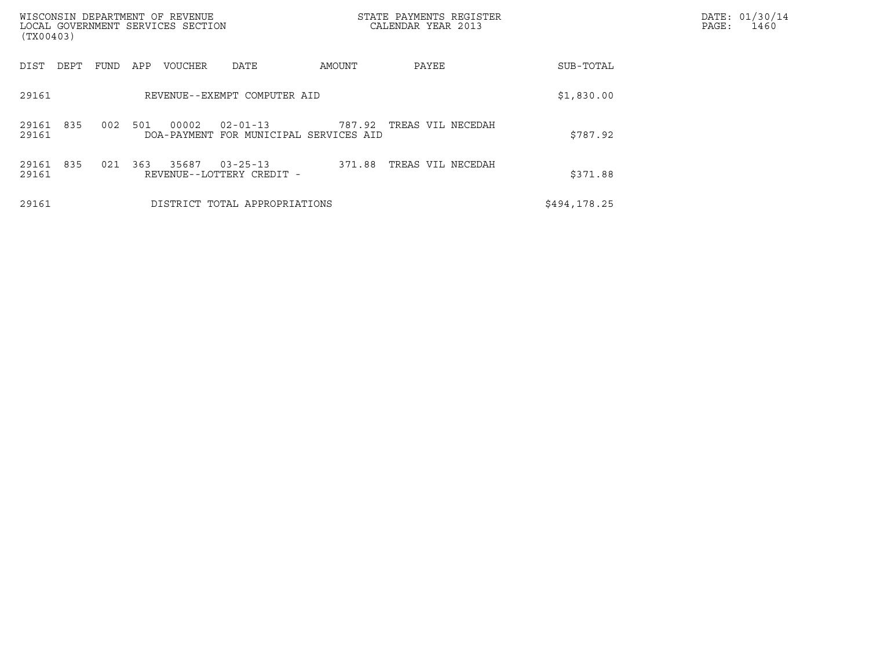| (TX00403)             | WISCONSIN DEPARTMENT OF REVENUE<br>LOCAL GOVERNMENT SERVICES SECTION               | STATE PAYMENTS REGISTER<br>CALENDAR YEAR 2013 |              | DATE: 01/30/14<br>PAGE:<br>1460 |
|-----------------------|------------------------------------------------------------------------------------|-----------------------------------------------|--------------|---------------------------------|
| DIST<br>DEPT          | FUND<br>APP<br>DATE<br><b>VOUCHER</b>                                              | AMOUNT<br>PAYEE                               | SUB-TOTAL    |                                 |
| 29161                 | REVENUE--EXEMPT COMPUTER AID                                                       |                                               | \$1,830.00   |                                 |
| 835<br>29161<br>29161 | 002<br>501<br>00002<br>$02 - 01 - 13$<br>FOR MUNICIPAL SERVICES AID<br>DOA-PAYMENT | 787.92<br>TREAS VIL NECEDAH                   | \$787.92     |                                 |
| 835<br>29161<br>29161 | 363<br>35687<br>021<br>$03 - 25 - 13$<br>REVENUE--LOTTERY CREDIT -                 | 371.88<br>TREAS VIL NECEDAH                   | \$371.88     |                                 |
| 29161                 | DISTRICT TOTAL APPROPRIATIONS                                                      |                                               | \$494,178.25 |                                 |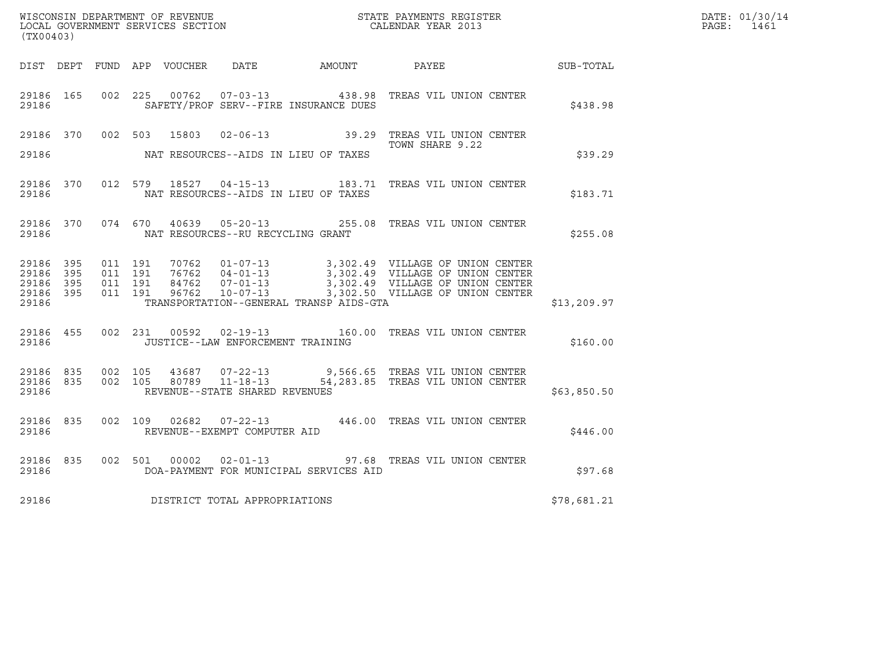|                                     |           |                    |         |                                   |                                         | WISCONSIN DEPARTMENT OF REVENUE<br>LOCAL GOVERNMENT SERVICES SECTION<br>CALENDAR YEAR 2013                                                                                                                                                                                      |              | DATE: 01/30/14 |
|-------------------------------------|-----------|--------------------|---------|-----------------------------------|-----------------------------------------|---------------------------------------------------------------------------------------------------------------------------------------------------------------------------------------------------------------------------------------------------------------------------------|--------------|----------------|
| (TX00403)                           |           |                    |         |                                   |                                         |                                                                                                                                                                                                                                                                                 |              | PAGE: 1461     |
|                                     |           |                    |         |                                   |                                         | DIST DEPT FUND APP VOUCHER DATE AMOUNT PAYEE TO SUB-TOTAL                                                                                                                                                                                                                       |              |                |
| 29186 165<br>29186                  |           |                    |         |                                   | SAFETY/PROF SERV--FIRE INSURANCE DUES   | 002 225 00762 07-03-13 438.98 TREAS VIL UNION CENTER                                                                                                                                                                                                                            | \$438.98     |                |
|                                     |           |                    |         |                                   |                                         | 29186 370 002 503 15803 02-06-13 39.29 TREAS VIL UNION CENTER<br>TOWN SHARE 9.22                                                                                                                                                                                                |              |                |
| 29186                               |           |                    |         |                                   | NAT RESOURCES--AIDS IN LIEU OF TAXES    |                                                                                                                                                                                                                                                                                 | \$39.29      |                |
| 29186                               |           |                    |         |                                   | NAT RESOURCES--AIDS IN LIEU OF TAXES    | 29186 370 012 579 18527 04-15-13 183.71 TREAS VIL UNION CENTER                                                                                                                                                                                                                  | \$183.71     |                |
| 29186                               | 29186 370 |                    |         | NAT RESOURCES--RU RECYCLING GRANT |                                         | 074 670 40639 05-20-13 255.08 TREAS VIL UNION CENTER                                                                                                                                                                                                                            | \$255.08     |                |
| 29186 395<br>29186 395<br>29186 395 |           | 011 191<br>011 191 | 011 191 |                                   |                                         | $\begin{tabular}{cccccc} 70762 & 01-07-13 & 3,302.49 & VILLLAGE OF UNION CENTER \\ 76762 & 04-01-13 & 3,302.49 & VILLLAGE OF UNION CENTER \\ 84762 & 07-01-13 & 3,302.49 & VILLLAGE OF UNION CENTER \\ 96762 & 10-07-13 & 3,302.50 & VILLLAGE OF UNION CENTER \\ \end{tabular}$ |              |                |
| 29186 395<br>29186                  |           | 011 191            |         |                                   | TRANSPORTATION--GENERAL TRANSP AIDS-GTA |                                                                                                                                                                                                                                                                                 | \$13, 209.97 |                |
| 29186 455<br>29186                  |           |                    |         | JUSTICE--LAW ENFORCEMENT TRAINING |                                         | 002 231 00592 02-19-13 160.00 TREAS VIL UNION CENTER                                                                                                                                                                                                                            | \$160.00     |                |
| 29186                               |           |                    |         | REVENUE--STATE SHARED REVENUES    |                                         | $\begin{array}{cccccccc} 29186 & 835 & 002 & 105 & 43687 & 07-22-13 & & & 9,566.65 & \text{TREAS VIL UNION CENTER} \\ 29186 & 835 & 002 & 105 & 80789 & 11-18-13 & & & 54,283.85 & \text{TREAS VIL UNION CENTER} \end{array}$                                                   | \$63,850.50  |                |
| 29186                               | 29186 835 |                    |         | REVENUE--EXEMPT COMPUTER AID      |                                         | 002 109 02682 07-22-13 446.00 TREAS VIL UNION CENTER                                                                                                                                                                                                                            | \$446.00     |                |
| 29186 835<br>29186                  |           |                    |         |                                   | DOA-PAYMENT FOR MUNICIPAL SERVICES AID  | 002 501 00002 02-01-13 97.68 TREAS VIL UNION CENTER                                                                                                                                                                                                                             | \$97.68      |                |
| 29186                               |           |                    |         | DISTRICT TOTAL APPROPRIATIONS     |                                         |                                                                                                                                                                                                                                                                                 | \$78,681.21  |                |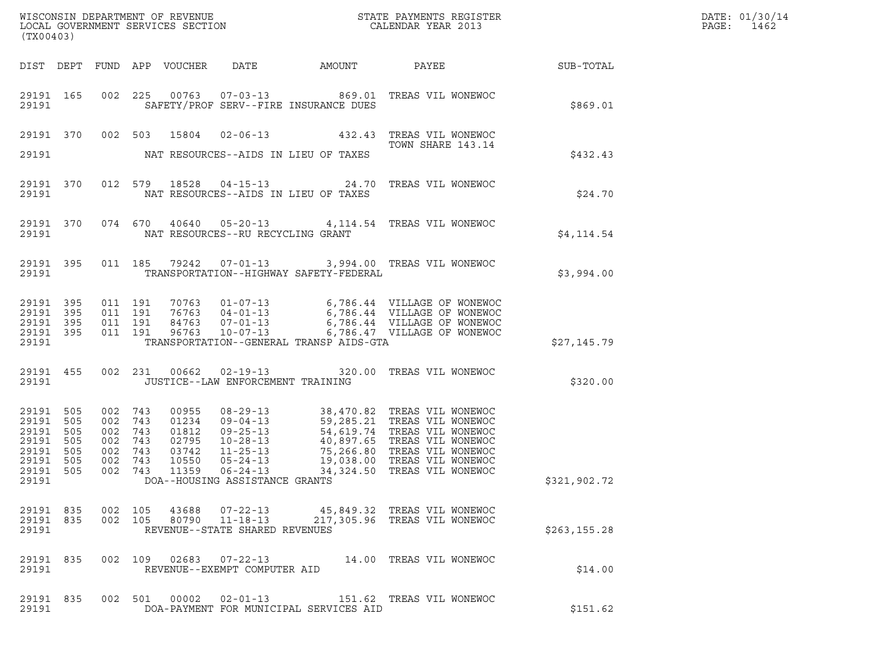| (TX00403)                                                       |                                        |                                                       |                                 |                                                             |                                   |                                         | % WISCONSIN DEPARTMENT OF REVENUE $$\tt STATE~PAYMENTS~REGISTER$ LOCAL GOVERNMENT SERVICES SECTION $$\tt CALENDAR~YEAR~2013$$                                                                                                                                  |               | DATE: 01/30/14<br>PAGE:<br>1462 |
|-----------------------------------------------------------------|----------------------------------------|-------------------------------------------------------|---------------------------------|-------------------------------------------------------------|-----------------------------------|-----------------------------------------|----------------------------------------------------------------------------------------------------------------------------------------------------------------------------------------------------------------------------------------------------------------|---------------|---------------------------------|
|                                                                 |                                        |                                                       |                                 |                                                             |                                   |                                         |                                                                                                                                                                                                                                                                |               |                                 |
| 29191                                                           | 29191 165                              |                                                       |                                 |                                                             |                                   | SAFETY/PROF SERV--FIRE INSURANCE DUES   | 002 225 00763 07-03-13 869.01 TREAS VIL WONEWOC                                                                                                                                                                                                                | \$869.01      |                                 |
|                                                                 |                                        |                                                       |                                 |                                                             |                                   |                                         | 29191 370 002 503 15804 02-06-13 432.43 TREAS VIL WONEWOC<br>TOWN SHARE 143.14                                                                                                                                                                                 |               |                                 |
| 29191                                                           |                                        |                                                       |                                 |                                                             |                                   | NAT RESOURCES--AIDS IN LIEU OF TAXES    |                                                                                                                                                                                                                                                                | \$432.43      |                                 |
| 29191 370<br>29191                                              |                                        |                                                       |                                 |                                                             |                                   | NAT RESOURCES--AIDS IN LIEU OF TAXES    | 012 579 18528 04-15-13 24.70 TREAS VIL WONEWOC                                                                                                                                                                                                                 | \$24.70       |                                 |
| 29191                                                           |                                        |                                                       |                                 |                                                             | NAT RESOURCES--RU RECYCLING GRANT |                                         | 29191 370 074 670 40640 05-20-13 4,114.54 TREAS VIL WONEWOC                                                                                                                                                                                                    | \$4,114.54    |                                 |
| 29191 395<br>29191                                              |                                        |                                                       |                                 |                                                             |                                   | TRANSPORTATION--HIGHWAY SAFETY-FEDERAL  | 011 185 79242 07-01-13 3,994.00 TREAS VIL WONEWOC                                                                                                                                                                                                              | \$3,994.00    |                                 |
| 29191<br>29191 395<br>29191<br>29191 395                        | 395<br>395                             | 011 191<br>011 191<br>011 191<br>011 191              |                                 |                                                             |                                   |                                         |                                                                                                                                                                                                                                                                |               |                                 |
| 29191                                                           |                                        |                                                       |                                 |                                                             |                                   | TRANSPORTATION--GENERAL TRANSP AIDS-GTA |                                                                                                                                                                                                                                                                | \$27,145.79   |                                 |
| 29191 455<br>29191                                              |                                        |                                                       |                                 |                                                             | JUSTICE--LAW ENFORCEMENT TRAINING |                                         | 002 231 00662 02-19-13 320.00 TREAS VIL WONEWOC                                                                                                                                                                                                                | \$320.00      |                                 |
| 29191<br>29191<br>29191<br>29191<br>29191<br>29191<br>29191 505 | 505<br>505<br>505<br>505<br>505<br>505 | 002 743<br>002<br>002<br>002<br>002<br>002<br>002 743 | 743<br>743<br>743<br>743<br>743 | 00955<br>01234<br>01812<br>02795<br>03742<br>10550<br>11359 | $06 - 24 - 13$                    |                                         | 08-29-13<br>09-04-13<br>59,285.21 TREAS VIL WONEWOC<br>09-25-13<br>54,619.74 TREAS VIL WONEWOC<br>10-28-13<br>40,897.65 TREAS VIL WONEWOC<br>11-25-13<br>75,266.80 TREAS VIL WONEWOC<br>06-24-13<br>34,324.50 TREAS VIL WONEWOC<br>34,324.50 TREAS VIL WONEWOC |               |                                 |
| 29191                                                           |                                        |                                                       |                                 |                                                             | DOA--HOUSING ASSISTANCE GRANTS    |                                         |                                                                                                                                                                                                                                                                | \$321,902.72  |                                 |
| 29191 835<br>29191                                              |                                        |                                                       |                                 |                                                             | REVENUE--STATE SHARED REVENUES    |                                         | 29191 835 002 105 43688 07-22-13 45,849.32 TREAS VIL WONEWOC<br>002 105 80790 11-18-13 217,305.96 TREAS VIL WONEWOC                                                                                                                                            | \$263, 155.28 |                                 |
| 29191 835<br>29191                                              |                                        |                                                       |                                 |                                                             | REVENUE--EXEMPT COMPUTER AID      |                                         | 002 109 02683 07-22-13 14.00 TREAS VIL WONEWOC                                                                                                                                                                                                                 | \$14.00       |                                 |
| 29191 835<br>29191                                              |                                        |                                                       |                                 |                                                             |                                   | DOA-PAYMENT FOR MUNICIPAL SERVICES AID  | 002 501 00002 02-01-13 151.62 TREAS VIL WONEWOC                                                                                                                                                                                                                | \$151.62      |                                 |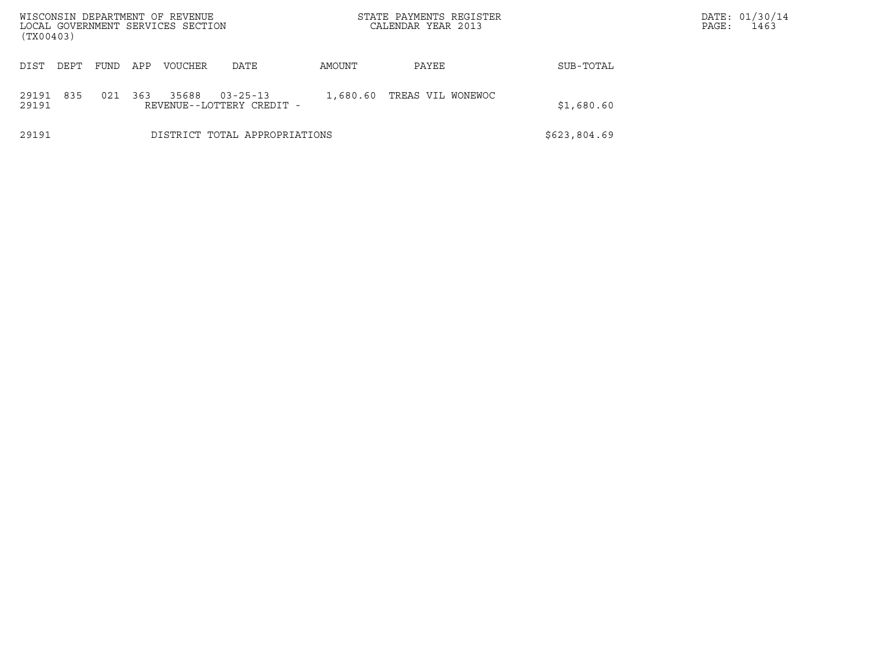| WISCONSIN DEPARTMENT OF REVENUE<br>LOCAL GOVERNMENT SERVICES SECTION<br>(TX00403) |                               |      |     |                |                                             |          | STATE PAYMENTS REGISTER<br>CALENDAR YEAR 2013 |              | DATE: 01/30/14<br>1463<br>PAGE: |
|-----------------------------------------------------------------------------------|-------------------------------|------|-----|----------------|---------------------------------------------|----------|-----------------------------------------------|--------------|---------------------------------|
| DIST                                                                              | DEPT                          | FUND | APP | <b>VOUCHER</b> | DATE                                        | AMOUNT   | PAYEE                                         | SUB-TOTAL    |                                 |
| 29191<br>29191                                                                    | 835                           | 021  | 363 | 35688          | $03 - 25 - 13$<br>REVENUE--LOTTERY CREDIT - | 1,680.60 | TREAS VIL WONEWOC                             | \$1,680.60   |                                 |
| 29191                                                                             | DISTRICT TOTAL APPROPRIATIONS |      |     |                |                                             |          |                                               | \$623,804.69 |                                 |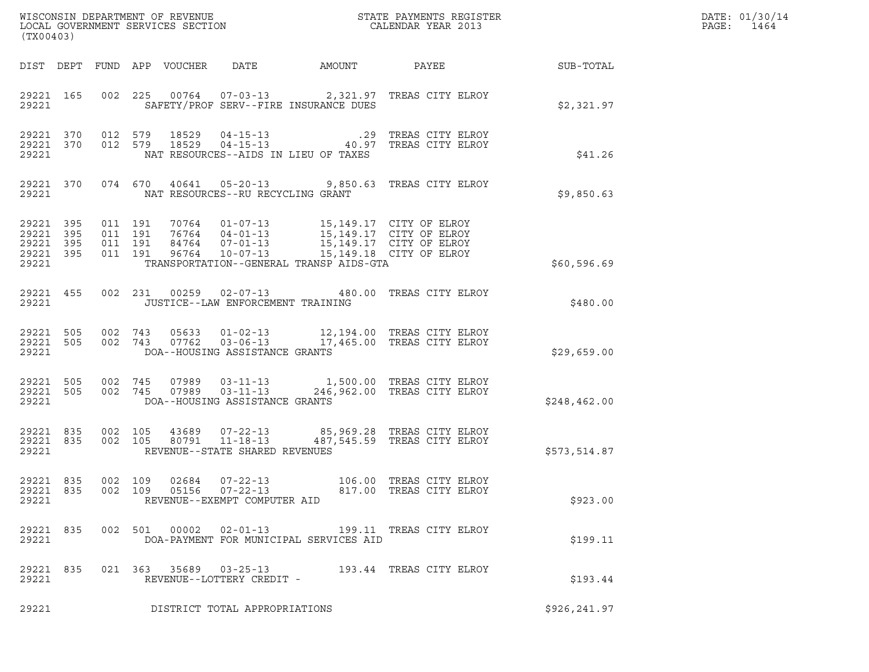| (TX00403)                                             |     |                    |                                |                                                            |                                              |                                                                                                                                                                                                              |                  | DATE: 01/30/14<br>PAGE:<br>1464 |
|-------------------------------------------------------|-----|--------------------|--------------------------------|------------------------------------------------------------|----------------------------------------------|--------------------------------------------------------------------------------------------------------------------------------------------------------------------------------------------------------------|------------------|---------------------------------|
|                                                       |     |                    |                                |                                                            | DIST DEPT FUND APP VOUCHER DATE AMOUNT PAYEE |                                                                                                                                                                                                              | <b>SUB-TOTAL</b> |                                 |
| 29221                                                 |     |                    |                                |                                                            | SAFETY/PROF SERV--FIRE INSURANCE DUES        | 29221 165 002 225 00764 07-03-13 2,321.97 TREAS CITY ELROY                                                                                                                                                   | \$2,321.97       |                                 |
| 29221                                                 |     |                    |                                | NAT RESOURCES--AIDS IN LIEU OF TAXES                       |                                              | $\begin{array}{cccccccc} 29221 & 370 & 012 & 579 & 18529 & 04-15-13 & .29 & \text{TREAS CITY ELROY} \\ 29221 & 370 & 012 & 579 & 18529 & 04-15-13 & & 40.97 & \text{TREAS CITY ELROY} \end{array}$           | \$41.26          |                                 |
|                                                       |     | 29221 2022         |                                | NAT RESOURCES--RU RECYCLING GRANT                          |                                              | 29221 370 074 670 40641 05-20-13 9,850.63 TREAS CITY ELROY                                                                                                                                                   | \$9,850.63       |                                 |
| 29221 395<br>29221 395<br>29221<br>29221 395<br>29221 | 395 | 011 191<br>011 191 | 011 191<br>011 191             |                                                            | TRANSPORTATION--GENERAL TRANSP AIDS-GTA      | 70764  01-07-13  15,149.17  CITY OF ELROY<br>76764  04-01-13  15,149.17  CITY OF ELROY<br>84764  07-01-13  15,149.17  CITY OF ELROY<br>96764  10-07-13  15,149.18  CITY OF ELROY                             | \$60,596.69      |                                 |
| 29221                                                 |     |                    |                                | JUSTICE--LAW ENFORCEMENT TRAINING                          |                                              | 29221 455 002 231 00259 02-07-13 480.00 TREAS CITY ELROY                                                                                                                                                     | \$480.00         |                                 |
| 29221                                                 |     |                    | DOA--HOUSING ASSISTANCE GRANTS |                                                            |                                              | $\begin{array}{cccccc} 29221 & 505 & 002 & 743 & 05633 & 01-02-13 & & 12,194.00 & \text{TREAS CITY ELROY} \\ 29221 & 505 & 002 & 743 & 07762 & 03-06-13 & & 17,465.00 & \text{TREAS CITY ELROY} \end{array}$ | \$29,659.00      |                                 |
| 29221 505<br>29221 505<br>29221                       |     |                    | DOA--HOUSING ASSISTANCE GRANTS |                                                            |                                              | 002 745 07989 03-11-13 1,500.00 TREAS CITY ELROY<br>002 745 07989 03-11-13 246,962.00 TREAS CITY ELROY                                                                                                       | \$248,462.00     |                                 |
| 29221 835<br>29221 835<br>29221                       |     | 002 105            | 002 105                        | 80791  11-18-13<br>REVENUE--STATE SHARED REVENUES          |                                              | 43689  07-22-13  85,969.28  TREAS CITY ELROY<br>487,545.59 TREAS CITY ELROY                                                                                                                                  | \$573,514.87     |                                 |
| 29221 835<br>29221 835<br>29221                       |     | 002 109            | 02684<br>002 109<br>05156      | $07 - 22 - 13$<br>07-22-13<br>REVENUE--EXEMPT COMPUTER AID |                                              | 106.00 TREAS CITY ELROY<br>817.00 TREAS CITY ELROY                                                                                                                                                           | \$923.00         |                                 |
| 29221 835<br>29221                                    |     |                    | 002 501 00002 02-01-13         |                                                            | DOA-PAYMENT FOR MUNICIPAL SERVICES AID       | 199.11 TREAS CITY ELROY                                                                                                                                                                                      | \$199.11         |                                 |
| 29221 835<br>29221                                    |     |                    | 021 363 35689 03-25-13         | REVENUE--LOTTERY CREDIT -                                  |                                              | 193.44 TREAS CITY ELROY                                                                                                                                                                                      | \$193.44         |                                 |
| 29221                                                 |     |                    |                                | DISTRICT TOTAL APPROPRIATIONS                              |                                              |                                                                                                                                                                                                              | \$926, 241.97    |                                 |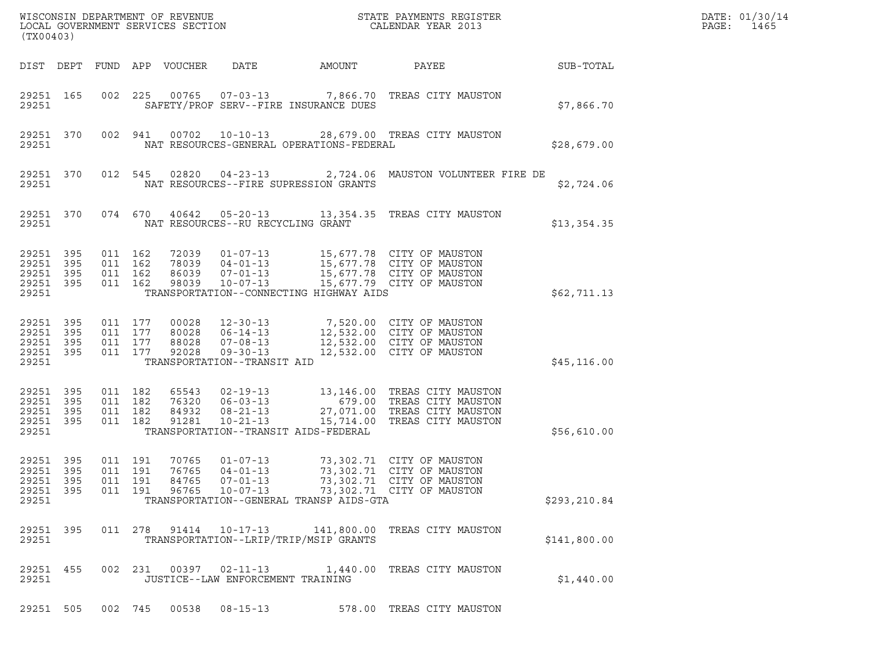| (TX00403)                                             |            |                                          |         |                                  |                                                                                                     |                                          | ${\tt WISCOONSIM\ DEPARTMENT\ OF\ REVENUE}\qquad \qquad {\tt STATE\ PAYMENTS\ REGISTER\ LOCAL\ GOVERNMENT\ SERVICES\ SECTION\qquad \qquad {\tt CALENDAR\ YEAR\ 2013}$ |              | DATE: 01/30/14<br>PAGE:<br>1465 |
|-------------------------------------------------------|------------|------------------------------------------|---------|----------------------------------|-----------------------------------------------------------------------------------------------------|------------------------------------------|-----------------------------------------------------------------------------------------------------------------------------------------------------------------------|--------------|---------------------------------|
|                                                       |            |                                          |         | DIST DEPT FUND APP VOUCHER       | DATE                                                                                                | AMOUNT                                   | PAYEE                                                                                                                                                                 | SUB-TOTAL    |                                 |
| 29251 165<br>29251                                    |            |                                          |         |                                  | SAFETY/PROF SERV--FIRE INSURANCE DUES                                                               |                                          | 002 225 00765 07-03-13 7,866.70 TREAS CITY MAUSTON                                                                                                                    | \$7,866.70   |                                 |
| 29251                                                 | 29251 370  |                                          | 002 941 |                                  |                                                                                                     | NAT RESOURCES-GENERAL OPERATIONS-FEDERAL | 00702  10-10-13  28,679.00  TREAS CITY MAUSTON                                                                                                                        | \$28,679.00  |                                 |
| 29251                                                 | 29251 370  |                                          |         | 012 545 02820                    | NAT RESOURCES--FIRE SUPRESSION GRANTS                                                               |                                          |                                                                                                                                                                       | \$2,724.06   |                                 |
| 29251                                                 | 29251 370  |                                          |         |                                  | 074 670 40642 05-20-13<br>NAT RESOURCES--RU RECYCLING GRANT                                         |                                          | 13,354.35 TREAS CITY MAUSTON                                                                                                                                          | \$13,354.35  |                                 |
| 29251 395<br>29251<br>29251 395<br>29251 395<br>29251 | 395        | 011 162<br>011 162<br>011 162<br>011 162 |         | 86039<br>98039                   | 78039 04-01-13<br>$07 - 01 - 13$<br>$10 - 07 - 13$                                                  | TRANSPORTATION--CONNECTING HIGHWAY AIDS  | 72039  01-07-13  15,677.78  CITY OF MAUSTON<br>15,677.78 CITY OF MAUSTON<br>15,677.78 CITY OF MAUSTON<br>15,677.79 CITY OF MAUSTON                                    | \$62,711.13  |                                 |
| 29251<br>29251 395<br>29251<br>29251 395<br>29251     | 395<br>395 | 011 177<br>011 177<br>011 177<br>011 177 |         | 00028<br>80028<br>88028<br>92028 | $12 - 30 - 13$<br>$06 - 14 - 13$<br>$07 - 08 - 13$<br>$09 - 30 - 13$<br>TRANSPORTATION--TRANSIT AID |                                          | 7,520.00 CITY OF MAUSTON<br>12,532.00 CITY OF MAUSTON<br>12,532.00 CITY OF MAUSTON<br>12,532.00 CITY OF MAUSTON                                                       | \$45, 116.00 |                                 |
| 29251 395<br>29251<br>29251 395<br>29251 395<br>29251 | 395        | 011 182<br>011 182<br>011 182<br>011 182 |         | 65543<br>76320<br>84932<br>91281 | $06 - 03 - 13$<br>$08 - 21 - 13$<br>$10 - 21 - 13$<br>TRANSPORTATION--TRANSIT AIDS-FEDERAL          |                                          | 02-19-13 13,146.00 TREAS CITY MAUSTON<br>679.00 TREAS CITY MAUSTON<br>27,071.00 TREAS CITY MAUSTON<br>15,714.00 TREAS CITY MAUSTON                                    | \$56,610.00  |                                 |
| 29251<br>29251 395<br>29251 395<br>29251 395<br>29251 | 395        | 011 191<br>011 191<br>011 191<br>011 191 |         | 70765<br>76765<br>84765<br>96765 | $01 - 07 - 13$<br>$04 - 01 - 13$<br>07-01-13<br>$10 - 07 - 13$                                      | TRANSPORTATION--GENERAL TRANSP AIDS-GTA  | 73,302.71 CITY OF MAUSTON<br>73,302.71 CITY OF MAUSTON<br>73,302.71 CITY OF MAUSTON<br>73,302.71 CITY OF MAUSTON                                                      | \$293,210.84 |                                 |
| 29251 395<br>29251                                    |            |                                          |         |                                  | 011 278 91414 10-17-13<br>TRANSPORTATION--LRIP/TRIP/MSIP GRANTS                                     |                                          | 141,800.00 TREAS CITY MAUSTON                                                                                                                                         | \$141,800.00 |                                 |
| 29251 455<br>29251                                    |            |                                          |         |                                  | 002 231 00397 02-11-13<br>JUSTICE--LAW ENFORCEMENT TRAINING                                         |                                          | 1,440.00 TREAS CITY MAUSTON                                                                                                                                           | \$1,440.00   |                                 |
| 29251 505                                             |            |                                          |         | 002 745 00538                    | $08 - 15 - 13$                                                                                      |                                          | 578.00 TREAS CITY MAUSTON                                                                                                                                             |              |                                 |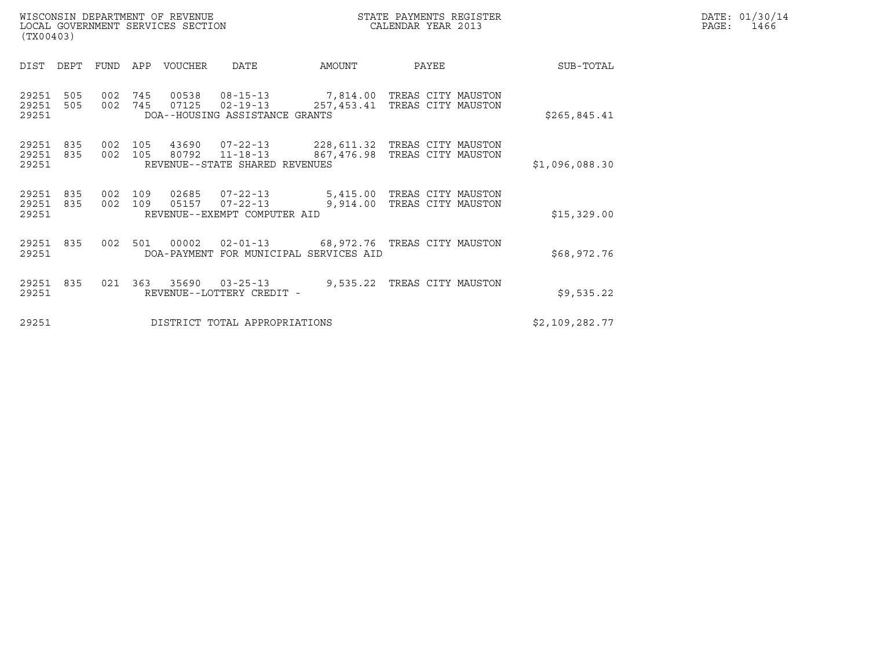| WISCONSIN DEPARTMENT OF REVENUE   | STATE PAYMENTS REGISTER | DATE: 01/30/14 |
|-----------------------------------|-------------------------|----------------|
| LOCAL GOVERNMENT SERVICES SECTION | CALENDAR YEAR 2013      | PAGE:<br>1466  |

| (TX00403)               |            |            |            |                |                                                                                                                                      |                               |                    |                |  |
|-------------------------|------------|------------|------------|----------------|--------------------------------------------------------------------------------------------------------------------------------------|-------------------------------|--------------------|----------------|--|
| DIST                    | DEPT       | FUND       | APP        | <b>VOUCHER</b> | DATE                                                                                                                                 | AMOUNT                        | PAYEE              | SUB-TOTAL      |  |
| 29251<br>29251<br>29251 | 505<br>505 | 002<br>002 | 745<br>745 | 00538          | 08-15-13 7,814.00 TREAS CITY MAUSTON<br>07125  02-19-13<br>DOA--HOUSING ASSISTANCE GRANTS                                            | 257,453.41 TREAS CITY MAUSTON |                    | \$265,845.41   |  |
| 29251<br>29251<br>29251 | 835<br>835 | 002<br>002 | 105<br>105 |                | 43690  07-22-13  228,611.32  TREAS CITY MAUSTON<br>80792  11-18-13  867,476.98  TREAS CITY MAUSTON<br>REVENUE--STATE SHARED REVENUES |                               |                    | \$1,096,088.30 |  |
| 29251<br>29251<br>29251 | 835<br>835 | 002<br>002 | 109<br>109 |                | 02685  07-22-13  5,415.00  TREAS CITY MAUSTON<br>05157 07-22-13<br>REVENUE--EXEMPT COMPUTER AID                                      | 9,914.00                      | TREAS CITY MAUSTON | \$15,329.00    |  |
| 29251<br>29251          | 835        | 002        | 501        | 00002          | 02-01-13 68,972.76 TREAS CITY MAUSTON<br>DOA-PAYMENT FOR MUNICIPAL SERVICES AID                                                      |                               |                    | \$68,972.76    |  |
| 29251<br>29251          | 835        | 021        | 363        | 35690          | $03 - 25 - 13$<br>REVENUE--LOTTERY CREDIT -                                                                                          | 9,535.22                      | TREAS CITY MAUSTON | \$9,535.22     |  |
| 29251                   |            |            |            |                | DISTRICT TOTAL APPROPRIATIONS                                                                                                        |                               |                    | \$2,109,282.77 |  |

(TX00403)